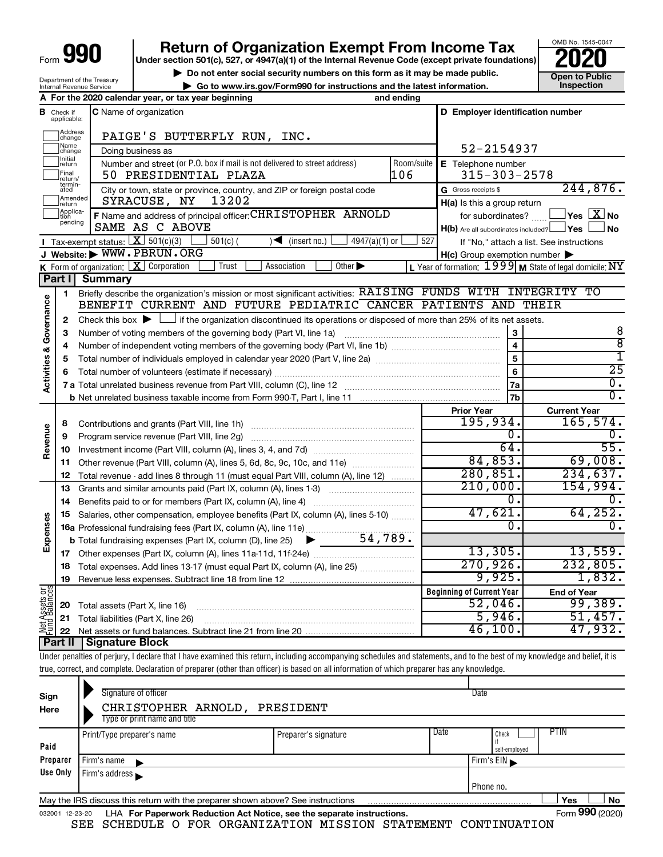| Form |  |
|------|--|
|      |  |

# **990** Return of Organization Exempt From Income Tax <br>
Under section 501(c), 527, or 4947(a)(1) of the Internal Revenue Code (except private foundations)<br> **PO20**

**b** Do not enter social security numbers on this form as it may be made public. **Open to Public**<br>Ce to unum its gov/Eerm000 for instructions and the letest information **| Go to www.irs.gov/Form990 for instructions and the latest information. Inspection**

OMB No. 1545-0047

| <b>Internal Revenue Service</b> | Department of the Treasury |
|---------------------------------|----------------------------|
|                                 |                            |

|                                       |                            | ad to mmmm digorit dimodo for modiadtions and the fattot mnormation.<br>A For the 2020 calendar year, or tax year beginning                                                | and ending         |                                                     |                                                                    |
|---------------------------------------|----------------------------|----------------------------------------------------------------------------------------------------------------------------------------------------------------------------|--------------------|-----------------------------------------------------|--------------------------------------------------------------------|
| в                                     | Check if<br>applicable:    | <b>C</b> Name of organization                                                                                                                                              |                    | D Employer identification number                    |                                                                    |
|                                       | Address<br> change         | PAIGE'S BUTTERFLY RUN, INC.                                                                                                                                                |                    |                                                     |                                                                    |
|                                       | Name<br>change             | Doing business as                                                                                                                                                          |                    | 52-2154937                                          |                                                                    |
|                                       | Initial<br>return<br>Final | Number and street (or P.O. box if mail is not delivered to street address)<br>50 PRESIDENTIAL PLAZA                                                                        | Room/suite<br> 106 | E Telephone number<br>$315 - 303 - 2578$            |                                                                    |
|                                       | return/<br>termin-<br>ated | City or town, state or province, country, and ZIP or foreign postal code                                                                                                   |                    | G Gross receipts \$                                 | 244,876.                                                           |
|                                       | Amended<br>return          | 13202<br>SYRACUSE, NY                                                                                                                                                      |                    | H(a) Is this a group return                         |                                                                    |
|                                       | Applica-<br> tion          | F Name and address of principal officer: CHRISTOPHER ARNOLD                                                                                                                |                    | for subordinates?                                   | $\sqrt{\mathsf{Yes}\mathord{\;\mathbb{X}}\mathord{\;\mathsf{No}}}$ |
|                                       | pending                    | SAME AS C ABOVE                                                                                                                                                            |                    | $H(b)$ Are all subordinates included? $\Box$ Yes    | l No                                                               |
|                                       |                            | Tax-exempt status: $X \ 501(c)(3)$<br>$4947(a)(1)$ or<br>$501(c)$ (<br>$\sqrt{\frac{1}{1}}$ (insert no.)                                                                   | 527                |                                                     | If "No," attach a list. See instructions                           |
|                                       |                            | J Website: WWW.PBRUN.ORG                                                                                                                                                   |                    | $H(c)$ Group exemption number $\blacktriangleright$ |                                                                    |
|                                       |                            | <b>K</b> Form of organization: $\boxed{\mathbf{X}}$ Corporation<br>Association<br>Other $\blacktriangleright$<br>Trust                                                     |                    |                                                     | L Year of formation: $1999$ M State of legal domicile: NY          |
|                                       | Part II                    | <b>Summary</b>                                                                                                                                                             |                    |                                                     |                                                                    |
|                                       | 1                          | Briefly describe the organization's mission or most significant activities: RAISING FUNDS WITH INTEGRITY TO                                                                |                    |                                                     |                                                                    |
| <b>Activities &amp; Governance</b>    |                            | BENEFIT CURRENT AND FUTURE PEDIATRIC CANCER PATIENTS AND THEIR                                                                                                             |                    |                                                     |                                                                    |
|                                       | 2                          | Check this box $\blacktriangleright$ $\Box$ if the organization discontinued its operations or disposed of more than 25% of its net assets.                                |                    |                                                     |                                                                    |
|                                       | З                          | Number of voting members of the governing body (Part VI, line 1a)                                                                                                          |                    | 3                                                   | 8                                                                  |
|                                       | 4                          |                                                                                                                                                                            |                    | $\overline{\mathbf{4}}$                             | $\overline{8}$<br>I                                                |
|                                       | 5                          |                                                                                                                                                                            |                    | 5                                                   | $\overline{25}$                                                    |
|                                       | 6                          |                                                                                                                                                                            |                    | 6                                                   | $\overline{0}$ .                                                   |
|                                       |                            |                                                                                                                                                                            |                    | 7a                                                  | σ.                                                                 |
|                                       |                            |                                                                                                                                                                            |                    | 7b                                                  |                                                                    |
|                                       |                            |                                                                                                                                                                            |                    | <b>Prior Year</b><br>195,934.                       | <b>Current Year</b><br>165,574.                                    |
|                                       | 8<br>9                     | Program service revenue (Part VIII, line 2g)                                                                                                                               |                    | 0.                                                  | О.                                                                 |
| Revenue                               | 10                         |                                                                                                                                                                            |                    | 64.                                                 | $\overline{55}$ .                                                  |
|                                       | 11                         | Other revenue (Part VIII, column (A), lines 5, 6d, 8c, 9c, 10c, and 11e)                                                                                                   |                    | 84,853.                                             | 69,008.                                                            |
|                                       | 12                         | Total revenue - add lines 8 through 11 (must equal Part VIII, column (A), line 12)                                                                                         |                    | 280,851.                                            | 234,637.                                                           |
|                                       | 13                         | Grants and similar amounts paid (Part IX, column (A), lines 1-3)                                                                                                           |                    | 210,000.                                            | 154,994.                                                           |
|                                       | 14                         | Benefits paid to or for members (Part IX, column (A), line 4)                                                                                                              |                    | 0.                                                  | 0.                                                                 |
|                                       | 15                         | Salaries, other compensation, employee benefits (Part IX, column (A), lines 5-10)                                                                                          |                    | 47,621.                                             | 64, 252.                                                           |
| Expenses                              |                            |                                                                                                                                                                            |                    | $\mathbf{0}$ .                                      | 0.                                                                 |
|                                       |                            |                                                                                                                                                                            |                    |                                                     |                                                                    |
|                                       |                            |                                                                                                                                                                            |                    | 13,305.                                             | 13,559.                                                            |
|                                       |                            | 18 Total expenses. Add lines 13-17 (must equal Part IX, column (A), line 25)                                                                                               |                    | 270,926.                                            | 232,805.                                                           |
|                                       | 19                         |                                                                                                                                                                            |                    | 9,925.                                              | 1,832.                                                             |
|                                       |                            |                                                                                                                                                                            |                    | <b>Beginning of Current Year</b>                    | <b>End of Year</b>                                                 |
|                                       | 20                         | Total assets (Part X, line 16)                                                                                                                                             |                    | $52,046$ .                                          | 99,389.                                                            |
| <b>Net Assets or</b><br>Fund Balances | 21                         | Total liabilities (Part X, line 26)                                                                                                                                        |                    | 5,946.                                              | 51,457.                                                            |
|                                       | 22                         |                                                                                                                                                                            |                    | 46,100.                                             | 47,932.                                                            |
|                                       | Part II                    | Signature Block                                                                                                                                                            |                    |                                                     |                                                                    |
|                                       |                            | Under penalties of perjury, I declare that I have examined this return, including accompanying schedules and statements, and to the best of my knowledge and belief, it is |                    |                                                     |                                                                    |
|                                       |                            | true, correct, and complete. Declaration of preparer (other than officer) is based on all information of which preparer has any knowledge.                                 |                    |                                                     |                                                                    |

| Sign<br>Here                                                                                                | Signature of officer<br>CHRISTOPHER ARNOLD,<br>Type or print name and title                                  | PRESIDENT |  | Date         |  |  |  |
|-------------------------------------------------------------------------------------------------------------|--------------------------------------------------------------------------------------------------------------|-----------|--|--------------|--|--|--|
| <b>PTIN</b><br>Date<br>Check<br>Print/Type preparer's name<br>Preparer's signature<br>Paid<br>self-employed |                                                                                                              |           |  |              |  |  |  |
| Preparer                                                                                                    | Firm's name                                                                                                  |           |  | Firm's $EIN$ |  |  |  |
| Use Only                                                                                                    | Firm's address                                                                                               |           |  |              |  |  |  |
| . Phone no.                                                                                                 |                                                                                                              |           |  |              |  |  |  |
|                                                                                                             | <b>Yes</b><br>No<br>May the IRS discuss this return with the preparer shown above? See instructions          |           |  |              |  |  |  |
|                                                                                                             | Form 990 (2020)<br>LHA For Paperwork Reduction Act Notice, see the separate instructions.<br>032001 12-23-20 |           |  |              |  |  |  |

SEE SCHEDULE O FOR ORGANIZATION MISSION STATEMENT CONTINUATION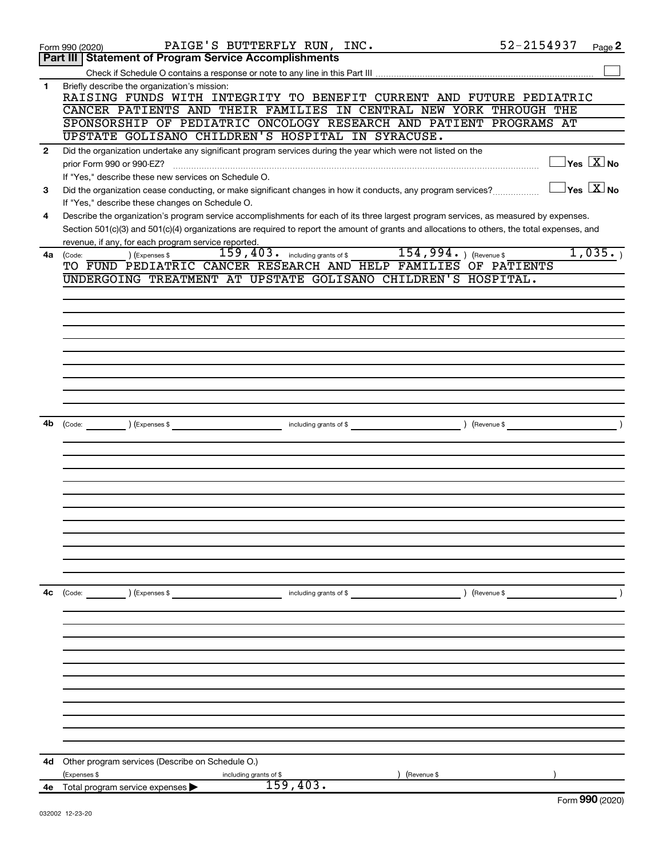|                | PAIGE'S BUTTERFLY RUN, INC.<br>Form 990 (2020)                                                                                               | 52-2154937          | Page 2                                  |
|----------------|----------------------------------------------------------------------------------------------------------------------------------------------|---------------------|-----------------------------------------|
|                | <b>Part III Statement of Program Service Accomplishments</b>                                                                                 |                     |                                         |
|                |                                                                                                                                              |                     |                                         |
| 1              | Briefly describe the organization's mission:<br>RAISING FUNDS WITH INTEGRITY TO BENEFIT CURRENT AND FUTURE PEDIATRIC                         |                     |                                         |
|                | CANCER PATIENTS AND THEIR FAMILIES IN CENTRAL NEW YORK THROUGH THE                                                                           |                     |                                         |
|                |                                                                                                                                              |                     |                                         |
|                | SPONSORSHIP OF PEDIATRIC ONCOLOGY RESEARCH AND PATIENT PROGRAMS AT                                                                           |                     |                                         |
|                | UPSTATE GOLISANO CHILDREN'S HOSPITAL IN SYRACUSE.                                                                                            |                     |                                         |
| $\overline{2}$ | Did the organization undertake any significant program services during the year which were not listed on the                                 |                     |                                         |
|                | prior Form 990 or 990-EZ?                                                                                                                    |                     | $\Box$ Yes $[\overline{\mathrm{X}}]$ No |
|                | If "Yes," describe these new services on Schedule O.                                                                                         |                     |                                         |
| 3              | Did the organization cease conducting, or make significant changes in how it conducts, any program services?                                 |                     | $\exists$ Yes $\sqrt{\mathrm{X}}$ No    |
|                | If "Yes," describe these changes on Schedule O.                                                                                              |                     |                                         |
| 4              | Describe the organization's program service accomplishments for each of its three largest program services, as measured by expenses.         |                     |                                         |
|                | Section 501(c)(3) and 501(c)(4) organizations are required to report the amount of grants and allocations to others, the total expenses, and |                     |                                         |
|                | revenue, if any, for each program service reported.                                                                                          |                     |                                         |
|                | 154,994. ) (Revenue \$<br>$159$ , $403$ o including grants of \$                                                                             |                     | 1,035.                                  |
| 4a             | ) (Expenses \$<br>(Code:<br>TO FUND PEDIATRIC CANCER RESEARCH AND HELP FAMILIES OF PATIENTS                                                  |                     |                                         |
|                |                                                                                                                                              |                     |                                         |
|                | UNDERGOING TREATMENT AT UPSTATE GOLISANO CHILDREN'S HOSPITAL.                                                                                |                     |                                         |
|                |                                                                                                                                              |                     |                                         |
|                |                                                                                                                                              |                     |                                         |
|                |                                                                                                                                              |                     |                                         |
|                |                                                                                                                                              |                     |                                         |
|                |                                                                                                                                              |                     |                                         |
|                |                                                                                                                                              |                     |                                         |
|                |                                                                                                                                              |                     |                                         |
|                |                                                                                                                                              |                     |                                         |
|                |                                                                                                                                              |                     |                                         |
|                |                                                                                                                                              |                     |                                         |
|                |                                                                                                                                              |                     |                                         |
| 4b             | including grants of \$<br>$\left(\text{Code:}\right)$ $\left(\text{Expenses $}\right)$                                                       | ) (Revenue \$       |                                         |
|                |                                                                                                                                              |                     |                                         |
|                |                                                                                                                                              |                     |                                         |
|                |                                                                                                                                              |                     |                                         |
|                |                                                                                                                                              |                     |                                         |
|                |                                                                                                                                              |                     |                                         |
|                |                                                                                                                                              |                     |                                         |
|                |                                                                                                                                              |                     |                                         |
|                |                                                                                                                                              |                     |                                         |
|                |                                                                                                                                              |                     |                                         |
|                |                                                                                                                                              |                     |                                         |
|                |                                                                                                                                              |                     |                                         |
|                |                                                                                                                                              |                     |                                         |
|                |                                                                                                                                              |                     |                                         |
| 4c             | (Code: ) (Expenses \$<br>including grants of \$                                                                                              | $\left($ Revenue \$ |                                         |
|                |                                                                                                                                              |                     |                                         |
|                |                                                                                                                                              |                     |                                         |
|                |                                                                                                                                              |                     |                                         |
|                |                                                                                                                                              |                     |                                         |
|                |                                                                                                                                              |                     |                                         |
|                |                                                                                                                                              |                     |                                         |
|                |                                                                                                                                              |                     |                                         |
|                |                                                                                                                                              |                     |                                         |
|                |                                                                                                                                              |                     |                                         |
|                |                                                                                                                                              |                     |                                         |
|                |                                                                                                                                              |                     |                                         |
|                |                                                                                                                                              |                     |                                         |
|                |                                                                                                                                              |                     |                                         |
| 4d             | Other program services (Describe on Schedule O.)                                                                                             |                     |                                         |
|                | (Expenses \$<br>(Revenue \$<br>including grants of \$<br>159,403.                                                                            |                     |                                         |
|                | 4e Total program service expenses                                                                                                            |                     | $F_{\text{sum}}$ 000 (2020)             |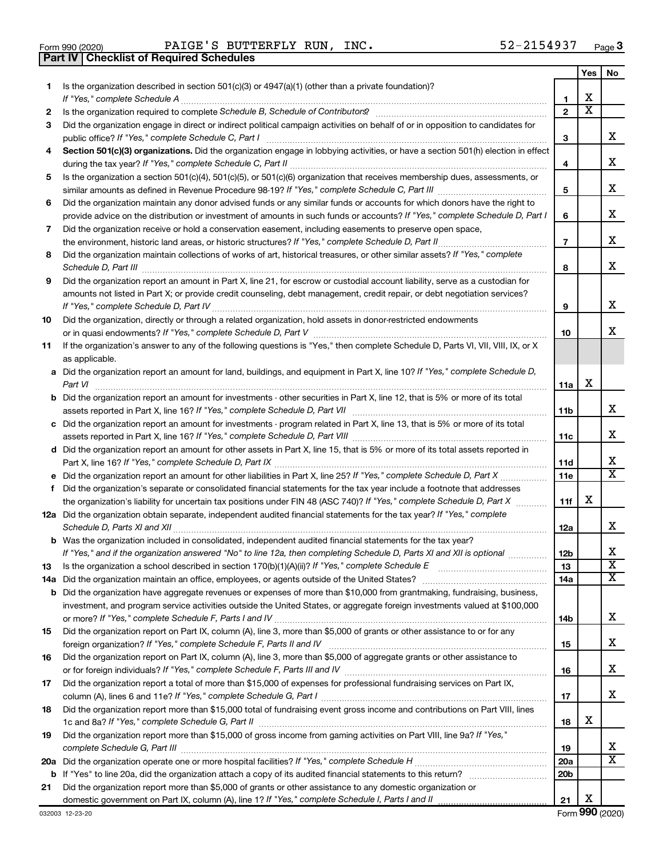|  | Form 990 (2020) |  |
|--|-----------------|--|

Form 990 (2020) Page PAIGE'S BUTTERFLY RUN, INC. 52-2154937 **Part IV Checklist of Required Schedules**

|          |                                                                                                                                       |                 | Yes                     | No                      |
|----------|---------------------------------------------------------------------------------------------------------------------------------------|-----------------|-------------------------|-------------------------|
| 1.       | Is the organization described in section 501(c)(3) or 4947(a)(1) (other than a private foundation)?                                   |                 |                         |                         |
|          |                                                                                                                                       | 1               | х                       |                         |
| 2        |                                                                                                                                       | $\overline{2}$  | $\overline{\textbf{x}}$ |                         |
| З        | Did the organization engage in direct or indirect political campaign activities on behalf of or in opposition to candidates for       |                 |                         |                         |
|          |                                                                                                                                       | 3               |                         | x                       |
| 4        | Section 501(c)(3) organizations. Did the organization engage in lobbying activities, or have a section 501(h) election in effect      |                 |                         |                         |
|          |                                                                                                                                       | 4               |                         | х                       |
| 5        | Is the organization a section 501(c)(4), 501(c)(5), or 501(c)(6) organization that receives membership dues, assessments, or          |                 |                         |                         |
|          |                                                                                                                                       | 5               |                         | х                       |
| 6        | Did the organization maintain any donor advised funds or any similar funds or accounts for which donors have the right to             |                 |                         | х                       |
|          | provide advice on the distribution or investment of amounts in such funds or accounts? If "Yes," complete Schedule D, Part I          | 6               |                         |                         |
| 7        | Did the organization receive or hold a conservation easement, including easements to preserve open space,                             |                 |                         | х                       |
|          |                                                                                                                                       | $\overline{7}$  |                         |                         |
| 8        | Did the organization maintain collections of works of art, historical treasures, or other similar assets? If "Yes," complete          |                 |                         | х                       |
|          |                                                                                                                                       | 8               |                         |                         |
| 9        | Did the organization report an amount in Part X, line 21, for escrow or custodial account liability, serve as a custodian for         |                 |                         |                         |
|          | amounts not listed in Part X; or provide credit counseling, debt management, credit repair, or debt negotiation services?             |                 |                         | х                       |
|          | Did the organization, directly or through a related organization, hold assets in donor-restricted endowments                          | 9               |                         |                         |
| 10       |                                                                                                                                       | 10              |                         | x                       |
| 11       | If the organization's answer to any of the following questions is "Yes," then complete Schedule D, Parts VI, VII, VIII, IX, or X      |                 |                         |                         |
|          | as applicable.                                                                                                                        |                 |                         |                         |
|          | a Did the organization report an amount for land, buildings, and equipment in Part X, line 10? If "Yes," complete Schedule D,         |                 |                         |                         |
|          |                                                                                                                                       | 11a             | х                       |                         |
|          | <b>b</b> Did the organization report an amount for investments - other securities in Part X, line 12, that is 5% or more of its total |                 |                         |                         |
|          |                                                                                                                                       | 11 <sub>b</sub> |                         | х                       |
|          | c Did the organization report an amount for investments - program related in Part X, line 13, that is 5% or more of its total         |                 |                         |                         |
|          |                                                                                                                                       | 11c             |                         | х                       |
|          | d Did the organization report an amount for other assets in Part X, line 15, that is 5% or more of its total assets reported in       |                 |                         |                         |
|          |                                                                                                                                       | 11d             |                         | х                       |
|          |                                                                                                                                       | 11e             |                         | $\overline{\mathtt{x}}$ |
| f        | Did the organization's separate or consolidated financial statements for the tax year include a footnote that addresses               |                 |                         |                         |
|          | the organization's liability for uncertain tax positions under FIN 48 (ASC 740)? If "Yes," complete Schedule D, Part X                | 11f             | х                       |                         |
|          | 12a Did the organization obtain separate, independent audited financial statements for the tax year? If "Yes," complete               |                 |                         |                         |
|          |                                                                                                                                       | 12a             |                         | х                       |
|          | <b>b</b> Was the organization included in consolidated, independent audited financial statements for the tax year?                    |                 |                         |                         |
|          | If "Yes," and if the organization answered "No" to line 12a, then completing Schedule D, Parts XI and XII is optional                 | 12 <sub>b</sub> |                         |                         |
| 13       |                                                                                                                                       | 13              |                         | $\overline{\textbf{x}}$ |
| 14a      |                                                                                                                                       | 14a             |                         | x                       |
|          | <b>b</b> Did the organization have aggregate revenues or expenses of more than \$10,000 from grantmaking, fundraising, business,      |                 |                         |                         |
|          | investment, and program service activities outside the United States, or aggregate foreign investments valued at \$100,000            |                 |                         |                         |
|          |                                                                                                                                       | 14b             |                         | x                       |
| 15       | Did the organization report on Part IX, column (A), line 3, more than \$5,000 of grants or other assistance to or for any             |                 |                         |                         |
|          |                                                                                                                                       | 15              |                         | х                       |
| 16       | Did the organization report on Part IX, column (A), line 3, more than \$5,000 of aggregate grants or other assistance to              |                 |                         |                         |
|          |                                                                                                                                       | 16              |                         | x                       |
| 17       | Did the organization report a total of more than \$15,000 of expenses for professional fundraising services on Part IX,               |                 |                         |                         |
|          |                                                                                                                                       | 17              |                         | x                       |
| 18       | Did the organization report more than \$15,000 total of fundraising event gross income and contributions on Part VIII, lines          |                 | х                       |                         |
|          |                                                                                                                                       | 18              |                         |                         |
| 19       | Did the organization report more than \$15,000 of gross income from gaming activities on Part VIII, line 9a? If "Yes,"                |                 |                         | x                       |
|          |                                                                                                                                       | 19<br>20a       |                         | X                       |
| 20a<br>b |                                                                                                                                       | 20 <sub>b</sub> |                         |                         |
| 21       | Did the organization report more than \$5,000 of grants or other assistance to any domestic organization or                           |                 |                         |                         |
|          |                                                                                                                                       | 21              | х                       |                         |
|          |                                                                                                                                       |                 |                         |                         |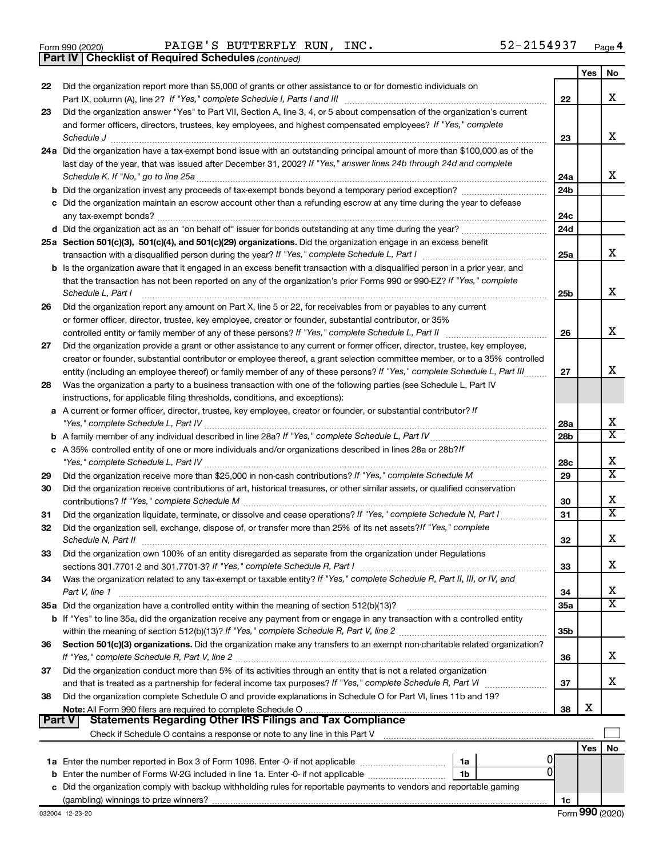|  | Form 990 (2020) |
|--|-----------------|
|  |                 |

Form 990 (2020) Page PAIGE'S BUTTERFLY RUN, INC. 52-2154937

*(continued)* **Part IV Checklist of Required Schedules**

|          | <b>Part IV   Checklist of Required Schedules</b> (continued)                                                                                                                                                                                                                                                                                                                                                                                              |                        |     |                            |
|----------|-----------------------------------------------------------------------------------------------------------------------------------------------------------------------------------------------------------------------------------------------------------------------------------------------------------------------------------------------------------------------------------------------------------------------------------------------------------|------------------------|-----|----------------------------|
|          |                                                                                                                                                                                                                                                                                                                                                                                                                                                           |                        | Yes | No                         |
| 22       | Did the organization report more than \$5,000 of grants or other assistance to or for domestic individuals on                                                                                                                                                                                                                                                                                                                                             |                        |     |                            |
|          |                                                                                                                                                                                                                                                                                                                                                                                                                                                           | 22                     |     | х                          |
| 23       | Did the organization answer "Yes" to Part VII, Section A, line 3, 4, or 5 about compensation of the organization's current                                                                                                                                                                                                                                                                                                                                |                        |     |                            |
|          | and former officers, directors, trustees, key employees, and highest compensated employees? If "Yes," complete                                                                                                                                                                                                                                                                                                                                            |                        |     |                            |
|          | $\textit{Schedule J} \textit{ \textbf{}} \textit{ \textbf{}} \textit{ \textbf{}} \textit{ \textbf{}} \textit{ \textbf{}} \textit{ \textbf{}} \textit{ \textbf{}} \textit{ \textbf{}} \textit{ \textbf{}} \textit{ \textbf{}} \textit{ \textbf{}} \textit{ \textbf{}} \textit{ \textbf{}} \textit{ \textbf{}} \textit{ \textbf{}} \textit{ \textbf{}} \textit{ \textbf{}} \textit{ \textbf{}} \textit{ \textbf{}} \textit{ \textbf{}} \textit{ \textbf{}}$ | 23                     |     | x                          |
|          | 24a Did the organization have a tax-exempt bond issue with an outstanding principal amount of more than \$100,000 as of the                                                                                                                                                                                                                                                                                                                               |                        |     |                            |
|          | last day of the year, that was issued after December 31, 2002? If "Yes," answer lines 24b through 24d and complete                                                                                                                                                                                                                                                                                                                                        |                        |     | х                          |
|          |                                                                                                                                                                                                                                                                                                                                                                                                                                                           | 24a<br>24 <sub>b</sub> |     |                            |
|          | c Did the organization maintain an escrow account other than a refunding escrow at any time during the year to defease                                                                                                                                                                                                                                                                                                                                    |                        |     |                            |
|          |                                                                                                                                                                                                                                                                                                                                                                                                                                                           | 24c                    |     |                            |
|          |                                                                                                                                                                                                                                                                                                                                                                                                                                                           | 24 <sub>d</sub>        |     |                            |
|          | 25a Section 501(c)(3), 501(c)(4), and 501(c)(29) organizations. Did the organization engage in an excess benefit                                                                                                                                                                                                                                                                                                                                          |                        |     |                            |
|          |                                                                                                                                                                                                                                                                                                                                                                                                                                                           | 25a                    |     | x                          |
|          | b Is the organization aware that it engaged in an excess benefit transaction with a disqualified person in a prior year, and                                                                                                                                                                                                                                                                                                                              |                        |     |                            |
|          | that the transaction has not been reported on any of the organization's prior Forms 990 or 990-EZ? If "Yes," complete                                                                                                                                                                                                                                                                                                                                     |                        |     |                            |
|          | Schedule L. Part I                                                                                                                                                                                                                                                                                                                                                                                                                                        | 25b                    |     | х                          |
| 26       | Did the organization report any amount on Part X, line 5 or 22, for receivables from or payables to any current                                                                                                                                                                                                                                                                                                                                           |                        |     |                            |
|          | or former officer, director, trustee, key employee, creator or founder, substantial contributor, or 35%                                                                                                                                                                                                                                                                                                                                                   |                        |     |                            |
|          |                                                                                                                                                                                                                                                                                                                                                                                                                                                           | 26                     |     | х                          |
| 27       | Did the organization provide a grant or other assistance to any current or former officer, director, trustee, key employee,                                                                                                                                                                                                                                                                                                                               |                        |     |                            |
|          | creator or founder, substantial contributor or employee thereof, a grant selection committee member, or to a 35% controlled                                                                                                                                                                                                                                                                                                                               |                        |     |                            |
|          | entity (including an employee thereof) or family member of any of these persons? If "Yes," complete Schedule L, Part III                                                                                                                                                                                                                                                                                                                                  | 27                     |     | х                          |
| 28       | Was the organization a party to a business transaction with one of the following parties (see Schedule L, Part IV                                                                                                                                                                                                                                                                                                                                         |                        |     |                            |
|          | instructions, for applicable filing thresholds, conditions, and exceptions):                                                                                                                                                                                                                                                                                                                                                                              |                        |     |                            |
|          | a A current or former officer, director, trustee, key employee, creator or founder, or substantial contributor? If                                                                                                                                                                                                                                                                                                                                        |                        |     |                            |
|          |                                                                                                                                                                                                                                                                                                                                                                                                                                                           | 28a                    |     | X<br>$\overline{\text{x}}$ |
|          |                                                                                                                                                                                                                                                                                                                                                                                                                                                           | 28 <sub>b</sub>        |     |                            |
|          | c A 35% controlled entity of one or more individuals and/or organizations described in lines 28a or 28b?If                                                                                                                                                                                                                                                                                                                                                | 28c                    |     | х                          |
| 29       |                                                                                                                                                                                                                                                                                                                                                                                                                                                           | 29                     |     | $\overline{\textbf{X}}$    |
| 30       | Did the organization receive contributions of art, historical treasures, or other similar assets, or qualified conservation                                                                                                                                                                                                                                                                                                                               |                        |     |                            |
|          |                                                                                                                                                                                                                                                                                                                                                                                                                                                           | 30                     |     | х                          |
| 31       | Did the organization liquidate, terminate, or dissolve and cease operations? If "Yes," complete Schedule N, Part I                                                                                                                                                                                                                                                                                                                                        | 31                     |     | $\overline{\text{x}}$      |
| 32       | Did the organization sell, exchange, dispose of, or transfer more than 25% of its net assets? If "Yes," complete                                                                                                                                                                                                                                                                                                                                          |                        |     |                            |
|          | Schedule N. Part II                                                                                                                                                                                                                                                                                                                                                                                                                                       | 32                     |     | Χ                          |
| 33       | Did the organization own 100% of an entity disregarded as separate from the organization under Regulations                                                                                                                                                                                                                                                                                                                                                |                        |     |                            |
|          |                                                                                                                                                                                                                                                                                                                                                                                                                                                           | 33                     |     | х                          |
| 34       | Was the organization related to any tax-exempt or taxable entity? If "Yes," complete Schedule R, Part II, III, or IV, and                                                                                                                                                                                                                                                                                                                                 |                        |     |                            |
|          | Part V, line 1                                                                                                                                                                                                                                                                                                                                                                                                                                            | 34                     |     | х                          |
|          | 35a Did the organization have a controlled entity within the meaning of section 512(b)(13)?                                                                                                                                                                                                                                                                                                                                                               | 35a                    |     | $\overline{\text{X}}$      |
|          | <b>b</b> If "Yes" to line 35a, did the organization receive any payment from or engage in any transaction with a controlled entity                                                                                                                                                                                                                                                                                                                        |                        |     |                            |
|          |                                                                                                                                                                                                                                                                                                                                                                                                                                                           | 35b                    |     |                            |
| 36       | Section 501(c)(3) organizations. Did the organization make any transfers to an exempt non-charitable related organization?                                                                                                                                                                                                                                                                                                                                |                        |     |                            |
|          |                                                                                                                                                                                                                                                                                                                                                                                                                                                           | 36                     |     | x                          |
| 37       | Did the organization conduct more than 5% of its activities through an entity that is not a related organization                                                                                                                                                                                                                                                                                                                                          |                        |     | x                          |
| 38       | and that is treated as a partnership for federal income tax purposes? If "Yes," complete Schedule R, Part VI<br>Did the organization complete Schedule O and provide explanations in Schedule O for Part VI, lines 11b and 19?                                                                                                                                                                                                                            | 37                     |     |                            |
|          | Note: All Form 990 filers are required to complete Schedule O                                                                                                                                                                                                                                                                                                                                                                                             | 38                     | х   |                            |
| ∣ Part V | <b>Statements Regarding Other IRS Filings and Tax Compliance</b>                                                                                                                                                                                                                                                                                                                                                                                          |                        |     |                            |
|          |                                                                                                                                                                                                                                                                                                                                                                                                                                                           |                        |     |                            |
|          |                                                                                                                                                                                                                                                                                                                                                                                                                                                           |                        | Yes | No                         |
|          | 1a                                                                                                                                                                                                                                                                                                                                                                                                                                                        |                        |     |                            |
|          | <b>b</b> Enter the number of Forms W-2G included in line 1a. Enter -0- if not applicable<br>1b                                                                                                                                                                                                                                                                                                                                                            |                        |     |                            |
|          | c Did the organization comply with backup withholding rules for reportable payments to vendors and reportable gaming                                                                                                                                                                                                                                                                                                                                      |                        |     |                            |
|          |                                                                                                                                                                                                                                                                                                                                                                                                                                                           | 1c                     |     |                            |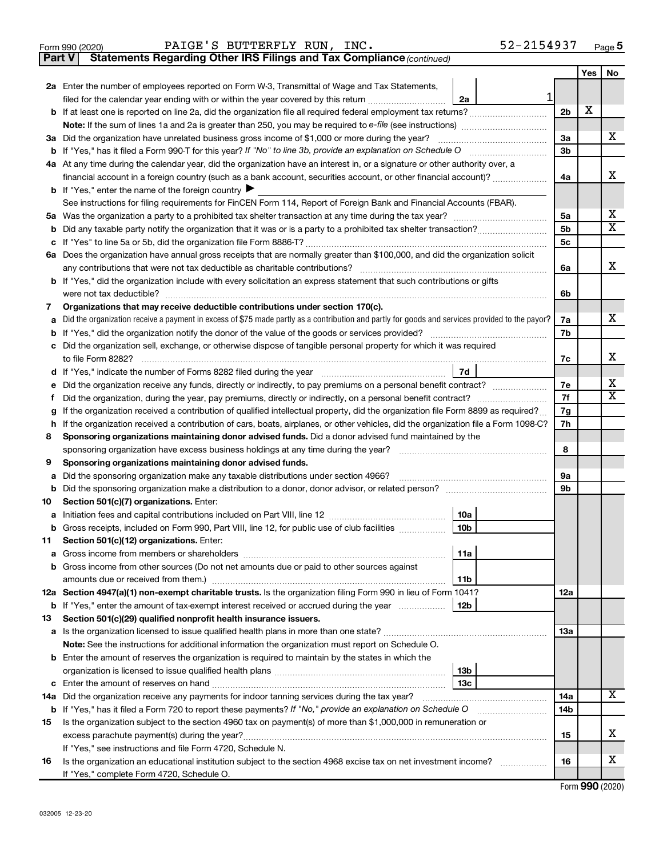|  | Form 990 (2020) |
|--|-----------------|
|  |                 |

**Part V** Statements Regarding Other IRS Filings and Tax Compliance (continued)

| 2a Enter the number of employees reported on Form W-3, Transmittal of Wage and Tax Statements,<br>filed for the calendar year ending with or within the year covered by this return <i></i><br>2a<br>3a Did the organization have unrelated business gross income of \$1,000 or more during the year?<br><b>b</b> If "Yes," has it filed a Form 990-T for this year? If "No" to line 3b, provide an explanation on Schedule O<br>4a At any time during the calendar year, did the organization have an interest in, or a signature or other authority over, a<br>financial account in a foreign country (such as a bank account, securities account, or other financial account)?<br><b>b</b> If "Yes," enter the name of the foreign country<br>See instructions for filing requirements for FinCEN Form 114, Report of Foreign Bank and Financial Accounts (FBAR).<br>5а<br>b<br>c<br>6a Does the organization have annual gross receipts that are normally greater than \$100,000, and did the organization solicit<br>any contributions that were not tax deductible as charitable contributions?<br><b>b</b> If "Yes," did the organization include with every solicitation an express statement that such contributions or gifts<br>were not tax deductible?<br>Organizations that may receive deductible contributions under section 170(c).<br>7<br>Did the organization receive a payment in excess of \$75 made partly as a contribution and partly for goods and services provided to the payor?<br>a<br>b<br>c Did the organization sell, exchange, or otherwise dispose of tangible personal property for which it was required<br>to file Form 8282?<br>7d<br>d | 1<br>2 <sub>b</sub><br>3a<br>3b | х |                         |  |
|-------------------------------------------------------------------------------------------------------------------------------------------------------------------------------------------------------------------------------------------------------------------------------------------------------------------------------------------------------------------------------------------------------------------------------------------------------------------------------------------------------------------------------------------------------------------------------------------------------------------------------------------------------------------------------------------------------------------------------------------------------------------------------------------------------------------------------------------------------------------------------------------------------------------------------------------------------------------------------------------------------------------------------------------------------------------------------------------------------------------------------------------------------------------------------------------------------------------------------------------------------------------------------------------------------------------------------------------------------------------------------------------------------------------------------------------------------------------------------------------------------------------------------------------------------------------------------------------------------------------------------------------------------------------------------|---------------------------------|---|-------------------------|--|
|                                                                                                                                                                                                                                                                                                                                                                                                                                                                                                                                                                                                                                                                                                                                                                                                                                                                                                                                                                                                                                                                                                                                                                                                                                                                                                                                                                                                                                                                                                                                                                                                                                                                               |                                 |   |                         |  |
|                                                                                                                                                                                                                                                                                                                                                                                                                                                                                                                                                                                                                                                                                                                                                                                                                                                                                                                                                                                                                                                                                                                                                                                                                                                                                                                                                                                                                                                                                                                                                                                                                                                                               |                                 |   |                         |  |
|                                                                                                                                                                                                                                                                                                                                                                                                                                                                                                                                                                                                                                                                                                                                                                                                                                                                                                                                                                                                                                                                                                                                                                                                                                                                                                                                                                                                                                                                                                                                                                                                                                                                               |                                 |   |                         |  |
|                                                                                                                                                                                                                                                                                                                                                                                                                                                                                                                                                                                                                                                                                                                                                                                                                                                                                                                                                                                                                                                                                                                                                                                                                                                                                                                                                                                                                                                                                                                                                                                                                                                                               |                                 |   |                         |  |
|                                                                                                                                                                                                                                                                                                                                                                                                                                                                                                                                                                                                                                                                                                                                                                                                                                                                                                                                                                                                                                                                                                                                                                                                                                                                                                                                                                                                                                                                                                                                                                                                                                                                               |                                 |   | х                       |  |
|                                                                                                                                                                                                                                                                                                                                                                                                                                                                                                                                                                                                                                                                                                                                                                                                                                                                                                                                                                                                                                                                                                                                                                                                                                                                                                                                                                                                                                                                                                                                                                                                                                                                               |                                 |   |                         |  |
|                                                                                                                                                                                                                                                                                                                                                                                                                                                                                                                                                                                                                                                                                                                                                                                                                                                                                                                                                                                                                                                                                                                                                                                                                                                                                                                                                                                                                                                                                                                                                                                                                                                                               |                                 |   |                         |  |
|                                                                                                                                                                                                                                                                                                                                                                                                                                                                                                                                                                                                                                                                                                                                                                                                                                                                                                                                                                                                                                                                                                                                                                                                                                                                                                                                                                                                                                                                                                                                                                                                                                                                               | 4a                              |   | х                       |  |
|                                                                                                                                                                                                                                                                                                                                                                                                                                                                                                                                                                                                                                                                                                                                                                                                                                                                                                                                                                                                                                                                                                                                                                                                                                                                                                                                                                                                                                                                                                                                                                                                                                                                               |                                 |   |                         |  |
|                                                                                                                                                                                                                                                                                                                                                                                                                                                                                                                                                                                                                                                                                                                                                                                                                                                                                                                                                                                                                                                                                                                                                                                                                                                                                                                                                                                                                                                                                                                                                                                                                                                                               |                                 |   |                         |  |
|                                                                                                                                                                                                                                                                                                                                                                                                                                                                                                                                                                                                                                                                                                                                                                                                                                                                                                                                                                                                                                                                                                                                                                                                                                                                                                                                                                                                                                                                                                                                                                                                                                                                               | 5a                              |   | x                       |  |
|                                                                                                                                                                                                                                                                                                                                                                                                                                                                                                                                                                                                                                                                                                                                                                                                                                                                                                                                                                                                                                                                                                                                                                                                                                                                                                                                                                                                                                                                                                                                                                                                                                                                               | 5b                              |   | $\overline{\texttt{x}}$ |  |
|                                                                                                                                                                                                                                                                                                                                                                                                                                                                                                                                                                                                                                                                                                                                                                                                                                                                                                                                                                                                                                                                                                                                                                                                                                                                                                                                                                                                                                                                                                                                                                                                                                                                               | 5c                              |   |                         |  |
|                                                                                                                                                                                                                                                                                                                                                                                                                                                                                                                                                                                                                                                                                                                                                                                                                                                                                                                                                                                                                                                                                                                                                                                                                                                                                                                                                                                                                                                                                                                                                                                                                                                                               |                                 |   |                         |  |
|                                                                                                                                                                                                                                                                                                                                                                                                                                                                                                                                                                                                                                                                                                                                                                                                                                                                                                                                                                                                                                                                                                                                                                                                                                                                                                                                                                                                                                                                                                                                                                                                                                                                               | 6a                              |   | х                       |  |
|                                                                                                                                                                                                                                                                                                                                                                                                                                                                                                                                                                                                                                                                                                                                                                                                                                                                                                                                                                                                                                                                                                                                                                                                                                                                                                                                                                                                                                                                                                                                                                                                                                                                               |                                 |   |                         |  |
|                                                                                                                                                                                                                                                                                                                                                                                                                                                                                                                                                                                                                                                                                                                                                                                                                                                                                                                                                                                                                                                                                                                                                                                                                                                                                                                                                                                                                                                                                                                                                                                                                                                                               | 6b                              |   |                         |  |
|                                                                                                                                                                                                                                                                                                                                                                                                                                                                                                                                                                                                                                                                                                                                                                                                                                                                                                                                                                                                                                                                                                                                                                                                                                                                                                                                                                                                                                                                                                                                                                                                                                                                               |                                 |   |                         |  |
|                                                                                                                                                                                                                                                                                                                                                                                                                                                                                                                                                                                                                                                                                                                                                                                                                                                                                                                                                                                                                                                                                                                                                                                                                                                                                                                                                                                                                                                                                                                                                                                                                                                                               | 7a                              |   | х                       |  |
|                                                                                                                                                                                                                                                                                                                                                                                                                                                                                                                                                                                                                                                                                                                                                                                                                                                                                                                                                                                                                                                                                                                                                                                                                                                                                                                                                                                                                                                                                                                                                                                                                                                                               | 7b                              |   |                         |  |
|                                                                                                                                                                                                                                                                                                                                                                                                                                                                                                                                                                                                                                                                                                                                                                                                                                                                                                                                                                                                                                                                                                                                                                                                                                                                                                                                                                                                                                                                                                                                                                                                                                                                               |                                 |   | х                       |  |
|                                                                                                                                                                                                                                                                                                                                                                                                                                                                                                                                                                                                                                                                                                                                                                                                                                                                                                                                                                                                                                                                                                                                                                                                                                                                                                                                                                                                                                                                                                                                                                                                                                                                               | 7c                              |   |                         |  |
|                                                                                                                                                                                                                                                                                                                                                                                                                                                                                                                                                                                                                                                                                                                                                                                                                                                                                                                                                                                                                                                                                                                                                                                                                                                                                                                                                                                                                                                                                                                                                                                                                                                                               |                                 |   |                         |  |
| е<br>Did the organization, during the year, pay premiums, directly or indirectly, on a personal benefit contract?<br>f.                                                                                                                                                                                                                                                                                                                                                                                                                                                                                                                                                                                                                                                                                                                                                                                                                                                                                                                                                                                                                                                                                                                                                                                                                                                                                                                                                                                                                                                                                                                                                       |                                 |   |                         |  |
| If the organization received a contribution of qualified intellectual property, did the organization file Form 8899 as required?<br>g                                                                                                                                                                                                                                                                                                                                                                                                                                                                                                                                                                                                                                                                                                                                                                                                                                                                                                                                                                                                                                                                                                                                                                                                                                                                                                                                                                                                                                                                                                                                         |                                 |   |                         |  |
| If the organization received a contribution of cars, boats, airplanes, or other vehicles, did the organization file a Form 1098-C?<br>h                                                                                                                                                                                                                                                                                                                                                                                                                                                                                                                                                                                                                                                                                                                                                                                                                                                                                                                                                                                                                                                                                                                                                                                                                                                                                                                                                                                                                                                                                                                                       |                                 |   |                         |  |
| Sponsoring organizations maintaining donor advised funds. Did a donor advised fund maintained by the<br>8                                                                                                                                                                                                                                                                                                                                                                                                                                                                                                                                                                                                                                                                                                                                                                                                                                                                                                                                                                                                                                                                                                                                                                                                                                                                                                                                                                                                                                                                                                                                                                     |                                 |   |                         |  |
| sponsoring organization have excess business holdings at any time during the year?                                                                                                                                                                                                                                                                                                                                                                                                                                                                                                                                                                                                                                                                                                                                                                                                                                                                                                                                                                                                                                                                                                                                                                                                                                                                                                                                                                                                                                                                                                                                                                                            |                                 |   |                         |  |
| Sponsoring organizations maintaining donor advised funds.<br>9                                                                                                                                                                                                                                                                                                                                                                                                                                                                                                                                                                                                                                                                                                                                                                                                                                                                                                                                                                                                                                                                                                                                                                                                                                                                                                                                                                                                                                                                                                                                                                                                                |                                 |   |                         |  |
| Did the sponsoring organization make any taxable distributions under section 4966?<br>a                                                                                                                                                                                                                                                                                                                                                                                                                                                                                                                                                                                                                                                                                                                                                                                                                                                                                                                                                                                                                                                                                                                                                                                                                                                                                                                                                                                                                                                                                                                                                                                       |                                 |   |                         |  |
| b                                                                                                                                                                                                                                                                                                                                                                                                                                                                                                                                                                                                                                                                                                                                                                                                                                                                                                                                                                                                                                                                                                                                                                                                                                                                                                                                                                                                                                                                                                                                                                                                                                                                             |                                 |   |                         |  |
| Section 501(c)(7) organizations. Enter:<br>10                                                                                                                                                                                                                                                                                                                                                                                                                                                                                                                                                                                                                                                                                                                                                                                                                                                                                                                                                                                                                                                                                                                                                                                                                                                                                                                                                                                                                                                                                                                                                                                                                                 |                                 |   |                         |  |
| 10a<br>а                                                                                                                                                                                                                                                                                                                                                                                                                                                                                                                                                                                                                                                                                                                                                                                                                                                                                                                                                                                                                                                                                                                                                                                                                                                                                                                                                                                                                                                                                                                                                                                                                                                                      |                                 |   |                         |  |
| 10 <sub>b</sub><br>Gross receipts, included on Form 990, Part VIII, line 12, for public use of club facilities<br>b                                                                                                                                                                                                                                                                                                                                                                                                                                                                                                                                                                                                                                                                                                                                                                                                                                                                                                                                                                                                                                                                                                                                                                                                                                                                                                                                                                                                                                                                                                                                                           |                                 |   |                         |  |
| Section 501(c)(12) organizations. Enter:<br>11.                                                                                                                                                                                                                                                                                                                                                                                                                                                                                                                                                                                                                                                                                                                                                                                                                                                                                                                                                                                                                                                                                                                                                                                                                                                                                                                                                                                                                                                                                                                                                                                                                               |                                 |   |                         |  |
| 11a<br><b>a</b> Gross income from members or shareholders                                                                                                                                                                                                                                                                                                                                                                                                                                                                                                                                                                                                                                                                                                                                                                                                                                                                                                                                                                                                                                                                                                                                                                                                                                                                                                                                                                                                                                                                                                                                                                                                                     |                                 |   |                         |  |
| <b>b</b> Gross income from other sources (Do not net amounts due or paid to other sources against                                                                                                                                                                                                                                                                                                                                                                                                                                                                                                                                                                                                                                                                                                                                                                                                                                                                                                                                                                                                                                                                                                                                                                                                                                                                                                                                                                                                                                                                                                                                                                             |                                 |   |                         |  |
| 11 <sub>b</sub>                                                                                                                                                                                                                                                                                                                                                                                                                                                                                                                                                                                                                                                                                                                                                                                                                                                                                                                                                                                                                                                                                                                                                                                                                                                                                                                                                                                                                                                                                                                                                                                                                                                               |                                 |   |                         |  |
| 12a Section 4947(a)(1) non-exempt charitable trusts. Is the organization filing Form 990 in lieu of Form 1041?                                                                                                                                                                                                                                                                                                                                                                                                                                                                                                                                                                                                                                                                                                                                                                                                                                                                                                                                                                                                                                                                                                                                                                                                                                                                                                                                                                                                                                                                                                                                                                | 12a                             |   |                         |  |
| 12 <sub>b</sub><br><b>b</b> If "Yes," enter the amount of tax-exempt interest received or accrued during the year                                                                                                                                                                                                                                                                                                                                                                                                                                                                                                                                                                                                                                                                                                                                                                                                                                                                                                                                                                                                                                                                                                                                                                                                                                                                                                                                                                                                                                                                                                                                                             |                                 |   |                         |  |
| Section 501(c)(29) qualified nonprofit health insurance issuers.<br>13                                                                                                                                                                                                                                                                                                                                                                                                                                                                                                                                                                                                                                                                                                                                                                                                                                                                                                                                                                                                                                                                                                                                                                                                                                                                                                                                                                                                                                                                                                                                                                                                        |                                 |   |                         |  |
|                                                                                                                                                                                                                                                                                                                                                                                                                                                                                                                                                                                                                                                                                                                                                                                                                                                                                                                                                                                                                                                                                                                                                                                                                                                                                                                                                                                                                                                                                                                                                                                                                                                                               | 13a                             |   |                         |  |
| Note: See the instructions for additional information the organization must report on Schedule O.                                                                                                                                                                                                                                                                                                                                                                                                                                                                                                                                                                                                                                                                                                                                                                                                                                                                                                                                                                                                                                                                                                                                                                                                                                                                                                                                                                                                                                                                                                                                                                             |                                 |   |                         |  |
| <b>b</b> Enter the amount of reserves the organization is required to maintain by the states in which the                                                                                                                                                                                                                                                                                                                                                                                                                                                                                                                                                                                                                                                                                                                                                                                                                                                                                                                                                                                                                                                                                                                                                                                                                                                                                                                                                                                                                                                                                                                                                                     |                                 |   |                         |  |
| 13 <sub>b</sub>                                                                                                                                                                                                                                                                                                                                                                                                                                                                                                                                                                                                                                                                                                                                                                                                                                                                                                                                                                                                                                                                                                                                                                                                                                                                                                                                                                                                                                                                                                                                                                                                                                                               |                                 |   |                         |  |
| 13с<br>14a Did the organization receive any payments for indoor tanning services during the tax year?                                                                                                                                                                                                                                                                                                                                                                                                                                                                                                                                                                                                                                                                                                                                                                                                                                                                                                                                                                                                                                                                                                                                                                                                                                                                                                                                                                                                                                                                                                                                                                         | 14a                             |   | X                       |  |
| <b>b</b> If "Yes," has it filed a Form 720 to report these payments? If "No," provide an explanation on Schedule O                                                                                                                                                                                                                                                                                                                                                                                                                                                                                                                                                                                                                                                                                                                                                                                                                                                                                                                                                                                                                                                                                                                                                                                                                                                                                                                                                                                                                                                                                                                                                            | 14 <sub>b</sub>                 |   |                         |  |
| Is the organization subject to the section 4960 tax on payment(s) of more than \$1,000,000 in remuneration or<br>15                                                                                                                                                                                                                                                                                                                                                                                                                                                                                                                                                                                                                                                                                                                                                                                                                                                                                                                                                                                                                                                                                                                                                                                                                                                                                                                                                                                                                                                                                                                                                           |                                 |   |                         |  |
| excess parachute payment(s) during the year?                                                                                                                                                                                                                                                                                                                                                                                                                                                                                                                                                                                                                                                                                                                                                                                                                                                                                                                                                                                                                                                                                                                                                                                                                                                                                                                                                                                                                                                                                                                                                                                                                                  | 15                              |   | х                       |  |
| If "Yes," see instructions and file Form 4720, Schedule N.                                                                                                                                                                                                                                                                                                                                                                                                                                                                                                                                                                                                                                                                                                                                                                                                                                                                                                                                                                                                                                                                                                                                                                                                                                                                                                                                                                                                                                                                                                                                                                                                                    |                                 |   |                         |  |
| Is the organization an educational institution subject to the section 4968 excise tax on net investment income?<br>16                                                                                                                                                                                                                                                                                                                                                                                                                                                                                                                                                                                                                                                                                                                                                                                                                                                                                                                                                                                                                                                                                                                                                                                                                                                                                                                                                                                                                                                                                                                                                         |                                 |   |                         |  |
| If "Yes," complete Form 4720, Schedule O.                                                                                                                                                                                                                                                                                                                                                                                                                                                                                                                                                                                                                                                                                                                                                                                                                                                                                                                                                                                                                                                                                                                                                                                                                                                                                                                                                                                                                                                                                                                                                                                                                                     | 16                              |   | x                       |  |

Form (2020) **990**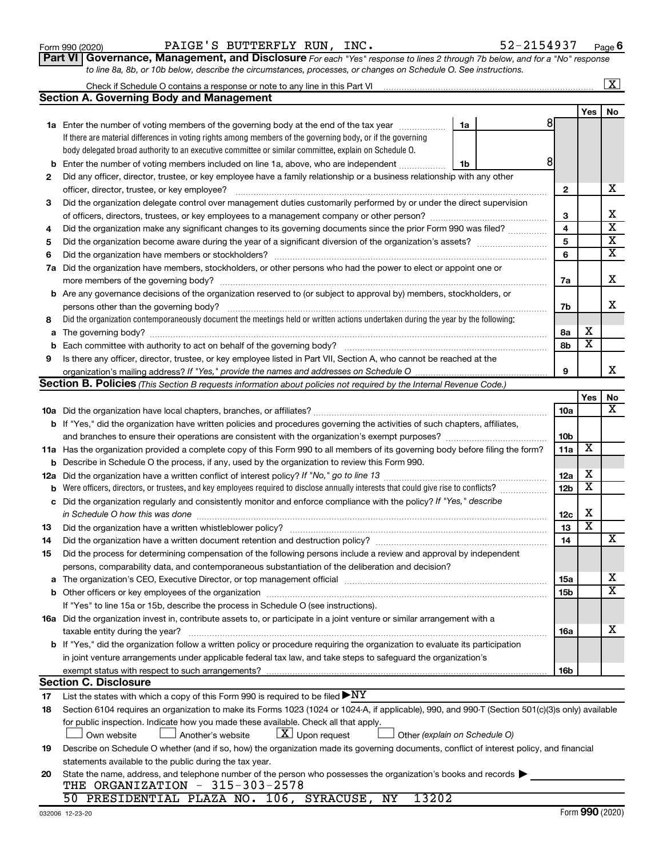|     |                                                                                                                                                  |    |                 | $\sim$                  | 117                     |
|-----|--------------------------------------------------------------------------------------------------------------------------------------------------|----|-----------------|-------------------------|-------------------------|
|     | 1a Enter the number of voting members of the governing body at the end of the tax year                                                           | 1a | 81              |                         |                         |
|     | If there are material differences in voting rights among members of the governing body, or if the governing                                      |    |                 |                         |                         |
|     | body delegated broad authority to an executive committee or similar committee, explain on Schedule O.                                            |    |                 |                         |                         |
| b   | Enter the number of voting members included on line 1a, above, who are independent                                                               | 1b | 8               |                         |                         |
| 2   | Did any officer, director, trustee, or key employee have a family relationship or a business relationship with any other                         |    |                 |                         |                         |
|     | officer, director, trustee, or key employee?                                                                                                     |    | $\mathbf{2}$    |                         | x                       |
| 3   | Did the organization delegate control over management duties customarily performed by or under the direct supervision                            |    |                 |                         |                         |
|     |                                                                                                                                                  |    | 3               |                         | x                       |
| 4   | Did the organization make any significant changes to its governing documents since the prior Form 990 was filed?                                 |    | 4               |                         | $\overline{\textbf{x}}$ |
| 5   |                                                                                                                                                  |    | 5               |                         | $\overline{\mathbf{x}}$ |
| 6   | Did the organization have members or stockholders?                                                                                               |    | 6               |                         | $\overline{\mathbf{X}}$ |
| 7a  | Did the organization have members, stockholders, or other persons who had the power to elect or appoint one or                                   |    |                 |                         |                         |
|     | more members of the governing body?                                                                                                              |    | 7a              |                         | х                       |
|     | <b>b</b> Are any governance decisions of the organization reserved to (or subject to approval by) members, stockholders, or                      |    |                 |                         |                         |
|     | persons other than the governing body?                                                                                                           |    | 7b              |                         | X.                      |
| 8   | Did the organization contemporaneously document the meetings held or written actions undertaken during the year by the following:                |    |                 |                         |                         |
| a   |                                                                                                                                                  |    | 8а              | x                       |                         |
| b   | Each committee with authority to act on behalf of the governing body?                                                                            |    | 8b              | X                       |                         |
| 9   | Is there any officer, director, trustee, or key employee listed in Part VII, Section A, who cannot be reached at the                             |    |                 |                         |                         |
|     |                                                                                                                                                  |    | 9               |                         | x                       |
|     | Section B. Policies (This Section B requests information about policies not required by the Internal Revenue Code.)                              |    |                 |                         |                         |
|     |                                                                                                                                                  |    |                 | Yes                     | No<br>х                 |
|     |                                                                                                                                                  |    | 10a             |                         |                         |
|     | b If "Yes," did the organization have written policies and procedures governing the activities of such chapters, affiliates,                     |    | 10b             |                         |                         |
|     | 11a Has the organization provided a complete copy of this Form 990 to all members of its governing body before filing the form?                  |    | 11a             | X                       |                         |
| b   | Describe in Schedule O the process, if any, used by the organization to review this Form 990.                                                    |    |                 |                         |                         |
| 12a |                                                                                                                                                  |    | 12a             | x                       |                         |
| b   | Were officers, directors, or trustees, and key employees required to disclose annually interests that could give rise to conflicts?              |    | 12 <sub>b</sub> | X                       |                         |
| с   | Did the organization regularly and consistently monitor and enforce compliance with the policy? If "Yes," describe                               |    |                 |                         |                         |
|     | in Schedule O how this was done                                                                                                                  |    | 12c             | х                       |                         |
| 13  | Did the organization have a written whistleblower policy?                                                                                        |    | 13              | $\overline{\textbf{x}}$ |                         |
| 14  | Did the organization have a written document retention and destruction policy? [11] manufaction manufaction in                                   |    | 14              |                         | x                       |
| 15  | Did the process for determining compensation of the following persons include a review and approval by independent                               |    |                 |                         |                         |
|     | persons, comparability data, and contemporaneous substantiation of the deliberation and decision?                                                |    |                 |                         |                         |
|     |                                                                                                                                                  |    | 15a             |                         | X                       |
| b   |                                                                                                                                                  |    | 15b             |                         | $\overline{\text{x}}$   |
|     | If "Yes" to line 15a or 15b, describe the process in Schedule O (see instructions).                                                              |    |                 |                         |                         |
|     | 16a Did the organization invest in, contribute assets to, or participate in a joint venture or similar arrangement with a                        |    |                 |                         |                         |
|     | taxable entity during the year?                                                                                                                  |    | 16a             |                         | x                       |
|     | b If "Yes," did the organization follow a written policy or procedure requiring the organization to evaluate its participation                   |    |                 |                         |                         |
|     | in joint venture arrangements under applicable federal tax law, and take steps to safeguard the organization's                                   |    |                 |                         |                         |
|     | exempt status with respect to such arrangements?                                                                                                 |    | 16b             |                         |                         |
|     | <b>Section C. Disclosure</b>                                                                                                                     |    |                 |                         |                         |
| 17  | List the states with which a copy of this Form 990 is required to be filed $\blacktriangleright\text{NY}$                                        |    |                 |                         |                         |
| 18  | Section 6104 requires an organization to make its Forms 1023 (1024 or 1024-A, if applicable), 990, and 990-T (Section 501(c)(3)s only) available |    |                 |                         |                         |
|     | for public inspection. Indicate how you made these available. Check all that apply.                                                              |    |                 |                         |                         |
|     | $X$ Upon request<br>Own website<br>Another's website<br>Other (explain on Schedule O)                                                            |    |                 |                         |                         |
| 19  | Describe on Schedule O whether (and if so, how) the organization made its governing documents, conflict of interest policy, and financial        |    |                 |                         |                         |
|     | statements available to the public during the tax year.                                                                                          |    |                 |                         |                         |
| 20  | State the name, address, and telephone number of the person who possesses the organization's books and records                                   |    |                 |                         |                         |
|     | THE ORGANIZATION - 315-303-2578                                                                                                                  |    |                 |                         |                         |
|     | 50 PRESIDENTIAL PLAZA NO. 106, SYRACUSE, NY<br>13202                                                                                             |    |                 |                         |                         |

| Form 990 (2020) |  | PAIGE'S BUTTERFLY RUN, INC. |                                                                                                                  | 52-2154937                                                                                                                           | Page |
|-----------------|--|-----------------------------|------------------------------------------------------------------------------------------------------------------|--------------------------------------------------------------------------------------------------------------------------------------|------|
|                 |  |                             |                                                                                                                  | <b>Part VI</b>   Governance, Management, and Disclosure For each "Yes" response to lines 2 through 7b below, and for a "No" response |      |
|                 |  |                             | to line 8a, 8b, or 10b below, describe the circumstances, processes, or changes on Schedule O. See instructions. |                                                                                                                                      |      |

**Section A. Governing Body and Management**

| to line 8a, 8b, or TUb below, describe the circumstances, processes, or char |  |
|------------------------------------------------------------------------------|--|
| Check if Schedule O contains a response or note to any line in this Part VI  |  |

 $\boxed{\text{X}}$ 

**Yes No**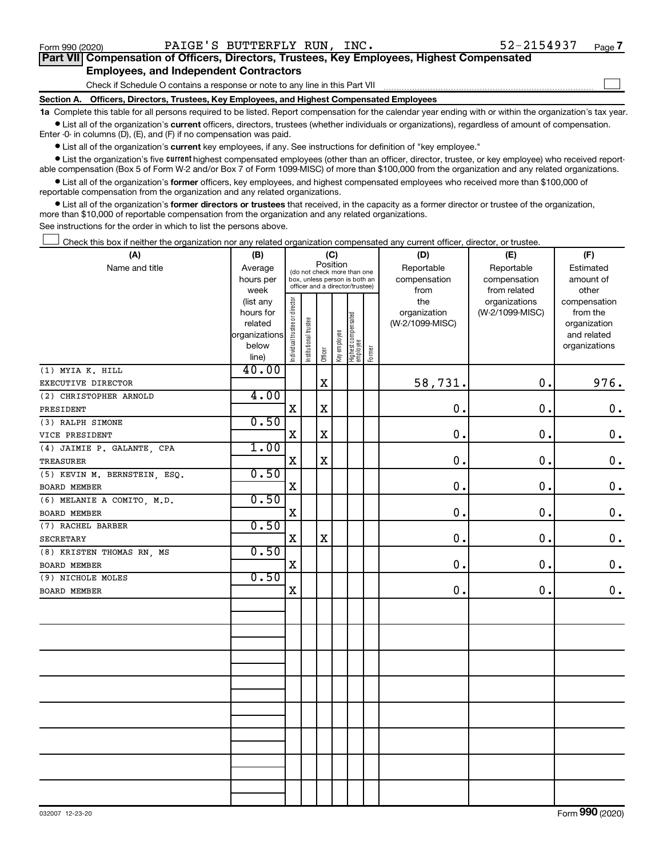$\Box$ 

| Part VII Compensation of Officers, Directors, Trustees, Key Employees, Highest Compensated |
|--------------------------------------------------------------------------------------------|
| <b>Employees, and Independent Contractors</b>                                              |

Check if Schedule O contains a response or note to any line in this Part VII

**Section A. Officers, Directors, Trustees, Key Employees, and Highest Compensated Employees**

**1a**  Complete this table for all persons required to be listed. Report compensation for the calendar year ending with or within the organization's tax year.  $\bullet$  List all of the organization's current officers, directors, trustees (whether individuals or organizations), regardless of amount of compensation.

Enter -0- in columns (D), (E), and (F) if no compensation was paid.

**•** List all of the organization's current key employees, if any. See instructions for definition of "key employee."

• List the organization's five *current* highest compensated employees (other than an officer, director, trustee, or key employee) who received reportable compensation (Box 5 of Form W-2 and/or Box 7 of Form 1099-MISC) of more than \$100,000 from the organization and any related organizations.

 $\bullet$  List all of the organization's former officers, key employees, and highest compensated employees who received more than \$100,000 of reportable compensation from the organization and any related organizations.

**•** List all of the organization's former directors or trustees that received, in the capacity as a former director or trustee of the organization, more than \$10,000 of reportable compensation from the organization and any related organizations.

See instructions for the order in which to list the persons above.

Check this box if neither the organization nor any related organization compensated any current officer, director, or trustee.  $\Box$ 

| (A)                          | (B)                                                                  |                                |                                                                                                             |             | (C)          |                                 |        | (D)                                    | (E)                                        | (F)                                                                      |
|------------------------------|----------------------------------------------------------------------|--------------------------------|-------------------------------------------------------------------------------------------------------------|-------------|--------------|---------------------------------|--------|----------------------------------------|--------------------------------------------|--------------------------------------------------------------------------|
| Name and title               | Average<br>hours per<br>week                                         |                                | Position<br>(do not check more than one<br>box, unless person is both an<br>officer and a director/trustee) |             |              |                                 |        | Reportable<br>compensation<br>from     | Reportable<br>compensation<br>from related | Estimated<br>amount of<br>other                                          |
|                              | (list any<br>hours for<br>related<br>organizations<br>below<br>line) | Individual trustee or director | Institutional trustee                                                                                       | Officer     | Key employee | Highest compensated<br>employee | Former | the<br>organization<br>(W-2/1099-MISC) | organizations<br>(W-2/1099-MISC)           | compensation<br>from the<br>organization<br>and related<br>organizations |
| (1) MYIA K. HILL             | 40.00                                                                |                                |                                                                                                             |             |              |                                 |        |                                        |                                            |                                                                          |
| EXECUTIVE DIRECTOR           |                                                                      |                                |                                                                                                             | $\mathbf X$ |              |                                 |        | 58,731.                                | 0.                                         | 976.                                                                     |
| (2) CHRISTOPHER ARNOLD       | 4.00                                                                 |                                |                                                                                                             |             |              |                                 |        |                                        |                                            |                                                                          |
| PRESIDENT                    |                                                                      | $\mathbf X$                    |                                                                                                             | $\mathbf X$ |              |                                 |        | 0.                                     | 0.                                         | $\mathbf 0$ .                                                            |
| (3) RALPH SIMONE             | 0.50                                                                 |                                |                                                                                                             |             |              |                                 |        |                                        |                                            |                                                                          |
| VICE PRESIDENT               |                                                                      | X                              |                                                                                                             | $\mathbf X$ |              |                                 |        | 0.                                     | 0.                                         | $\mathbf 0$ .                                                            |
| (4) JAIMIE P. GALANTE, CPA   | 1.00                                                                 |                                |                                                                                                             |             |              |                                 |        |                                        |                                            |                                                                          |
| <b>TREASURER</b>             |                                                                      | $\mathbf X$                    |                                                                                                             | $\mathbf X$ |              |                                 |        | 0.                                     | 0.                                         | 0.                                                                       |
| (5) KEVIN M. BERNSTEIN, ESQ. | 0.50                                                                 |                                |                                                                                                             |             |              |                                 |        |                                        |                                            |                                                                          |
| BOARD MEMBER                 |                                                                      | $\mathbf X$                    |                                                                                                             |             |              |                                 |        | 0.                                     | 0.                                         | $\mathbf 0$ .                                                            |
| (6) MELANIE A COMITO, M.D.   | 0.50                                                                 |                                |                                                                                                             |             |              |                                 |        |                                        |                                            |                                                                          |
| BOARD MEMBER                 |                                                                      | X                              |                                                                                                             |             |              |                                 |        | $\mathbf 0$ .                          | $\mathbf 0$ .                              | $\mathbf 0$ .                                                            |
| (7) RACHEL BARBER            | 0.50                                                                 |                                |                                                                                                             |             |              |                                 |        |                                        |                                            |                                                                          |
| <b>SECRETARY</b>             |                                                                      | X                              |                                                                                                             | $\mathbf X$ |              |                                 |        | $\mathbf{0}$ .                         | 0.                                         | $\mathbf 0$ .                                                            |
| (8) KRISTEN THOMAS RN. MS    | 0.50                                                                 |                                |                                                                                                             |             |              |                                 |        |                                        |                                            |                                                                          |
| <b>BOARD MEMBER</b>          |                                                                      | $\mathbf X$                    |                                                                                                             |             |              |                                 |        | 0.                                     | 0.                                         | $0$ .                                                                    |
| (9) NICHOLE MOLES            | 0.50                                                                 |                                |                                                                                                             |             |              |                                 |        |                                        |                                            |                                                                          |
| BOARD MEMBER                 |                                                                      | $\mathbf X$                    |                                                                                                             |             |              |                                 |        | 0.                                     | 0.                                         | $0$ .                                                                    |
|                              |                                                                      |                                |                                                                                                             |             |              |                                 |        |                                        |                                            |                                                                          |
|                              |                                                                      |                                |                                                                                                             |             |              |                                 |        |                                        |                                            |                                                                          |
|                              |                                                                      |                                |                                                                                                             |             |              |                                 |        |                                        |                                            |                                                                          |
|                              |                                                                      |                                |                                                                                                             |             |              |                                 |        |                                        |                                            |                                                                          |
|                              |                                                                      |                                |                                                                                                             |             |              |                                 |        |                                        |                                            |                                                                          |
|                              |                                                                      |                                |                                                                                                             |             |              |                                 |        |                                        |                                            |                                                                          |
|                              |                                                                      |                                |                                                                                                             |             |              |                                 |        |                                        |                                            |                                                                          |
|                              |                                                                      |                                |                                                                                                             |             |              |                                 |        |                                        |                                            |                                                                          |
|                              |                                                                      |                                |                                                                                                             |             |              |                                 |        |                                        |                                            |                                                                          |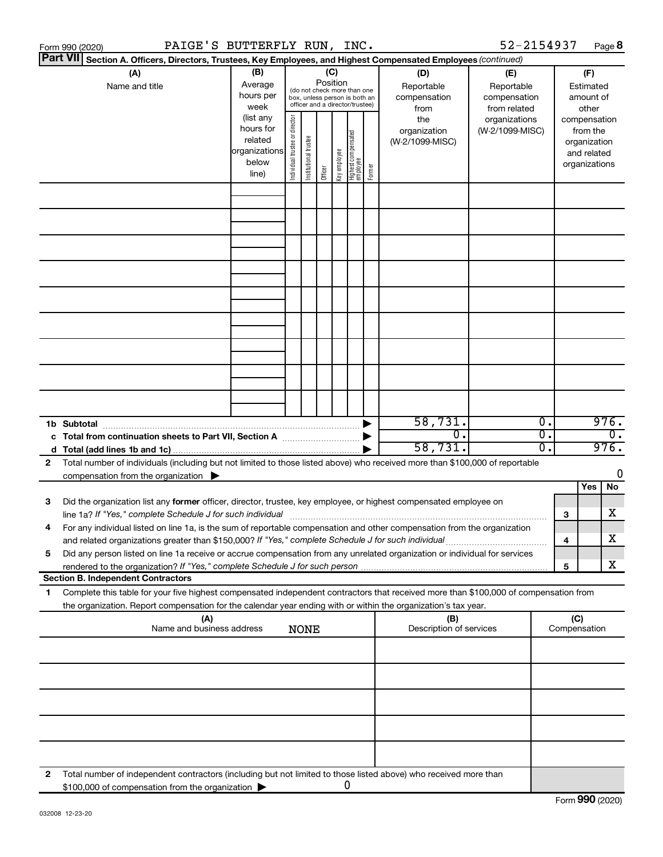|   | PAIGE'S BUTTERFLY RUN, INC.<br>Form 990 (2020)                                                                                                                                                                                                         |                                                                      |                                |                                                                                                 |         |              |                                   |        |                                           | 52-2154937                                        |                                      |                                                          | Page 8                   |  |
|---|--------------------------------------------------------------------------------------------------------------------------------------------------------------------------------------------------------------------------------------------------------|----------------------------------------------------------------------|--------------------------------|-------------------------------------------------------------------------------------------------|---------|--------------|-----------------------------------|--------|-------------------------------------------|---------------------------------------------------|--------------------------------------|----------------------------------------------------------|--------------------------|--|
|   | <b>Part VII</b><br>Section A. Officers, Directors, Trustees, Key Employees, and Highest Compensated Employees (continued)                                                                                                                              |                                                                      |                                |                                                                                                 |         |              |                                   |        |                                           |                                                   |                                      |                                                          |                          |  |
|   | (A)<br>Name and title                                                                                                                                                                                                                                  | (B)<br>Average<br>hours per<br>week                                  |                                | (do not check more than one<br>box, unless person is both an<br>officer and a director/trustee) | (C)     | Position     |                                   |        | (D)<br>Reportable<br>compensation<br>from | (E)<br>Reportable<br>compensation<br>from related |                                      | (F)<br>Estimated<br>amount of<br>other                   |                          |  |
|   |                                                                                                                                                                                                                                                        | (list any<br>hours for<br>related<br>organizations<br>below<br>line) | Individual trustee or director | Institutional trustee                                                                           | Officer | Key employee | Highest compensated<br>  employee | Former | the<br>organization<br>(W-2/1099-MISC)    | organizations<br>(W-2/1099-MISC)                  |                                      | from the<br>organization<br>and related<br>organizations | compensation             |  |
|   |                                                                                                                                                                                                                                                        |                                                                      |                                |                                                                                                 |         |              |                                   |        |                                           |                                                   |                                      |                                                          |                          |  |
|   |                                                                                                                                                                                                                                                        |                                                                      |                                |                                                                                                 |         |              |                                   |        |                                           |                                                   |                                      |                                                          |                          |  |
|   |                                                                                                                                                                                                                                                        |                                                                      |                                |                                                                                                 |         |              |                                   |        |                                           |                                                   |                                      |                                                          |                          |  |
|   |                                                                                                                                                                                                                                                        |                                                                      |                                |                                                                                                 |         |              |                                   |        |                                           |                                                   |                                      |                                                          |                          |  |
|   |                                                                                                                                                                                                                                                        |                                                                      |                                |                                                                                                 |         |              |                                   |        |                                           |                                                   |                                      |                                                          |                          |  |
|   |                                                                                                                                                                                                                                                        |                                                                      |                                |                                                                                                 |         |              |                                   |        |                                           |                                                   |                                      |                                                          |                          |  |
|   |                                                                                                                                                                                                                                                        |                                                                      |                                |                                                                                                 |         |              |                                   |        |                                           |                                                   |                                      |                                                          |                          |  |
|   |                                                                                                                                                                                                                                                        |                                                                      |                                |                                                                                                 |         |              |                                   |        |                                           |                                                   |                                      |                                                          |                          |  |
|   |                                                                                                                                                                                                                                                        |                                                                      |                                |                                                                                                 |         |              |                                   |        | 58,731.<br>σ.                             |                                                   | $\overline{0}$ .<br>$\overline{0}$ . |                                                          | 976.<br>$\overline{0}$ . |  |
|   | c Total from continuation sheets to Part VII, Section A manus and the set of the Section A                                                                                                                                                             |                                                                      |                                |                                                                                                 |         |              |                                   |        | 58,731.                                   |                                                   | $\overline{0}$ .                     |                                                          | 976.                     |  |
| 2 | Total number of individuals (including but not limited to those listed above) who received more than \$100,000 of reportable                                                                                                                           |                                                                      |                                |                                                                                                 |         |              |                                   |        |                                           |                                                   |                                      |                                                          |                          |  |
|   | compensation from the organization $\blacktriangleright$                                                                                                                                                                                               |                                                                      |                                |                                                                                                 |         |              |                                   |        |                                           |                                                   |                                      | Yes                                                      | 0<br>No                  |  |
| 3 | Did the organization list any former officer, director, trustee, key employee, or highest compensated employee on                                                                                                                                      |                                                                      |                                |                                                                                                 |         |              |                                   |        |                                           |                                                   |                                      | 3                                                        | x                        |  |
|   | For any individual listed on line 1a, is the sum of reportable compensation and other compensation from the organization<br>and related organizations greater than \$150,000? If "Yes," complete Schedule J for such individual                        |                                                                      |                                |                                                                                                 |         |              |                                   |        |                                           |                                                   |                                      | 4                                                        | х                        |  |
| 5 | Did any person listed on line 1a receive or accrue compensation from any unrelated organization or individual for services                                                                                                                             |                                                                      |                                |                                                                                                 |         |              |                                   |        |                                           |                                                   |                                      | 5                                                        | x                        |  |
|   | <b>Section B. Independent Contractors</b>                                                                                                                                                                                                              |                                                                      |                                |                                                                                                 |         |              |                                   |        |                                           |                                                   |                                      |                                                          |                          |  |
| 1 | Complete this table for your five highest compensated independent contractors that received more than \$100,000 of compensation from<br>the organization. Report compensation for the calendar year ending with or within the organization's tax year. |                                                                      |                                |                                                                                                 |         |              |                                   |        |                                           |                                                   |                                      |                                                          |                          |  |
|   | (A)<br>Name and business address                                                                                                                                                                                                                       |                                                                      |                                | <b>NONE</b>                                                                                     |         |              |                                   |        | (B)<br>Description of services            |                                                   |                                      | (C)<br>Compensation                                      |                          |  |
|   |                                                                                                                                                                                                                                                        |                                                                      |                                |                                                                                                 |         |              |                                   |        |                                           |                                                   |                                      |                                                          |                          |  |
|   |                                                                                                                                                                                                                                                        |                                                                      |                                |                                                                                                 |         |              |                                   |        |                                           |                                                   |                                      |                                                          |                          |  |
|   |                                                                                                                                                                                                                                                        |                                                                      |                                |                                                                                                 |         |              |                                   |        |                                           |                                                   |                                      |                                                          |                          |  |
|   |                                                                                                                                                                                                                                                        |                                                                      |                                |                                                                                                 |         |              |                                   |        |                                           |                                                   |                                      |                                                          |                          |  |
| 2 | Total number of independent contractors (including but not limited to those listed above) who received more than<br>\$100,000 of compensation from the organization                                                                                    |                                                                      |                                |                                                                                                 |         |              | 0                                 |        |                                           |                                                   |                                      |                                                          |                          |  |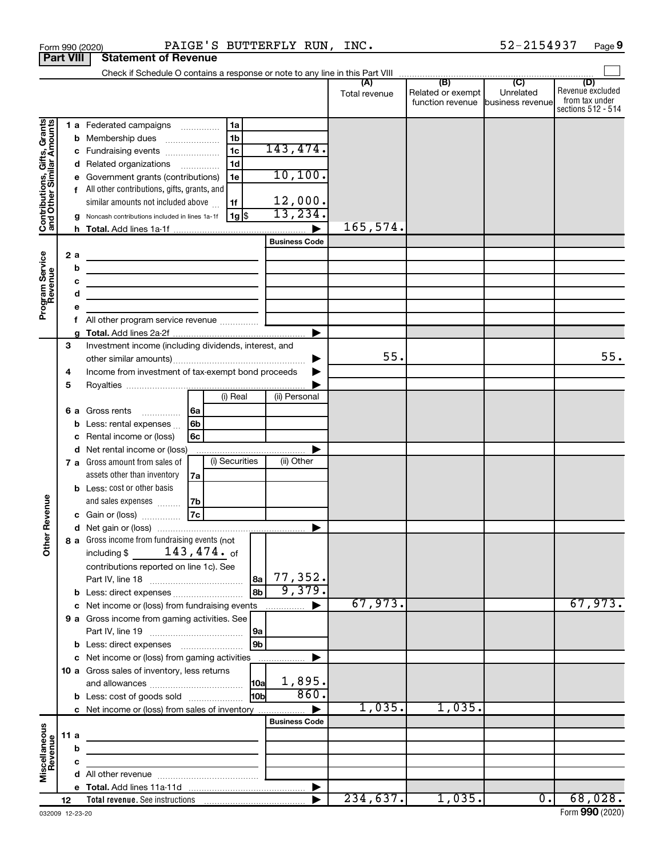|                                                           | Form 990 (2020)  |                                                                             | PAIGE'S BUTTERFLY RUN, INC. |                           |               |                                   | 52-2154937                  | Page 9                  |
|-----------------------------------------------------------|------------------|-----------------------------------------------------------------------------|-----------------------------|---------------------------|---------------|-----------------------------------|-----------------------------|-------------------------|
|                                                           | <b>Part VIII</b> | <b>Statement of Revenue</b>                                                 |                             |                           |               |                                   |                             |                         |
|                                                           |                  |                                                                             |                             |                           |               |                                   |                             |                         |
|                                                           |                  |                                                                             |                             |                           | Total revenue | Related or exempt                 | Unrelated                   | (D)<br>Revenue excluded |
|                                                           |                  |                                                                             |                             |                           |               | function revenue business revenue |                             | from tax under          |
|                                                           |                  |                                                                             |                             |                           |               |                                   |                             | sections 512 - 514      |
| Contributions, Gifts, Grants<br>and Other Similar Amounts |                  | 1 a Federated campaigns                                                     | 1a                          |                           |               |                                   |                             |                         |
|                                                           |                  | <b>b</b> Membership dues                                                    | 1b                          | 143,474.                  |               |                                   |                             |                         |
|                                                           |                  | c Fundraising events                                                        | 1 <sub>c</sub>              |                           |               |                                   |                             |                         |
|                                                           |                  | d Related organizations                                                     | 1 <sub>d</sub>              | 10, 100.                  |               |                                   |                             |                         |
|                                                           | е                | Government grants (contributions)                                           | 1e                          |                           |               |                                   |                             |                         |
|                                                           |                  | f All other contributions, gifts, grants, and                               |                             |                           |               |                                   |                             |                         |
|                                                           |                  | similar amounts not included above                                          | 1f                          | $\frac{12,000}{13,234}$ . |               |                                   |                             |                         |
|                                                           |                  | g Noncash contributions included in lines 1a-1f                             | 1g  \$                      |                           | 165,574.      |                                   |                             |                         |
|                                                           |                  |                                                                             |                             | <b>Business Code</b>      |               |                                   |                             |                         |
|                                                           |                  |                                                                             |                             |                           |               |                                   |                             |                         |
| Program Service<br>Revenue                                | 2a               |                                                                             |                             |                           |               |                                   |                             |                         |
|                                                           | b                | the contract of the contract of the contract of the contract of             |                             |                           |               |                                   |                             |                         |
|                                                           | c                | <u> 1989 - Johann Stein, mars an deus an deus Amerikaansk kommunister (</u> |                             |                           |               |                                   |                             |                         |
|                                                           | d                | the control of the control of the control of the control of the control of  |                             |                           |               |                                   |                             |                         |
|                                                           | e                |                                                                             |                             |                           |               |                                   |                             |                         |
|                                                           |                  |                                                                             |                             |                           |               |                                   |                             |                         |
|                                                           | 3                | Investment income (including dividends, interest, and                       |                             |                           |               |                                   |                             |                         |
|                                                           |                  |                                                                             |                             | ▶                         | 55.           |                                   |                             | 55.                     |
|                                                           | 4                | Income from investment of tax-exempt bond proceeds                          |                             |                           |               |                                   |                             |                         |
|                                                           | 5                |                                                                             |                             |                           |               |                                   |                             |                         |
|                                                           |                  |                                                                             | (i) Real                    | (ii) Personal             |               |                                   |                             |                         |
|                                                           |                  | 6 a Gross rents                                                             | ∣6a                         |                           |               |                                   |                             |                         |
|                                                           | b                | Less: rental expenses                                                       | 6 <sub>b</sub>              |                           |               |                                   |                             |                         |
|                                                           | c                | Rental income or (loss)                                                     | 6с                          |                           |               |                                   |                             |                         |
|                                                           |                  | d Net rental income or (loss)                                               |                             | ▶                         |               |                                   |                             |                         |
|                                                           |                  | 7 a Gross amount from sales of                                              | (i) Securities              | (ii) Other                |               |                                   |                             |                         |
|                                                           |                  | assets other than inventory                                                 | 7a                          |                           |               |                                   |                             |                         |
|                                                           |                  | <b>b</b> Less: cost or other basis                                          |                             |                           |               |                                   |                             |                         |
|                                                           |                  | and sales expenses                                                          | 7b                          |                           |               |                                   |                             |                         |
| evenue                                                    |                  | c Gain or (loss)                                                            | 7c                          |                           |               |                                   |                             |                         |
| œ                                                         |                  |                                                                             |                             |                           |               |                                   |                             |                         |
|                                                           |                  | 8 a Gross income from fundraising events (not                               |                             |                           |               |                                   |                             |                         |
| Other <sup>1</sup>                                        |                  | $143$ ,474. of<br>including \$                                              |                             |                           |               |                                   |                             |                         |
|                                                           |                  | contributions reported on line 1c). See                                     |                             |                           |               |                                   |                             |                         |
|                                                           |                  |                                                                             | 8a                          | 77,352.                   |               |                                   |                             |                         |
|                                                           |                  |                                                                             | 8 <sub>b</sub>              | 9,379.                    |               |                                   |                             |                         |
|                                                           |                  | c Net income or (loss) from fundraising events                              |                             | ▶                         | 67,973.       |                                   |                             | 67,973.                 |
|                                                           |                  | 9 a Gross income from gaming activities. See                                |                             |                           |               |                                   |                             |                         |
|                                                           |                  |                                                                             | 9a                          |                           |               |                                   |                             |                         |
|                                                           |                  |                                                                             | 9 <sub>b</sub>              |                           |               |                                   |                             |                         |
|                                                           |                  | c Net income or (loss) from gaming activities                               |                             | ▶                         |               |                                   |                             |                         |
|                                                           |                  | 10 a Gross sales of inventory, less returns                                 |                             |                           |               |                                   |                             |                         |
|                                                           |                  |                                                                             | <b>10a</b>                  | 1,895.                    |               |                                   |                             |                         |
|                                                           |                  | <b>b</b> Less: cost of goods sold                                           | 10 <sub>b</sub>             | 860.                      |               |                                   |                             |                         |
|                                                           |                  | c Net income or (loss) from sales of inventory                              |                             |                           | 1,035.        | 1,035.                            |                             |                         |
|                                                           |                  |                                                                             |                             | <b>Business Code</b>      |               |                                   |                             |                         |
|                                                           | 11a              |                                                                             |                             |                           |               |                                   |                             |                         |
|                                                           | b                |                                                                             |                             |                           |               |                                   |                             |                         |
| Miscellaneous<br>Revenue                                  | c                |                                                                             |                             |                           |               |                                   |                             |                         |
|                                                           |                  |                                                                             |                             |                           |               |                                   |                             |                         |
|                                                           |                  |                                                                             |                             | $\blacktriangleright$     |               |                                   |                             |                         |
|                                                           | 12               |                                                                             |                             |                           | 234,637.      | 1,035.                            | $\overline{\mathfrak{o}}$ . | 68,028.                 |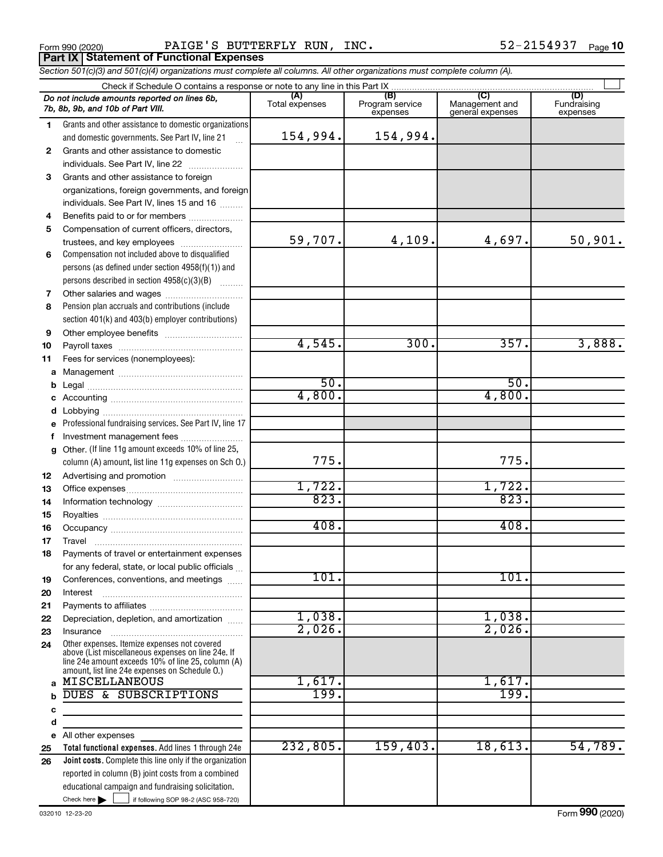Form 990 (2020) Page PAIGE'S BUTTERFLY RUN, INC. 52-2154937 **Part IX Statement of Functional Expenses**

*Section 501(c)(3) and 501(c)(4) organizations must complete all columns. All other organizations must complete column (A).*

|          | Check if Schedule O contains a response or note to any line in this Part IX                                                                                                                                |                       |                                    |                                           |                                |
|----------|------------------------------------------------------------------------------------------------------------------------------------------------------------------------------------------------------------|-----------------------|------------------------------------|-------------------------------------------|--------------------------------|
|          | Do not include amounts reported on lines 6b,<br>7b, 8b, 9b, and 10b of Part VIII.                                                                                                                          | (A)<br>Total expenses | (B)<br>Program service<br>expenses | (C)<br>Management and<br>general expenses | (D)<br>Fundraising<br>expenses |
| 1.       | Grants and other assistance to domestic organizations                                                                                                                                                      |                       |                                    |                                           |                                |
|          | and domestic governments. See Part IV, line 21                                                                                                                                                             | 154,994.              | 154,994.                           |                                           |                                |
| 2        | Grants and other assistance to domestic                                                                                                                                                                    |                       |                                    |                                           |                                |
|          | individuals. See Part IV, line 22                                                                                                                                                                          |                       |                                    |                                           |                                |
| 3        | Grants and other assistance to foreign                                                                                                                                                                     |                       |                                    |                                           |                                |
|          | organizations, foreign governments, and foreign                                                                                                                                                            |                       |                                    |                                           |                                |
|          | individuals. See Part IV, lines 15 and 16                                                                                                                                                                  |                       |                                    |                                           |                                |
| 4        | Benefits paid to or for members                                                                                                                                                                            |                       |                                    |                                           |                                |
| 5        | Compensation of current officers, directors,                                                                                                                                                               |                       |                                    |                                           |                                |
|          | trustees, and key employees                                                                                                                                                                                | 59,707.               | 4,109.                             | 4,697.                                    | 50,901.                        |
| 6        | Compensation not included above to disqualified                                                                                                                                                            |                       |                                    |                                           |                                |
|          | persons (as defined under section 4958(f)(1)) and                                                                                                                                                          |                       |                                    |                                           |                                |
|          | persons described in section 4958(c)(3)(B)                                                                                                                                                                 |                       |                                    |                                           |                                |
| 7        |                                                                                                                                                                                                            |                       |                                    |                                           |                                |
| 8        | Pension plan accruals and contributions (include                                                                                                                                                           |                       |                                    |                                           |                                |
|          | section 401(k) and 403(b) employer contributions)                                                                                                                                                          |                       |                                    |                                           |                                |
| 9        |                                                                                                                                                                                                            |                       |                                    |                                           |                                |
| 10       |                                                                                                                                                                                                            | 4,545.                | 300.                               | 357.                                      | 3,888.                         |
| 11       | Fees for services (nonemployees):                                                                                                                                                                          |                       |                                    |                                           |                                |
| а        |                                                                                                                                                                                                            |                       |                                    |                                           |                                |
| b        |                                                                                                                                                                                                            | 50.                   |                                    | 50.                                       |                                |
| c        |                                                                                                                                                                                                            | 4,800.                |                                    | 4,800.                                    |                                |
| d        |                                                                                                                                                                                                            |                       |                                    |                                           |                                |
| е        | Professional fundraising services. See Part IV, line 17                                                                                                                                                    |                       |                                    |                                           |                                |
| f        | Investment management fees                                                                                                                                                                                 |                       |                                    |                                           |                                |
| g        | Other. (If line 11g amount exceeds 10% of line 25,                                                                                                                                                         |                       |                                    |                                           |                                |
|          | column (A) amount, list line 11g expenses on Sch O.)                                                                                                                                                       | 775.                  |                                    | 775.                                      |                                |
| 12       |                                                                                                                                                                                                            | 1,722.                |                                    |                                           |                                |
| 13       |                                                                                                                                                                                                            | 823.                  |                                    | 1,722.<br>823.                            |                                |
| 14       |                                                                                                                                                                                                            |                       |                                    |                                           |                                |
| 15       |                                                                                                                                                                                                            | 408.                  |                                    | 408.                                      |                                |
| 16       |                                                                                                                                                                                                            |                       |                                    |                                           |                                |
| 17       | Travel                                                                                                                                                                                                     |                       |                                    |                                           |                                |
| 18       | Payments of travel or entertainment expenses                                                                                                                                                               |                       |                                    |                                           |                                |
|          | for any federal, state, or local public officials                                                                                                                                                          | 101.                  |                                    | 101.                                      |                                |
| 19<br>20 | Conferences, conventions, and meetings<br>Interest                                                                                                                                                         |                       |                                    |                                           |                                |
| 21       |                                                                                                                                                                                                            |                       |                                    |                                           |                                |
| 22       | Depreciation, depletion, and amortization                                                                                                                                                                  | 1,038.                |                                    | 1,038.                                    |                                |
| 23       | Insurance                                                                                                                                                                                                  | 2,026.                |                                    | 2,026.                                    |                                |
| 24       | Other expenses. Itemize expenses not covered<br>above (List miscellaneous expenses on line 24e. If<br>line 24e amount exceeds 10% of line 25, column (A)<br>amount, list line 24e expenses on Schedule O.) |                       |                                    |                                           |                                |
| a        | <b>MISCELLANEOUS</b>                                                                                                                                                                                       | 1,617.                |                                    | 1,617.                                    |                                |
|          | DUES & SUBSCRIPTIONS                                                                                                                                                                                       | 199.                  |                                    | 199.                                      |                                |
| c        |                                                                                                                                                                                                            |                       |                                    |                                           |                                |
| d        |                                                                                                                                                                                                            |                       |                                    |                                           |                                |
| е        | All other expenses                                                                                                                                                                                         |                       |                                    |                                           |                                |
| 25       | Total functional expenses. Add lines 1 through 24e                                                                                                                                                         | 232,805.              | 159,403.                           | 18,613.                                   | 54,789.                        |
| 26       | <b>Joint costs.</b> Complete this line only if the organization                                                                                                                                            |                       |                                    |                                           |                                |
|          | reported in column (B) joint costs from a combined                                                                                                                                                         |                       |                                    |                                           |                                |
|          | educational campaign and fundraising solicitation.                                                                                                                                                         |                       |                                    |                                           |                                |
|          | Check here $\blacktriangleright$<br>if following SOP 98-2 (ASC 958-720)                                                                                                                                    |                       |                                    |                                           |                                |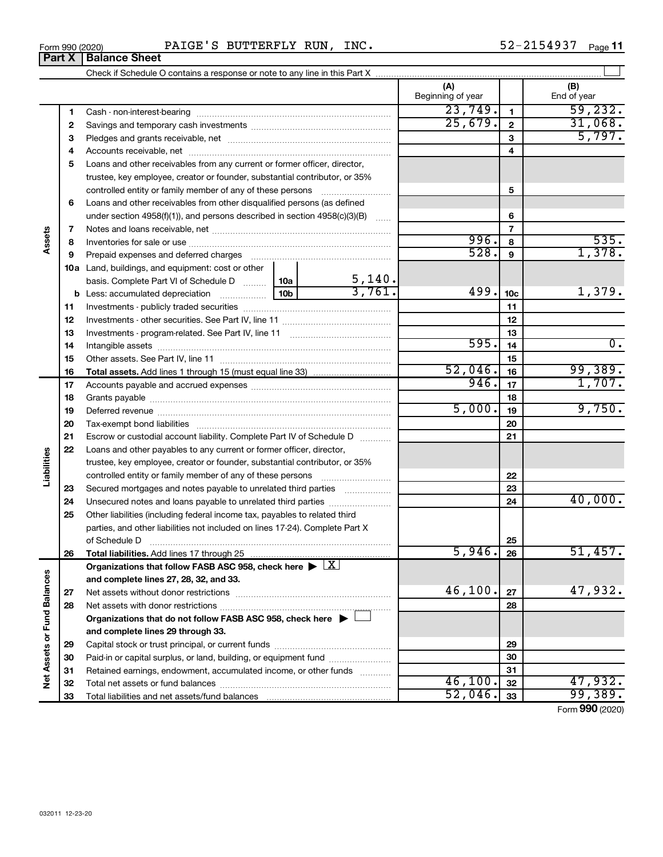| 2154937<br>PAIGE'S<br><b>RUN</b><br>BUTTERFLY<br>INC.<br>Form 990 (2020)<br>– 2 ب<br>$\mathbf{A}$ | Page |
|---------------------------------------------------------------------------------------------------|------|
|---------------------------------------------------------------------------------------------------|------|

|                                    |              | <b>Part X   Balance Sheet</b>                                                                          |                       |                          |                 |                    |
|------------------------------------|--------------|--------------------------------------------------------------------------------------------------------|-----------------------|--------------------------|-----------------|--------------------|
|                                    |              |                                                                                                        |                       |                          |                 |                    |
|                                    |              |                                                                                                        |                       | (A)<br>Beginning of year |                 | (B)<br>End of year |
|                                    | 1            |                                                                                                        |                       | 23,749.                  | $\mathbf{1}$    | 59,232.            |
|                                    | $\mathbf{2}$ |                                                                                                        |                       | 25,679.                  | $\overline{2}$  | 31,068.            |
|                                    | з            |                                                                                                        |                       |                          | 3               | 5,797.             |
|                                    | 4            |                                                                                                        |                       |                          | 4               |                    |
|                                    | 5            | Loans and other receivables from any current or former officer, director,                              |                       |                          |                 |                    |
|                                    |              | trustee, key employee, creator or founder, substantial contributor, or 35%                             |                       |                          |                 |                    |
|                                    |              | controlled entity or family member of any of these persons                                             |                       |                          | 5               |                    |
|                                    | 6            | Loans and other receivables from other disqualified persons (as defined                                |                       |                          |                 |                    |
|                                    |              | under section $4958(f)(1)$ , and persons described in section $4958(c)(3)(B)$                          |                       |                          | 6               |                    |
|                                    | 7            |                                                                                                        |                       |                          | $\overline{7}$  |                    |
| Assets                             | 8            |                                                                                                        |                       | 996.                     | 8               | 535.               |
|                                    | 9            | Prepaid expenses and deferred charges                                                                  |                       | 528.                     | 9               | 1,378.             |
|                                    |              | <b>10a</b> Land, buildings, and equipment: cost or other                                               |                       |                          |                 |                    |
|                                    |              | basis. Complete Part VI of Schedule D  10a                                                             |                       |                          |                 |                    |
|                                    |              |                                                                                                        | $\frac{5,140}{3,761}$ | 499.                     | 10 <sub>c</sub> | 1,379.             |
|                                    | 11           |                                                                                                        |                       |                          | 11              |                    |
|                                    | 12           |                                                                                                        |                       |                          | 12              |                    |
|                                    | 13           |                                                                                                        |                       |                          | 13              |                    |
|                                    | 14           |                                                                                                        |                       | 595.                     | 14              | $\overline{0}$ .   |
|                                    | 15           |                                                                                                        |                       |                          | 15              |                    |
|                                    | 16           |                                                                                                        |                       | 52,046.                  | 16              | 99,389.            |
|                                    | 17           |                                                                                                        |                       | 946.                     | 17              | 1,707.             |
|                                    | 18           |                                                                                                        |                       |                          | 18              |                    |
|                                    | 19           |                                                                                                        |                       | 5,000.                   | 19              | 9,750.             |
|                                    | 20           |                                                                                                        |                       |                          | 20              |                    |
|                                    | 21           | Escrow or custodial account liability. Complete Part IV of Schedule D                                  |                       |                          | 21              |                    |
|                                    | 22           | Loans and other payables to any current or former officer, director,                                   |                       |                          |                 |                    |
|                                    |              | trustee, key employee, creator or founder, substantial contributor, or 35%                             |                       |                          |                 |                    |
| abilities                          |              |                                                                                                        |                       |                          | 22              |                    |
|                                    | 23           | Secured mortgages and notes payable to unrelated third parties                                         |                       |                          | 23              |                    |
|                                    | 24           | Unsecured notes and loans payable to unrelated third parties                                           |                       |                          | 24              | 40,000.            |
|                                    | 25           | Other liabilities (including federal income tax, payables to related third                             |                       |                          |                 |                    |
|                                    |              | parties, and other liabilities not included on lines 17-24). Complete Part X                           |                       |                          |                 |                    |
|                                    |              | of Schedule D                                                                                          |                       |                          | 25              |                    |
|                                    | 26           | Total liabilities. Add lines 17 through 25                                                             |                       | 5,946.                   | 26              | 51,457.            |
|                                    |              | Organizations that follow FASB ASC 958, check here $\blacktriangleright \lfloor \underline{X} \rfloor$ |                       |                          |                 |                    |
|                                    |              | and complete lines 27, 28, 32, and 33.                                                                 |                       |                          |                 |                    |
|                                    | 27           |                                                                                                        |                       | 46,100.                  | 27              | 47,932.            |
|                                    | 28           |                                                                                                        |                       |                          | 28              |                    |
|                                    |              | Organizations that do not follow FASB ASC 958, check here $\blacktriangleright$                        |                       |                          |                 |                    |
|                                    |              | and complete lines 29 through 33.                                                                      |                       |                          |                 |                    |
|                                    | 29           |                                                                                                        |                       |                          | 29              |                    |
| <b>Net Assets or Fund Balances</b> | 30           | Paid-in or capital surplus, or land, building, or equipment fund                                       |                       |                          | 30              |                    |
|                                    | 31           | Retained earnings, endowment, accumulated income, or other funds                                       |                       |                          | 31              |                    |
|                                    | 32           | Total net assets or fund balances                                                                      |                       | 46,100.                  | 32              | 47,932.            |

**33** Total liabilities and net assets/fund balances

Form (2020) **990**

**33** 52,046. 99,389.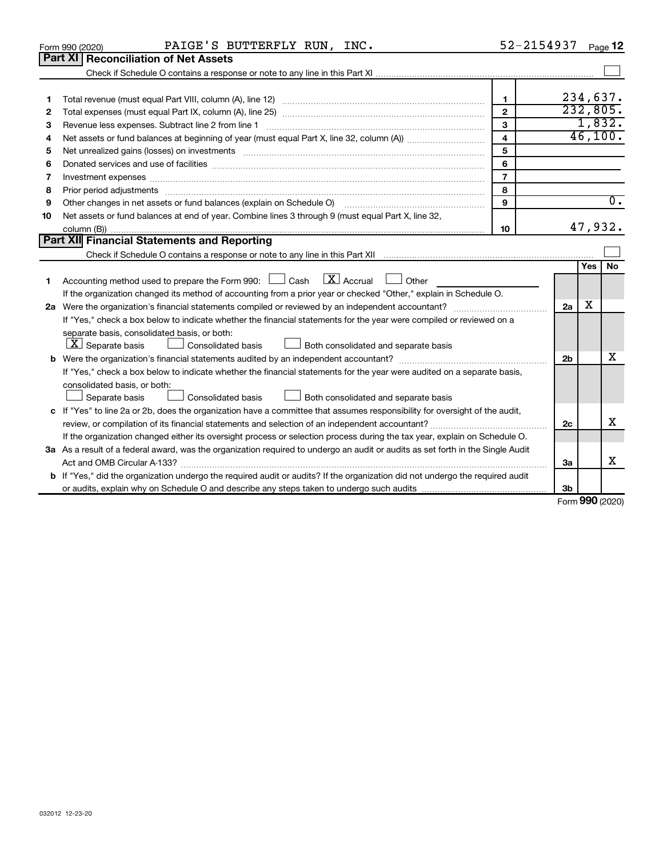|    | PAIGE'S BUTTERFLY RUN, INC.<br>Form 990 (2020)                                                                                                                                                                                 | 52-2154937              |                 |            | Page 12  |
|----|--------------------------------------------------------------------------------------------------------------------------------------------------------------------------------------------------------------------------------|-------------------------|-----------------|------------|----------|
|    | Part XI l<br><b>Reconciliation of Net Assets</b>                                                                                                                                                                               |                         |                 |            |          |
|    |                                                                                                                                                                                                                                |                         |                 |            |          |
| 1  |                                                                                                                                                                                                                                | 1                       |                 |            | 234,637. |
| 2  |                                                                                                                                                                                                                                | $\overline{2}$          |                 |            | 232,805. |
| З  |                                                                                                                                                                                                                                | 3                       |                 |            | 1,832.   |
| 4  |                                                                                                                                                                                                                                | $\overline{\mathbf{4}}$ |                 |            | 46,100.  |
| 5  | Net unrealized gains (losses) on investments [11] matter continuum matter is a set of the set of the set of the                                                                                                                | 5                       |                 |            |          |
| 6  |                                                                                                                                                                                                                                | 6                       |                 |            |          |
| 7  | Investment expenses www.communication.com/www.communication.com/www.communication.com/www.com                                                                                                                                  | $\overline{7}$          |                 |            |          |
| 8  | Prior period adjustments [111] matter contracts and adjustments and account contract of the contract of the contract of the contract of the contract of the contract of the contract of the contract of the contract of the co | 8                       |                 |            |          |
| 9  | Other changes in net assets or fund balances (explain on Schedule O) [11] [12] context changes in net assets or fund balances (explain on Schedule O)                                                                          | 9                       |                 |            | σ.       |
| 10 | Net assets or fund balances at end of year. Combine lines 3 through 9 (must equal Part X, line 32,                                                                                                                             |                         |                 |            |          |
|    |                                                                                                                                                                                                                                | 10                      |                 |            | 47,932.  |
|    | Part XII Financial Statements and Reporting                                                                                                                                                                                    |                         |                 |            |          |
|    |                                                                                                                                                                                                                                |                         |                 |            |          |
|    |                                                                                                                                                                                                                                |                         |                 | <b>Yes</b> | No       |
| 1  | $\boxed{\text{X}}$ Accrual<br>Accounting method used to prepare the Form 990: $\Box$ Cash<br>Other                                                                                                                             |                         |                 |            |          |
|    | If the organization changed its method of accounting from a prior year or checked "Other," explain in Schedule O.                                                                                                              |                         |                 |            |          |
|    |                                                                                                                                                                                                                                |                         | 2a              | x          |          |
|    | If "Yes," check a box below to indicate whether the financial statements for the year were compiled or reviewed on a                                                                                                           |                         |                 |            |          |
|    | separate basis, consolidated basis, or both:                                                                                                                                                                                   |                         |                 |            |          |
|    | $\lfloor x \rfloor$ Separate basis<br>Consolidated basis<br>Both consolidated and separate basis                                                                                                                               |                         |                 |            |          |
|    |                                                                                                                                                                                                                                |                         | 2 <sub>b</sub>  |            | х        |
|    | If "Yes," check a box below to indicate whether the financial statements for the year were audited on a separate basis,                                                                                                        |                         |                 |            |          |
|    | consolidated basis, or both:                                                                                                                                                                                                   |                         |                 |            |          |
|    | Separate basis<br>Consolidated basis<br>Both consolidated and separate basis                                                                                                                                                   |                         |                 |            |          |
|    | c If "Yes" to line 2a or 2b, does the organization have a committee that assumes responsibility for oversight of the audit,                                                                                                    |                         |                 |            |          |
|    |                                                                                                                                                                                                                                |                         | 2c              |            | х        |
|    | If the organization changed either its oversight process or selection process during the tax year, explain on Schedule O.                                                                                                      |                         |                 |            |          |
|    | 3a As a result of a federal award, was the organization required to undergo an audit or audits as set forth in the Single Audit                                                                                                |                         |                 |            | x        |
|    |                                                                                                                                                                                                                                |                         | За              |            |          |
|    | b If "Yes," did the organization undergo the required audit or audits? If the organization did not undergo the required audit                                                                                                  |                         |                 |            |          |
|    |                                                                                                                                                                                                                                |                         | 3b              |            |          |
|    |                                                                                                                                                                                                                                |                         | Form 990 (2020) |            |          |
|    |                                                                                                                                                                                                                                |                         |                 |            |          |
|    |                                                                                                                                                                                                                                |                         |                 |            |          |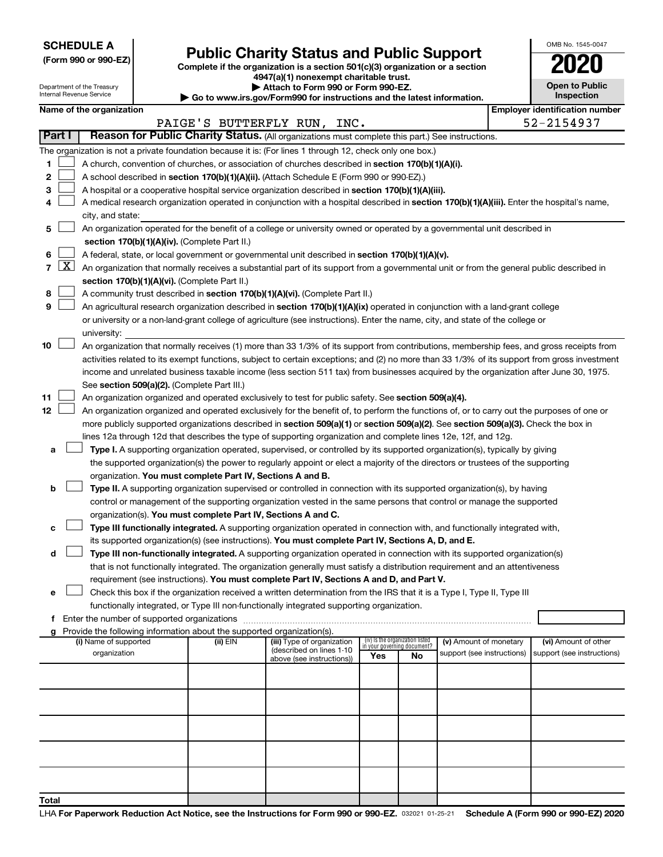**SCHEDULE A**

Department of the Treasury Internal Revenue Service

| (Form 990 or 990-EZ) |  |  |  |  |
|----------------------|--|--|--|--|
|----------------------|--|--|--|--|

# Form 990 or 990-EZ) **Public Charity Status and Public Support**<br>
Complete if the organization is a section 501(c)(3) organization or a section<br> **2020**

**4947(a)(1) nonexempt charitable trust.**

| Attach to Form 990 or Form 990-EZ.                                                           |
|----------------------------------------------------------------------------------------------|
| $\blacktriangleright$ Go to www.irs.gov/Form990 for instructions and the latest information. |

| OMB No. 1545-0047                   |  |  |  |  |  |
|-------------------------------------|--|--|--|--|--|
| U <sup>2</sup>                      |  |  |  |  |  |
| <b>Open to Public</b><br>Inspection |  |  |  |  |  |
|                                     |  |  |  |  |  |

|              |                     |                                                                                                                                              |          | י שט נט אז איזוויטו וואס אויי וויסט פון א דער וויסט איזוויט וויסט איזוויס וויסט א |                                 |    |                                                      |                                                     |
|--------------|---------------------|----------------------------------------------------------------------------------------------------------------------------------------------|----------|-----------------------------------------------------------------------------------|---------------------------------|----|------------------------------------------------------|-----------------------------------------------------|
|              |                     | Name of the organization                                                                                                                     |          |                                                                                   |                                 |    |                                                      | <b>Employer identification number</b><br>52-2154937 |
| Part I       |                     | Reason for Public Charity Status. (All organizations must complete this part.) See instructions.                                             |          | PAIGE'S BUTTERFLY RUN, INC.                                                       |                                 |    |                                                      |                                                     |
|              |                     |                                                                                                                                              |          |                                                                                   |                                 |    |                                                      |                                                     |
| 1            |                     | The organization is not a private foundation because it is: (For lines 1 through 12, check only one box.)                                    |          |                                                                                   |                                 |    |                                                      |                                                     |
|              |                     | A church, convention of churches, or association of churches described in section 170(b)(1)(A)(i).                                           |          |                                                                                   |                                 |    |                                                      |                                                     |
| $\mathbf{2}$ |                     | A school described in section 170(b)(1)(A)(ii). (Attach Schedule E (Form 990 or 990-EZ).)                                                    |          |                                                                                   |                                 |    |                                                      |                                                     |
| 3            |                     | A hospital or a cooperative hospital service organization described in section 170(b)(1)(A)(iii).                                            |          |                                                                                   |                                 |    |                                                      |                                                     |
| 4            |                     | A medical research organization operated in conjunction with a hospital described in section 170(b)(1)(A)(iii). Enter the hospital's name,   |          |                                                                                   |                                 |    |                                                      |                                                     |
|              |                     | city, and state:                                                                                                                             |          |                                                                                   |                                 |    |                                                      |                                                     |
| 5            |                     | An organization operated for the benefit of a college or university owned or operated by a governmental unit described in                    |          |                                                                                   |                                 |    |                                                      |                                                     |
|              |                     | section 170(b)(1)(A)(iv). (Complete Part II.)                                                                                                |          |                                                                                   |                                 |    |                                                      |                                                     |
| 6            |                     | A federal, state, or local government or governmental unit described in section 170(b)(1)(A)(v).                                             |          |                                                                                   |                                 |    |                                                      |                                                     |
| 7            | $\lfloor x \rfloor$ | An organization that normally receives a substantial part of its support from a governmental unit or from the general public described in    |          |                                                                                   |                                 |    |                                                      |                                                     |
|              |                     | section 170(b)(1)(A)(vi). (Complete Part II.)                                                                                                |          |                                                                                   |                                 |    |                                                      |                                                     |
| 8            |                     | A community trust described in section 170(b)(1)(A)(vi). (Complete Part II.)                                                                 |          |                                                                                   |                                 |    |                                                      |                                                     |
| 9            |                     | An agricultural research organization described in section 170(b)(1)(A)(ix) operated in conjunction with a land-grant college                |          |                                                                                   |                                 |    |                                                      |                                                     |
|              |                     | or university or a non-land-grant college of agriculture (see instructions). Enter the name, city, and state of the college or               |          |                                                                                   |                                 |    |                                                      |                                                     |
|              |                     | university:                                                                                                                                  |          |                                                                                   |                                 |    |                                                      |                                                     |
| 10           |                     | An organization that normally receives (1) more than 33 1/3% of its support from contributions, membership fees, and gross receipts from     |          |                                                                                   |                                 |    |                                                      |                                                     |
|              |                     | activities related to its exempt functions, subject to certain exceptions; and (2) no more than 33 1/3% of its support from gross investment |          |                                                                                   |                                 |    |                                                      |                                                     |
|              |                     | income and unrelated business taxable income (less section 511 tax) from businesses acquired by the organization after June 30, 1975.        |          |                                                                                   |                                 |    |                                                      |                                                     |
|              |                     | See section 509(a)(2). (Complete Part III.)                                                                                                  |          |                                                                                   |                                 |    |                                                      |                                                     |
| 11           |                     | An organization organized and operated exclusively to test for public safety. See section 509(a)(4).                                         |          |                                                                                   |                                 |    |                                                      |                                                     |
| 12           |                     | An organization organized and operated exclusively for the benefit of, to perform the functions of, or to carry out the purposes of one or   |          |                                                                                   |                                 |    |                                                      |                                                     |
|              |                     | more publicly supported organizations described in section 509(a)(1) or section 509(a)(2). See section 509(a)(3). Check the box in           |          |                                                                                   |                                 |    |                                                      |                                                     |
|              |                     | lines 12a through 12d that describes the type of supporting organization and complete lines 12e, 12f, and 12g.                               |          |                                                                                   |                                 |    |                                                      |                                                     |
| а            |                     | Type I. A supporting organization operated, supervised, or controlled by its supported organization(s), typically by giving                  |          |                                                                                   |                                 |    |                                                      |                                                     |
|              |                     | the supported organization(s) the power to regularly appoint or elect a majority of the directors or trustees of the supporting              |          |                                                                                   |                                 |    |                                                      |                                                     |
|              |                     | organization. You must complete Part IV, Sections A and B.                                                                                   |          |                                                                                   |                                 |    |                                                      |                                                     |
| b            |                     | Type II. A supporting organization supervised or controlled in connection with its supported organization(s), by having                      |          |                                                                                   |                                 |    |                                                      |                                                     |
|              |                     | control or management of the supporting organization vested in the same persons that control or manage the supported                         |          |                                                                                   |                                 |    |                                                      |                                                     |
|              |                     | organization(s). You must complete Part IV, Sections A and C.                                                                                |          |                                                                                   |                                 |    |                                                      |                                                     |
| с            |                     | Type III functionally integrated. A supporting organization operated in connection with, and functionally integrated with,                   |          |                                                                                   |                                 |    |                                                      |                                                     |
|              |                     | its supported organization(s) (see instructions). You must complete Part IV, Sections A, D, and E.                                           |          |                                                                                   |                                 |    |                                                      |                                                     |
| d            |                     | Type III non-functionally integrated. A supporting organization operated in connection with its supported organization(s)                    |          |                                                                                   |                                 |    |                                                      |                                                     |
|              |                     | that is not functionally integrated. The organization generally must satisfy a distribution requirement and an attentiveness                 |          |                                                                                   |                                 |    |                                                      |                                                     |
|              |                     | requirement (see instructions). You must complete Part IV, Sections A and D, and Part V.                                                     |          |                                                                                   |                                 |    |                                                      |                                                     |
| е            |                     | Check this box if the organization received a written determination from the IRS that it is a Type I, Type II, Type III                      |          |                                                                                   |                                 |    |                                                      |                                                     |
|              |                     | functionally integrated, or Type III non-functionally integrated supporting organization.                                                    |          |                                                                                   |                                 |    |                                                      |                                                     |
| f            |                     |                                                                                                                                              |          |                                                                                   |                                 |    |                                                      |                                                     |
| a            |                     | Provide the following information about the supported organization(s).                                                                       |          |                                                                                   | (iv) Is the organization listed |    |                                                      |                                                     |
|              |                     | (i) Name of supported<br>organization                                                                                                        | (ii) EIN | (iii) Type of organization<br>(described on lines 1-10                            | in your governing document?     |    | (v) Amount of monetary<br>support (see instructions) | (vi) Amount of other<br>support (see instructions)  |
|              |                     |                                                                                                                                              |          | above (see instructions))                                                         | Yes                             | No |                                                      |                                                     |
|              |                     |                                                                                                                                              |          |                                                                                   |                                 |    |                                                      |                                                     |
|              |                     |                                                                                                                                              |          |                                                                                   |                                 |    |                                                      |                                                     |
|              |                     |                                                                                                                                              |          |                                                                                   |                                 |    |                                                      |                                                     |
|              |                     |                                                                                                                                              |          |                                                                                   |                                 |    |                                                      |                                                     |
|              |                     |                                                                                                                                              |          |                                                                                   |                                 |    |                                                      |                                                     |
|              |                     |                                                                                                                                              |          |                                                                                   |                                 |    |                                                      |                                                     |
|              |                     |                                                                                                                                              |          |                                                                                   |                                 |    |                                                      |                                                     |
|              |                     |                                                                                                                                              |          |                                                                                   |                                 |    |                                                      |                                                     |
|              |                     |                                                                                                                                              |          |                                                                                   |                                 |    |                                                      |                                                     |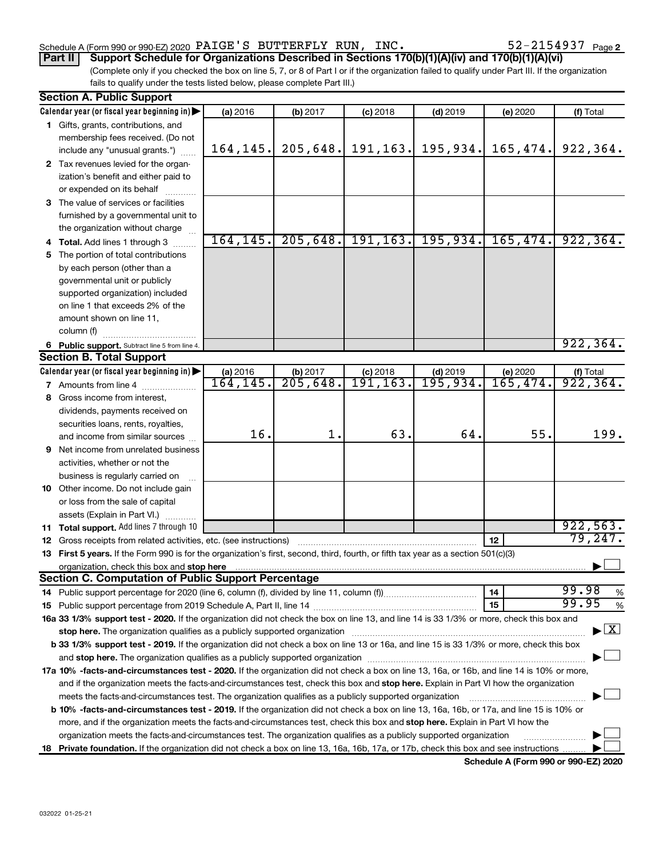#### Schedule A (Form 990 or 990-EZ) 2020  $\rm PAIGE$  'S BUTTERFLY RUN, INC .  $52\text{--}2154937$   $_{\rm Page}$

52-2154937 Page 2

(Complete only if you checked the box on line 5, 7, or 8 of Part I or if the organization failed to qualify under Part III. If the organization fails to qualify under the tests listed below, please complete Part III.) **Part II Support Schedule for Organizations Described in Sections 170(b)(1)(A)(iv) and 170(b)(1)(A)(vi)**

| <b>Section A. Public Support</b>                                                                                                                                                                                               |           |          |                       |                                 |          |                                    |  |
|--------------------------------------------------------------------------------------------------------------------------------------------------------------------------------------------------------------------------------|-----------|----------|-----------------------|---------------------------------|----------|------------------------------------|--|
| Calendar year (or fiscal year beginning in)                                                                                                                                                                                    | (a) 2016  | (b) 2017 | $(c)$ 2018            | $(d)$ 2019                      | (e) 2020 | (f) Total                          |  |
| 1 Gifts, grants, contributions, and                                                                                                                                                                                            |           |          |                       |                                 |          |                                    |  |
| membership fees received. (Do not                                                                                                                                                                                              |           |          |                       |                                 |          |                                    |  |
| include any "unusual grants.")                                                                                                                                                                                                 | 164, 145. |          | $205, 648.$ 191, 163. | 195, 934.                       | 165,474. | 922, 364.                          |  |
| 2 Tax revenues levied for the organ-                                                                                                                                                                                           |           |          |                       |                                 |          |                                    |  |
| ization's benefit and either paid to                                                                                                                                                                                           |           |          |                       |                                 |          |                                    |  |
| or expended on its behalf                                                                                                                                                                                                      |           |          |                       |                                 |          |                                    |  |
| 3 The value of services or facilities                                                                                                                                                                                          |           |          |                       |                                 |          |                                    |  |
| furnished by a governmental unit to                                                                                                                                                                                            |           |          |                       |                                 |          |                                    |  |
| the organization without charge                                                                                                                                                                                                |           |          |                       |                                 |          |                                    |  |
| 4 Total. Add lines 1 through 3                                                                                                                                                                                                 | 164, 145. |          |                       | $205, 648.$ 191, 163. 195, 934. | 165,474. | 922, 364.                          |  |
| 5 The portion of total contributions                                                                                                                                                                                           |           |          |                       |                                 |          |                                    |  |
| by each person (other than a                                                                                                                                                                                                   |           |          |                       |                                 |          |                                    |  |
| governmental unit or publicly                                                                                                                                                                                                  |           |          |                       |                                 |          |                                    |  |
| supported organization) included                                                                                                                                                                                               |           |          |                       |                                 |          |                                    |  |
| on line 1 that exceeds 2% of the                                                                                                                                                                                               |           |          |                       |                                 |          |                                    |  |
| amount shown on line 11,                                                                                                                                                                                                       |           |          |                       |                                 |          |                                    |  |
| column (f)                                                                                                                                                                                                                     |           |          |                       |                                 |          |                                    |  |
| 6 Public support. Subtract line 5 from line 4.                                                                                                                                                                                 |           |          |                       |                                 |          | 922, 364.                          |  |
| <b>Section B. Total Support</b>                                                                                                                                                                                                |           |          |                       |                                 |          |                                    |  |
| Calendar year (or fiscal year beginning in)                                                                                                                                                                                    | (a) 2016  | (b) 2017 | $(c)$ 2018            | $(d)$ 2019                      | (e) 2020 | $($ f) Total<br>922, 364.          |  |
| <b>7</b> Amounts from line 4                                                                                                                                                                                                   | 164, 145. | 205,648. | 191, 163.             | 195,934.                        | 165,474. |                                    |  |
| 8 Gross income from interest,                                                                                                                                                                                                  |           |          |                       |                                 |          |                                    |  |
| dividends, payments received on                                                                                                                                                                                                |           |          |                       |                                 |          |                                    |  |
| securities loans, rents, royalties,                                                                                                                                                                                            |           |          |                       |                                 |          |                                    |  |
| and income from similar sources                                                                                                                                                                                                | 16.       | 1.       | 63.                   | 64.                             | 55.      | 199.                               |  |
| <b>9</b> Net income from unrelated business                                                                                                                                                                                    |           |          |                       |                                 |          |                                    |  |
| activities, whether or not the                                                                                                                                                                                                 |           |          |                       |                                 |          |                                    |  |
| business is regularly carried on                                                                                                                                                                                               |           |          |                       |                                 |          |                                    |  |
| 10 Other income. Do not include gain                                                                                                                                                                                           |           |          |                       |                                 |          |                                    |  |
| or loss from the sale of capital                                                                                                                                                                                               |           |          |                       |                                 |          |                                    |  |
| assets (Explain in Part VI.)                                                                                                                                                                                                   |           |          |                       |                                 |          |                                    |  |
| 11 Total support. Add lines 7 through 10                                                                                                                                                                                       |           |          |                       |                                 |          | 922,563.                           |  |
| <b>12</b> Gross receipts from related activities, etc. (see instructions)                                                                                                                                                      |           |          |                       |                                 | 12       | 79,247.                            |  |
| 13 First 5 years. If the Form 990 is for the organization's first, second, third, fourth, or fifth tax year as a section 501(c)(3)                                                                                             |           |          |                       |                                 |          |                                    |  |
| organization, check this box and stop here www.assessment.com/material/and/material/and/material/and/material/                                                                                                                 |           |          |                       |                                 |          |                                    |  |
| <b>Section C. Computation of Public Support Percentage</b>                                                                                                                                                                     |           |          |                       |                                 |          |                                    |  |
|                                                                                                                                                                                                                                |           |          |                       |                                 | 14       | 99.98<br>%                         |  |
|                                                                                                                                                                                                                                |           |          |                       |                                 | 15       | 99.95<br>%                         |  |
| 16a 33 1/3% support test - 2020. If the organization did not check the box on line 13, and line 14 is 33 1/3% or more, check this box and                                                                                      |           |          |                       |                                 |          |                                    |  |
| stop here. The organization qualifies as a publicly supported organization manufactured content and the organization manufactured or an analyzing the stress of the stress of the stress of the stress of the stress of the st |           |          |                       |                                 |          | $\blacktriangleright$ $\mathbf{X}$ |  |
| b 33 1/3% support test - 2019. If the organization did not check a box on line 13 or 16a, and line 15 is 33 1/3% or more, check this box                                                                                       |           |          |                       |                                 |          |                                    |  |
|                                                                                                                                                                                                                                |           |          |                       |                                 |          |                                    |  |
| 17a 10% -facts-and-circumstances test - 2020. If the organization did not check a box on line 13, 16a, or 16b, and line 14 is 10% or more,                                                                                     |           |          |                       |                                 |          |                                    |  |
| and if the organization meets the facts-and-circumstances test, check this box and stop here. Explain in Part VI how the organization                                                                                          |           |          |                       |                                 |          |                                    |  |
| meets the facts-and-circumstances test. The organization qualifies as a publicly supported organization                                                                                                                        |           |          |                       |                                 |          |                                    |  |
| <b>b 10%</b> -facts-and-circumstances test - 2019. If the organization did not check a box on line 13, 16a, 16b, or 17a, and line 15 is 10% or                                                                                 |           |          |                       |                                 |          |                                    |  |
| more, and if the organization meets the facts-and-circumstances test, check this box and stop here. Explain in Part VI how the                                                                                                 |           |          |                       |                                 |          |                                    |  |
| organization meets the facts-and-circumstances test. The organization qualifies as a publicly supported organization                                                                                                           |           |          |                       |                                 |          |                                    |  |
| 18 Private foundation. If the organization did not check a box on line 13, 16a, 16b, 17a, or 17b, check this box and see instructions                                                                                          |           |          |                       |                                 |          |                                    |  |

**Schedule A (Form 990 or 990-EZ) 2020**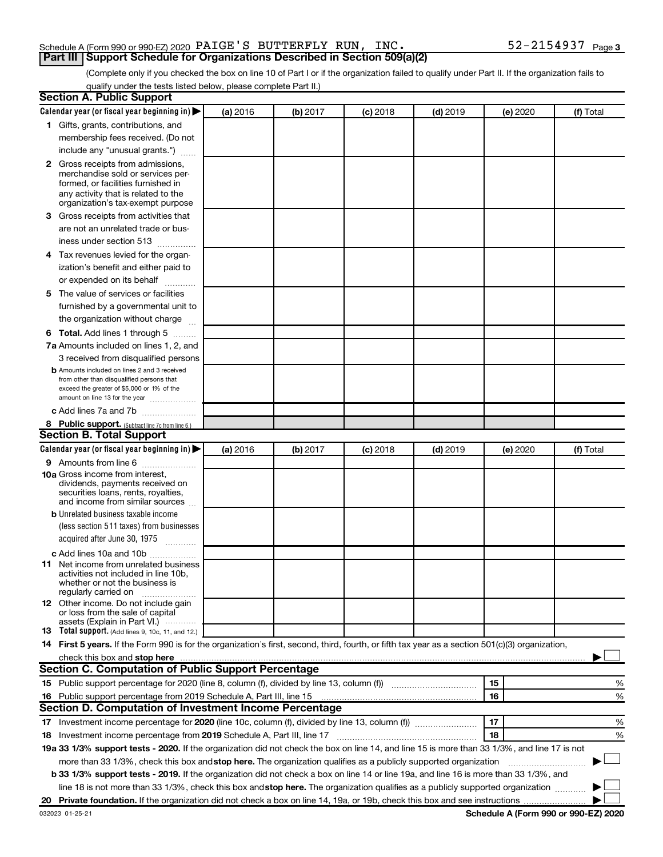#### Schedule A (Form 990 or 990-EZ) 2020  $\rm PAIGE$  'S BUTTERFLY RUN, INC .  $52\text{--}2154937$   $_{\rm Page}$ **Part III Support Schedule for Organizations Described in Section 509(a)(2)**

(Complete only if you checked the box on line 10 of Part I or if the organization failed to qualify under Part II. If the organization fails to qualify under the tests listed below, please complete Part II.)

| <b>Section A. Public Support</b>                                                                                                                 |          |          |            |            |          |           |
|--------------------------------------------------------------------------------------------------------------------------------------------------|----------|----------|------------|------------|----------|-----------|
| Calendar year (or fiscal year beginning in)                                                                                                      | (a) 2016 | (b) 2017 | $(c)$ 2018 | $(d)$ 2019 | (e) 2020 | (f) Total |
| 1 Gifts, grants, contributions, and                                                                                                              |          |          |            |            |          |           |
| membership fees received. (Do not                                                                                                                |          |          |            |            |          |           |
| include any "unusual grants.")                                                                                                                   |          |          |            |            |          |           |
| 2 Gross receipts from admissions,                                                                                                                |          |          |            |            |          |           |
| merchandise sold or services per-                                                                                                                |          |          |            |            |          |           |
| formed, or facilities furnished in                                                                                                               |          |          |            |            |          |           |
| any activity that is related to the<br>organization's tax-exempt purpose                                                                         |          |          |            |            |          |           |
| 3 Gross receipts from activities that                                                                                                            |          |          |            |            |          |           |
| are not an unrelated trade or bus-                                                                                                               |          |          |            |            |          |           |
| iness under section 513                                                                                                                          |          |          |            |            |          |           |
| 4 Tax revenues levied for the organ-                                                                                                             |          |          |            |            |          |           |
| ization's benefit and either paid to                                                                                                             |          |          |            |            |          |           |
| or expended on its behalf                                                                                                                        |          |          |            |            |          |           |
| 5 The value of services or facilities                                                                                                            |          |          |            |            |          |           |
| furnished by a governmental unit to                                                                                                              |          |          |            |            |          |           |
| the organization without charge                                                                                                                  |          |          |            |            |          |           |
|                                                                                                                                                  |          |          |            |            |          |           |
| <b>6 Total.</b> Add lines 1 through 5<br>7a Amounts included on lines 1, 2, and                                                                  |          |          |            |            |          |           |
|                                                                                                                                                  |          |          |            |            |          |           |
| 3 received from disqualified persons<br><b>b</b> Amounts included on lines 2 and 3 received                                                      |          |          |            |            |          |           |
| from other than disqualified persons that                                                                                                        |          |          |            |            |          |           |
| exceed the greater of \$5,000 or 1% of the                                                                                                       |          |          |            |            |          |           |
| amount on line 13 for the year                                                                                                                   |          |          |            |            |          |           |
| c Add lines 7a and 7b                                                                                                                            |          |          |            |            |          |           |
| 8 Public support. (Subtract line 7c from line 6.)<br><b>Section B. Total Support</b>                                                             |          |          |            |            |          |           |
|                                                                                                                                                  |          |          |            |            |          |           |
| Calendar year (or fiscal year beginning in)                                                                                                      | (a) 2016 | (b) 2017 | (c) 2018   | $(d)$ 2019 | (e) 2020 | (f) Total |
| 9 Amounts from line 6                                                                                                                            |          |          |            |            |          |           |
| <b>10a</b> Gross income from interest,<br>dividends, payments received on                                                                        |          |          |            |            |          |           |
| securities loans, rents, royalties,                                                                                                              |          |          |            |            |          |           |
| and income from similar sources                                                                                                                  |          |          |            |            |          |           |
| <b>b</b> Unrelated business taxable income                                                                                                       |          |          |            |            |          |           |
| (less section 511 taxes) from businesses                                                                                                         |          |          |            |            |          |           |
| acquired after June 30, 1975<br>$\frac{1}{2}$                                                                                                    |          |          |            |            |          |           |
| c Add lines 10a and 10b                                                                                                                          |          |          |            |            |          |           |
| 11 Net income from unrelated business                                                                                                            |          |          |            |            |          |           |
| activities not included in line 10b.<br>whether or not the business is                                                                           |          |          |            |            |          |           |
| regularly carried on                                                                                                                             |          |          |            |            |          |           |
| <b>12</b> Other income. Do not include gain                                                                                                      |          |          |            |            |          |           |
| or loss from the sale of capital<br>assets (Explain in Part VI.)                                                                                 |          |          |            |            |          |           |
| <b>13</b> Total support. (Add lines 9, 10c, 11, and 12.)                                                                                         |          |          |            |            |          |           |
| 14 First 5 years. If the Form 990 is for the organization's first, second, third, fourth, or fifth tax year as a section 501(c)(3) organization, |          |          |            |            |          |           |
|                                                                                                                                                  |          |          |            |            |          |           |
| Section C. Computation of Public Support Percentage                                                                                              |          |          |            |            |          |           |
|                                                                                                                                                  |          |          |            |            | 15       | %         |
| 16 Public support percentage from 2019 Schedule A, Part III, line 15                                                                             |          |          |            |            | 16       | %         |
| Section D. Computation of Investment Income Percentage                                                                                           |          |          |            |            |          |           |
|                                                                                                                                                  |          |          |            |            | 17       | %         |
| 18 Investment income percentage from 2019 Schedule A, Part III, line 17                                                                          |          |          |            |            | 18       | %         |
| 19a 33 1/3% support tests - 2020. If the organization did not check the box on line 14, and line 15 is more than 33 1/3%, and line 17 is not     |          |          |            |            |          |           |
| more than 33 1/3%, check this box and stop here. The organization qualifies as a publicly supported organization                                 |          |          |            |            |          |           |
| b 33 1/3% support tests - 2019. If the organization did not check a box on line 14 or line 19a, and line 16 is more than 33 1/3%, and            |          |          |            |            |          |           |
| line 18 is not more than 33 1/3%, check this box and stop here. The organization qualifies as a publicly supported organization                  |          |          |            |            |          |           |
|                                                                                                                                                  |          |          |            |            |          |           |
|                                                                                                                                                  |          |          |            |            |          |           |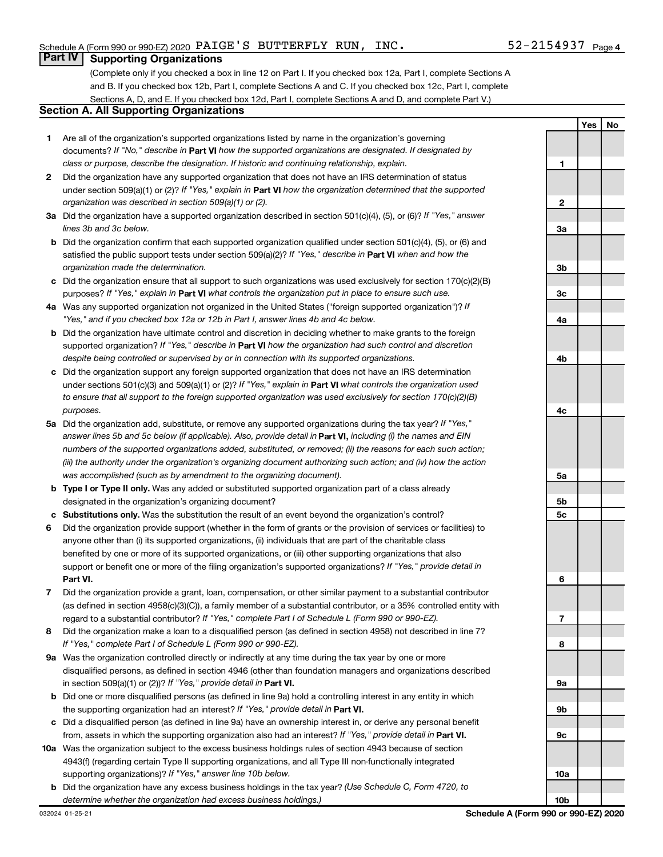**1**

**2**

**3a**

**3b**

**3c**

**4a**

**4b**

**4c**

**Yes No**

### **Part IV Supporting Organizations**

(Complete only if you checked a box in line 12 on Part I. If you checked box 12a, Part I, complete Sections A and B. If you checked box 12b, Part I, complete Sections A and C. If you checked box 12c, Part I, complete Sections A, D, and E. If you checked box 12d, Part I, complete Sections A and D, and complete Part V.)

### **Section A. All Supporting Organizations**

- **1** Are all of the organization's supported organizations listed by name in the organization's governing documents? If "No," describe in Part VI how the supported organizations are designated. If designated by *class or purpose, describe the designation. If historic and continuing relationship, explain.*
- **2** Did the organization have any supported organization that does not have an IRS determination of status under section 509(a)(1) or (2)? If "Yes," explain in Part **VI** how the organization determined that the supported *organization was described in section 509(a)(1) or (2).*
- **3a** Did the organization have a supported organization described in section 501(c)(4), (5), or (6)? If "Yes," answer *lines 3b and 3c below.*
- **b** Did the organization confirm that each supported organization qualified under section 501(c)(4), (5), or (6) and satisfied the public support tests under section 509(a)(2)? If "Yes," describe in Part VI when and how the *organization made the determination.*
- **c** Did the organization ensure that all support to such organizations was used exclusively for section 170(c)(2)(B) purposes? If "Yes," explain in Part VI what controls the organization put in place to ensure such use.
- **4 a** *If* Was any supported organization not organized in the United States ("foreign supported organization")? *"Yes," and if you checked box 12a or 12b in Part I, answer lines 4b and 4c below.*
- **b** Did the organization have ultimate control and discretion in deciding whether to make grants to the foreign supported organization? If "Yes," describe in Part VI how the organization had such control and discretion *despite being controlled or supervised by or in connection with its supported organizations.*
- **c** Did the organization support any foreign supported organization that does not have an IRS determination under sections 501(c)(3) and 509(a)(1) or (2)? If "Yes," explain in Part VI what controls the organization used *to ensure that all support to the foreign supported organization was used exclusively for section 170(c)(2)(B) purposes.*
- **5a** Did the organization add, substitute, or remove any supported organizations during the tax year? If "Yes," answer lines 5b and 5c below (if applicable). Also, provide detail in **Part VI,** including (i) the names and EIN *numbers of the supported organizations added, substituted, or removed; (ii) the reasons for each such action; (iii) the authority under the organization's organizing document authorizing such action; and (iv) how the action was accomplished (such as by amendment to the organizing document).*
- **b Type I or Type II only.** Was any added or substituted supported organization part of a class already designated in the organization's organizing document?
- **c Substitutions only.**  Was the substitution the result of an event beyond the organization's control?
- **6** Did the organization provide support (whether in the form of grants or the provision of services or facilities) to **Part VI.** support or benefit one or more of the filing organization's supported organizations? If "Yes," provide detail in anyone other than (i) its supported organizations, (ii) individuals that are part of the charitable class benefited by one or more of its supported organizations, or (iii) other supporting organizations that also
- **7** Did the organization provide a grant, loan, compensation, or other similar payment to a substantial contributor regard to a substantial contributor? If "Yes," complete Part I of Schedule L (Form 990 or 990-EZ). (as defined in section 4958(c)(3)(C)), a family member of a substantial contributor, or a 35% controlled entity with
- **8** Did the organization make a loan to a disqualified person (as defined in section 4958) not described in line 7? *If "Yes," complete Part I of Schedule L (Form 990 or 990-EZ).*
- **9 a** Was the organization controlled directly or indirectly at any time during the tax year by one or more in section 509(a)(1) or (2))? If "Yes," provide detail in **Part VI.** disqualified persons, as defined in section 4946 (other than foundation managers and organizations described
- **b** Did one or more disqualified persons (as defined in line 9a) hold a controlling interest in any entity in which the supporting organization had an interest? If "Yes," provide detail in Part VI.
- **c** Did a disqualified person (as defined in line 9a) have an ownership interest in, or derive any personal benefit from, assets in which the supporting organization also had an interest? If "Yes," provide detail in Part VI.
- **10 a** Was the organization subject to the excess business holdings rules of section 4943 because of section supporting organizations)? If "Yes," answer line 10b below. 4943(f) (regarding certain Type II supporting organizations, and all Type III non-functionally integrated
- **b** Did the organization have any excess business holdings in the tax year? (Use Schedule C, Form 4720, to *determine whether the organization had excess business holdings.)*

| ction;                               |                 |  |
|--------------------------------------|-----------------|--|
| action                               |                 |  |
|                                      | 5a              |  |
|                                      |                 |  |
|                                      | 5b              |  |
|                                      | 5c              |  |
| es) to                               |                 |  |
|                                      |                 |  |
|                                      |                 |  |
| ail in                               |                 |  |
|                                      | 6               |  |
| ributor                              |                 |  |
| ntity with                           |                 |  |
|                                      | 7               |  |
| ne 7?                                |                 |  |
|                                      | 8               |  |
|                                      |                 |  |
| cribed                               |                 |  |
|                                      | <b>9a</b>       |  |
| ch                                   |                 |  |
|                                      | 9b              |  |
| าefit                                |                 |  |
|                                      | 9c              |  |
|                                      |                 |  |
|                                      |                 |  |
|                                      | 10a             |  |
| O                                    |                 |  |
|                                      | 10 <sub>b</sub> |  |
| Schedule A (Form 990 or 990-EZ) 2020 |                 |  |
|                                      |                 |  |
|                                      |                 |  |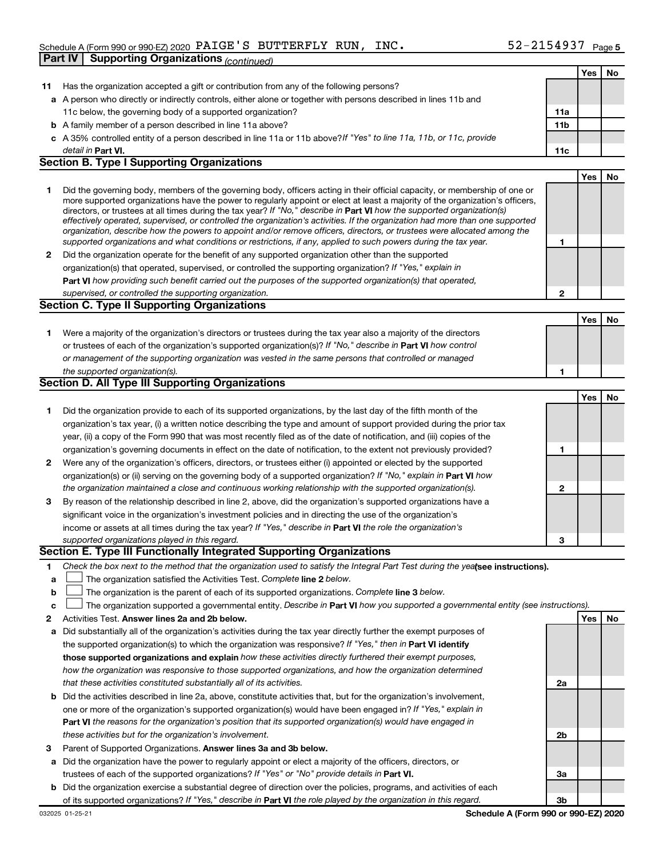#### Schedule A (Form 990 or 990-EZ) 2020  $\rm PAIGE$  'S BUTTERFLY RUN, INC .  $52\text{--}2154937$   $_{\rm Page}$ **Part IV Supporting Organizations** *(continued)*

|    |                                                                                                                                                                                                                                                            |                 | Yes | No |
|----|------------------------------------------------------------------------------------------------------------------------------------------------------------------------------------------------------------------------------------------------------------|-----------------|-----|----|
| 11 | Has the organization accepted a gift or contribution from any of the following persons?                                                                                                                                                                    |                 |     |    |
|    | a A person who directly or indirectly controls, either alone or together with persons described in lines 11b and                                                                                                                                           |                 |     |    |
|    | 11c below, the governing body of a supported organization?                                                                                                                                                                                                 | 11a             |     |    |
|    | <b>b</b> A family member of a person described in line 11a above?                                                                                                                                                                                          | 11 <sub>b</sub> |     |    |
|    | c A 35% controlled entity of a person described in line 11a or 11b above? If "Yes" to line 11a, 11b, or 11c, provide                                                                                                                                       |                 |     |    |
|    | detail in Part VI.                                                                                                                                                                                                                                         | 11c             |     |    |
|    | <b>Section B. Type I Supporting Organizations</b>                                                                                                                                                                                                          |                 |     |    |
|    |                                                                                                                                                                                                                                                            |                 | Yes | No |
| 1  | Did the governing body, members of the governing body, officers acting in their official capacity, or membership of one or                                                                                                                                 |                 |     |    |
|    | more supported organizations have the power to regularly appoint or elect at least a majority of the organization's officers,                                                                                                                              |                 |     |    |
|    | directors, or trustees at all times during the tax year? If "No," describe in Part VI how the supported organization(s)                                                                                                                                    |                 |     |    |
|    | effectively operated, supervised, or controlled the organization's activities. If the organization had more than one supported<br>organization, describe how the powers to appoint and/or remove officers, directors, or trustees were allocated among the |                 |     |    |
|    | supported organizations and what conditions or restrictions, if any, applied to such powers during the tax year.                                                                                                                                           | 1               |     |    |
| 2  | Did the organization operate for the benefit of any supported organization other than the supported                                                                                                                                                        |                 |     |    |
|    | organization(s) that operated, supervised, or controlled the supporting organization? If "Yes," explain in                                                                                                                                                 |                 |     |    |
|    | Part VI how providing such benefit carried out the purposes of the supported organization(s) that operated,                                                                                                                                                |                 |     |    |
|    | supervised, or controlled the supporting organization.                                                                                                                                                                                                     | 2               |     |    |
|    | <b>Section C. Type II Supporting Organizations</b>                                                                                                                                                                                                         |                 |     |    |
|    |                                                                                                                                                                                                                                                            |                 | Yes | No |
| 1  | Were a majority of the organization's directors or trustees during the tax year also a majority of the directors                                                                                                                                           |                 |     |    |
|    | or trustees of each of the organization's supported organization(s)? If "No," describe in Part VI how control                                                                                                                                              |                 |     |    |
|    | or management of the supporting organization was vested in the same persons that controlled or managed                                                                                                                                                     |                 |     |    |
|    | the supported organization(s).                                                                                                                                                                                                                             | 1               |     |    |
|    | Section D. All Type III Supporting Organizations                                                                                                                                                                                                           |                 |     |    |
|    |                                                                                                                                                                                                                                                            |                 | Yes | No |
| 1  | Did the organization provide to each of its supported organizations, by the last day of the fifth month of the                                                                                                                                             |                 |     |    |
|    | organization's tax year, (i) a written notice describing the type and amount of support provided during the prior tax                                                                                                                                      |                 |     |    |
|    | year, (ii) a copy of the Form 990 that was most recently filed as of the date of notification, and (iii) copies of the                                                                                                                                     |                 |     |    |
|    | organization's governing documents in effect on the date of notification, to the extent not previously provided?                                                                                                                                           | 1               |     |    |
| 2  | Were any of the organization's officers, directors, or trustees either (i) appointed or elected by the supported                                                                                                                                           |                 |     |    |
|    | organization(s) or (ii) serving on the governing body of a supported organization? If "No," explain in Part VI how                                                                                                                                         |                 |     |    |
|    | the organization maintained a close and continuous working relationship with the supported organization(s).                                                                                                                                                | 2               |     |    |
| 3  | By reason of the relationship described in line 2, above, did the organization's supported organizations have a                                                                                                                                            |                 |     |    |
|    | significant voice in the organization's investment policies and in directing the use of the organization's                                                                                                                                                 |                 |     |    |
|    | income or assets at all times during the tax year? If "Yes," describe in Part VI the role the organization's                                                                                                                                               |                 |     |    |
|    | supported organizations played in this regard.                                                                                                                                                                                                             | 3               |     |    |
|    | Section E. Type III Functionally Integrated Supporting Organizations                                                                                                                                                                                       |                 |     |    |
| 1. | Check the box next to the method that the organization used to satisfy the Integral Part Test during the yealsee instructions).                                                                                                                            |                 |     |    |
| а  | The organization satisfied the Activities Test. Complete line 2 below.                                                                                                                                                                                     |                 |     |    |
| b  | The organization is the parent of each of its supported organizations. Complete line 3 below.                                                                                                                                                              |                 |     |    |
| с  | The organization supported a governmental entity. Describe in Part VI how you supported a governmental entity (see instructions).                                                                                                                          |                 |     |    |
| 2  | Activities Test. Answer lines 2a and 2b below.                                                                                                                                                                                                             |                 | Yes | No |
| а  | Did substantially all of the organization's activities during the tax year directly further the exempt purposes of                                                                                                                                         |                 |     |    |
|    | the supported organization(s) to which the organization was responsive? If "Yes," then in Part VI identify                                                                                                                                                 |                 |     |    |
|    | those supported organizations and explain how these activities directly furthered their exempt purposes,                                                                                                                                                   |                 |     |    |
|    | how the organization was responsive to those supported organizations, and how the organization determined                                                                                                                                                  |                 |     |    |
|    | that these activities constituted substantially all of its activities.                                                                                                                                                                                     | 2a              |     |    |
| b  | Did the activities described in line 2a, above, constitute activities that, but for the organization's involvement,                                                                                                                                        |                 |     |    |
|    | one or more of the organization's supported organization(s) would have been engaged in? If "Yes," explain in                                                                                                                                               |                 |     |    |
|    | <b>Part VI</b> the reasons for the organization's position that its supported organization(s) would have engaged in                                                                                                                                        |                 |     |    |
|    | these activities but for the organization's involvement.                                                                                                                                                                                                   | 2 <sub>b</sub>  |     |    |
| з  | Parent of Supported Organizations. Answer lines 3a and 3b below.                                                                                                                                                                                           |                 |     |    |
| а  | Did the organization have the power to regularly appoint or elect a majority of the officers, directors, or                                                                                                                                                |                 |     |    |
|    | trustees of each of the supported organizations? If "Yes" or "No" provide details in Part VI.                                                                                                                                                              | За              |     |    |
| b  | Did the organization exercise a substantial degree of direction over the policies, programs, and activities of each                                                                                                                                        |                 |     |    |
|    | of its supported organizations? If "Yes." describe in <b>Part VI</b> the role played by the organization in this regard.                                                                                                                                   | 3 <sub>b</sub>  |     |    |

of its supported organizations? If "Yes," describe in Part VI the role played by the organization in this regard.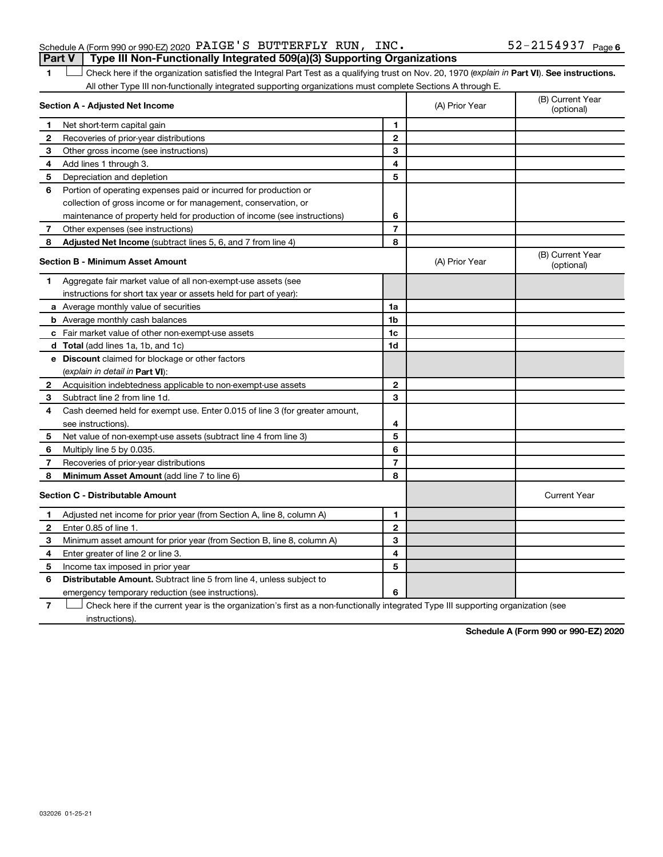1 **Letter See instructions.** Check here if the organization satisfied the Integral Part Test as a qualifying trust on Nov. 20, 1970 (*explain in* Part **VI**). See instructions. All other Type III non-functionally integrated supporting organizations must complete Sections A through E.

|                | Section A - Adjusted Net Income                                             | (A) Prior Year | (B) Current Year<br>(optional) |                                |
|----------------|-----------------------------------------------------------------------------|----------------|--------------------------------|--------------------------------|
| $\mathbf 1$    | Net short-term capital gain                                                 | 1              |                                |                                |
| 2              | Recoveries of prior-year distributions                                      | 2              |                                |                                |
| 3              | Other gross income (see instructions)                                       | 3              |                                |                                |
| 4              | Add lines 1 through 3.                                                      | 4              |                                |                                |
| 5              | Depreciation and depletion                                                  | 5              |                                |                                |
| 6              | Portion of operating expenses paid or incurred for production or            |                |                                |                                |
|                | collection of gross income or for management, conservation, or              |                |                                |                                |
|                | maintenance of property held for production of income (see instructions)    | 6              |                                |                                |
| $\overline{7}$ | Other expenses (see instructions)                                           | $\overline{7}$ |                                |                                |
| 8              | Adjusted Net Income (subtract lines 5, 6, and 7 from line 4)                | 8              |                                |                                |
|                | <b>Section B - Minimum Asset Amount</b>                                     |                | (A) Prior Year                 | (B) Current Year<br>(optional) |
| 1              | Aggregate fair market value of all non-exempt-use assets (see               |                |                                |                                |
|                | instructions for short tax year or assets held for part of year):           |                |                                |                                |
|                | a Average monthly value of securities                                       | 1a             |                                |                                |
|                | <b>b</b> Average monthly cash balances                                      | 1b             |                                |                                |
|                | c Fair market value of other non-exempt-use assets                          | 1c             |                                |                                |
|                | <b>d</b> Total (add lines 1a, 1b, and 1c)                                   | 1d             |                                |                                |
|                | e Discount claimed for blockage or other factors                            |                |                                |                                |
|                | (explain in detail in Part VI):                                             |                |                                |                                |
|                | 2 Acquisition indebtedness applicable to non-exempt-use assets              | $\mathbf{2}$   |                                |                                |
| 3              | Subtract line 2 from line 1d.                                               | 3              |                                |                                |
| 4              | Cash deemed held for exempt use. Enter 0.015 of line 3 (for greater amount, |                |                                |                                |
|                | see instructions).                                                          | 4              |                                |                                |
| 5              | Net value of non-exempt-use assets (subtract line 4 from line 3)            | 5              |                                |                                |
| 6              | Multiply line 5 by 0.035.                                                   | 6              |                                |                                |
| 7              | Recoveries of prior-year distributions                                      | $\overline{7}$ |                                |                                |
| 8              | Minimum Asset Amount (add line 7 to line 6)                                 | 8              |                                |                                |
|                | <b>Section C - Distributable Amount</b>                                     |                |                                | <b>Current Year</b>            |
| 1              | Adjusted net income for prior year (from Section A, line 8, column A)       | 1              |                                |                                |
| $\mathbf{2}$   | Enter 0.85 of line 1.                                                       | $\mathbf{2}$   |                                |                                |
| 3              | Minimum asset amount for prior year (from Section B, line 8, column A)      | 3              |                                |                                |
| 4              | Enter greater of line 2 or line 3.                                          | 4              |                                |                                |
| 5              | Income tax imposed in prior year                                            | 5              |                                |                                |
| 6              | <b>Distributable Amount.</b> Subtract line 5 from line 4, unless subject to |                |                                |                                |
|                | emergency temporary reduction (see instructions).                           | 6              |                                |                                |
|                |                                                                             |                |                                |                                |

**7** Check here if the current year is the organization's first as a non-functionally integrated Type III supporting organization (see † instructions).

**Schedule A (Form 990 or 990-EZ) 2020**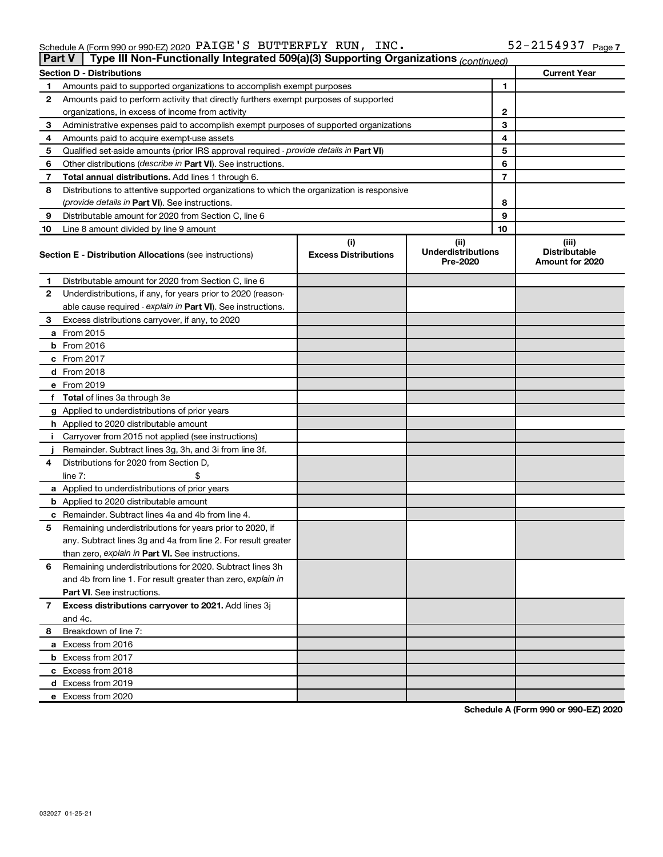| $52 - 2154937$ Page 7<br>Schedule A (Form 990 or 990-EZ) 2020 $\verb PAIGE'S $ BUTTERFLY RUN, INC. |  |  |
|----------------------------------------------------------------------------------------------------|--|--|
|----------------------------------------------------------------------------------------------------|--|--|

|    | Type III Non-Functionally Integrated 509(a)(3) Supporting Organizations (continued)<br><b>Part V</b> |                             |                                       |    |                                         |
|----|------------------------------------------------------------------------------------------------------|-----------------------------|---------------------------------------|----|-----------------------------------------|
|    | <b>Section D - Distributions</b>                                                                     |                             |                                       |    | <b>Current Year</b>                     |
| 1  | Amounts paid to supported organizations to accomplish exempt purposes                                |                             |                                       | 1  |                                         |
| 2  | Amounts paid to perform activity that directly furthers exempt purposes of supported                 |                             |                                       |    |                                         |
|    | organizations, in excess of income from activity                                                     | 2                           |                                       |    |                                         |
| 3  | Administrative expenses paid to accomplish exempt purposes of supported organizations                |                             |                                       | 3  |                                         |
| 4  | Amounts paid to acquire exempt-use assets                                                            |                             |                                       | 4  |                                         |
| 5  | Qualified set-aside amounts (prior IRS approval required - provide details in Part VI)               |                             |                                       | 5  |                                         |
| 6  | Other distributions ( <i>describe in Part VI</i> ). See instructions.                                |                             |                                       | 6  |                                         |
| 7  | Total annual distributions. Add lines 1 through 6.                                                   |                             |                                       | 7  |                                         |
| 8  | Distributions to attentive supported organizations to which the organization is responsive           |                             |                                       |    |                                         |
|    | (provide details in Part VI). See instructions.                                                      |                             |                                       | 8  |                                         |
| 9  | Distributable amount for 2020 from Section C, line 6                                                 |                             |                                       | 9  |                                         |
| 10 | Line 8 amount divided by line 9 amount                                                               |                             |                                       | 10 |                                         |
|    |                                                                                                      | (i)                         | (ii)                                  |    | (iii)                                   |
|    | <b>Section E - Distribution Allocations (see instructions)</b>                                       | <b>Excess Distributions</b> | <b>Underdistributions</b><br>Pre-2020 |    | <b>Distributable</b><br>Amount for 2020 |
| 1  | Distributable amount for 2020 from Section C, line 6                                                 |                             |                                       |    |                                         |
| 2  | Underdistributions, if any, for years prior to 2020 (reason-                                         |                             |                                       |    |                                         |
|    | able cause required - explain in Part VI). See instructions.                                         |                             |                                       |    |                                         |
| 3  | Excess distributions carryover, if any, to 2020                                                      |                             |                                       |    |                                         |
|    | a From 2015                                                                                          |                             |                                       |    |                                         |
|    | <b>b</b> From 2016                                                                                   |                             |                                       |    |                                         |
|    | c From 2017                                                                                          |                             |                                       |    |                                         |
|    | d From 2018                                                                                          |                             |                                       |    |                                         |
|    | e From 2019                                                                                          |                             |                                       |    |                                         |
|    | f Total of lines 3a through 3e                                                                       |                             |                                       |    |                                         |
|    | g Applied to underdistributions of prior years                                                       |                             |                                       |    |                                         |
|    | <b>h</b> Applied to 2020 distributable amount                                                        |                             |                                       |    |                                         |
| Ť. | Carryover from 2015 not applied (see instructions)                                                   |                             |                                       |    |                                         |
|    | Remainder. Subtract lines 3g, 3h, and 3i from line 3f.                                               |                             |                                       |    |                                         |
| 4  | Distributions for 2020 from Section D,                                                               |                             |                                       |    |                                         |
|    | line $7:$                                                                                            |                             |                                       |    |                                         |
|    | a Applied to underdistributions of prior years                                                       |                             |                                       |    |                                         |
|    | <b>b</b> Applied to 2020 distributable amount                                                        |                             |                                       |    |                                         |
|    | c Remainder. Subtract lines 4a and 4b from line 4.                                                   |                             |                                       |    |                                         |
| 5  | Remaining underdistributions for years prior to 2020, if                                             |                             |                                       |    |                                         |
|    | any. Subtract lines 3g and 4a from line 2. For result greater                                        |                             |                                       |    |                                         |
|    | than zero, explain in Part VI. See instructions.                                                     |                             |                                       |    |                                         |
| 6  | Remaining underdistributions for 2020. Subtract lines 3h                                             |                             |                                       |    |                                         |
|    | and 4b from line 1. For result greater than zero, explain in                                         |                             |                                       |    |                                         |
|    | <b>Part VI.</b> See instructions.                                                                    |                             |                                       |    |                                         |
| 7  | Excess distributions carryover to 2021. Add lines 3j                                                 |                             |                                       |    |                                         |
|    | and 4c.                                                                                              |                             |                                       |    |                                         |
| 8  | Breakdown of line 7:                                                                                 |                             |                                       |    |                                         |
|    | a Excess from 2016                                                                                   |                             |                                       |    |                                         |
|    | <b>b</b> Excess from 2017                                                                            |                             |                                       |    |                                         |
|    | c Excess from 2018                                                                                   |                             |                                       |    |                                         |
|    | d Excess from 2019                                                                                   |                             |                                       |    |                                         |
|    | e Excess from 2020                                                                                   |                             |                                       |    |                                         |

**Schedule A (Form 990 or 990-EZ) 2020**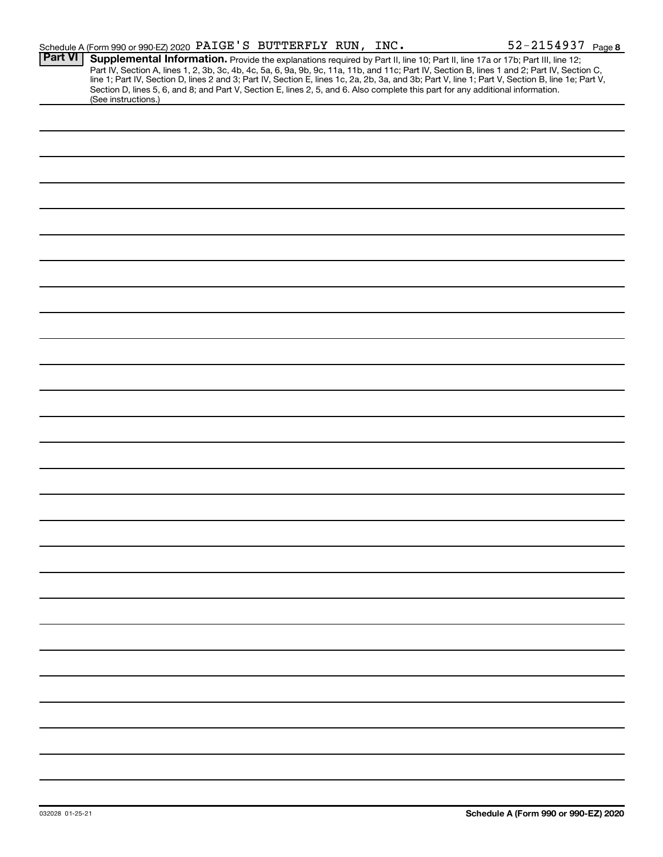|                | Schedule A (Form 990 or 990-EZ) 2020 PAIGE'S BUTTERFLY RUN, INC.                                                                                       |  |  | 52-2154937 Page 8                                                                                                                                                                                                                                                                                                                                              |
|----------------|--------------------------------------------------------------------------------------------------------------------------------------------------------|--|--|----------------------------------------------------------------------------------------------------------------------------------------------------------------------------------------------------------------------------------------------------------------------------------------------------------------------------------------------------------------|
| <b>Part VI</b> | Section D, lines 5, 6, and 8; and Part V, Section E, lines 2, 5, and 6. Also complete this part for any additional information.<br>(See instructions.) |  |  | Supplemental Information. Provide the explanations required by Part II, line 10; Part II, line 17a or 17b; Part III, line 12;<br>Part IV, Section A, lines 1, 2, 3b, 3c, 4b, 4c, 5a, 6, 9a, 9b, 9c, 11a, 11b, and 11c; Part IV, Section B, lines 1 and 2; Part IV, Section C, line 1; Part IV, Section D, lines 2 and 3; Part IV, Section E, lines 1c, 2a, 2b, |
|                |                                                                                                                                                        |  |  |                                                                                                                                                                                                                                                                                                                                                                |
|                |                                                                                                                                                        |  |  |                                                                                                                                                                                                                                                                                                                                                                |
|                |                                                                                                                                                        |  |  |                                                                                                                                                                                                                                                                                                                                                                |
|                |                                                                                                                                                        |  |  |                                                                                                                                                                                                                                                                                                                                                                |
|                |                                                                                                                                                        |  |  |                                                                                                                                                                                                                                                                                                                                                                |
|                |                                                                                                                                                        |  |  |                                                                                                                                                                                                                                                                                                                                                                |
|                |                                                                                                                                                        |  |  |                                                                                                                                                                                                                                                                                                                                                                |
|                |                                                                                                                                                        |  |  |                                                                                                                                                                                                                                                                                                                                                                |
|                |                                                                                                                                                        |  |  |                                                                                                                                                                                                                                                                                                                                                                |
|                |                                                                                                                                                        |  |  |                                                                                                                                                                                                                                                                                                                                                                |
|                |                                                                                                                                                        |  |  |                                                                                                                                                                                                                                                                                                                                                                |
|                |                                                                                                                                                        |  |  |                                                                                                                                                                                                                                                                                                                                                                |
|                |                                                                                                                                                        |  |  |                                                                                                                                                                                                                                                                                                                                                                |
|                |                                                                                                                                                        |  |  |                                                                                                                                                                                                                                                                                                                                                                |
|                |                                                                                                                                                        |  |  |                                                                                                                                                                                                                                                                                                                                                                |
|                |                                                                                                                                                        |  |  |                                                                                                                                                                                                                                                                                                                                                                |
|                |                                                                                                                                                        |  |  |                                                                                                                                                                                                                                                                                                                                                                |
|                |                                                                                                                                                        |  |  |                                                                                                                                                                                                                                                                                                                                                                |
|                |                                                                                                                                                        |  |  |                                                                                                                                                                                                                                                                                                                                                                |
|                |                                                                                                                                                        |  |  |                                                                                                                                                                                                                                                                                                                                                                |
|                |                                                                                                                                                        |  |  |                                                                                                                                                                                                                                                                                                                                                                |
|                |                                                                                                                                                        |  |  |                                                                                                                                                                                                                                                                                                                                                                |
|                |                                                                                                                                                        |  |  |                                                                                                                                                                                                                                                                                                                                                                |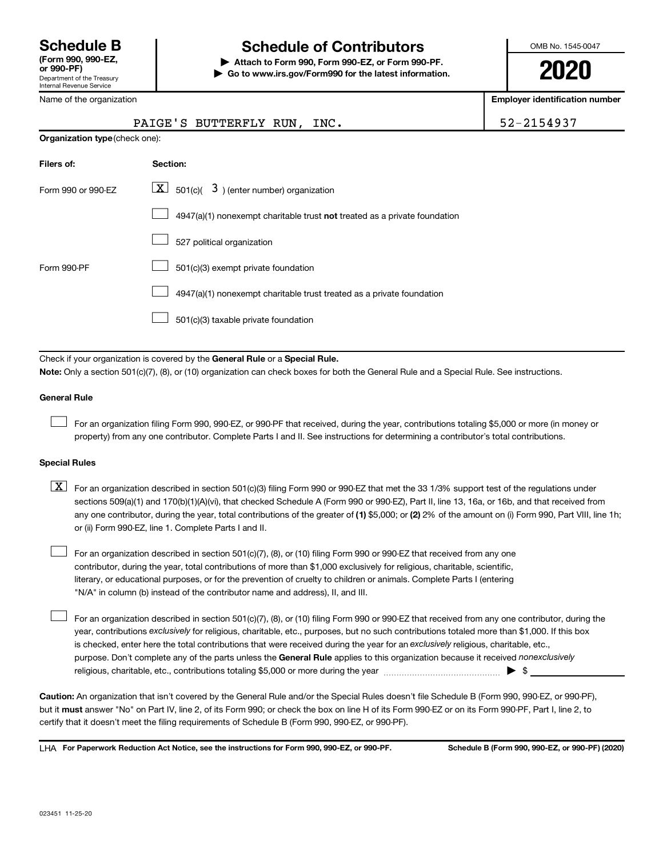## **Schedule B Schedule of Contributors**

**or 990-PF) | Attach to Form 990, Form 990-EZ, or Form 990-PF. | Go to www.irs.gov/Form990 for the latest information.** OMB No. 1545-0047

**2020**

| Name of the organization       | <b>Employer identification number</b>                                                                                                                                                                                                                                                                                                                                                                                                                                                                     |            |  |  |  |  |  |
|--------------------------------|-----------------------------------------------------------------------------------------------------------------------------------------------------------------------------------------------------------------------------------------------------------------------------------------------------------------------------------------------------------------------------------------------------------------------------------------------------------------------------------------------------------|------------|--|--|--|--|--|
|                                | PAIGE'S BUTTERFLY RUN, INC.                                                                                                                                                                                                                                                                                                                                                                                                                                                                               | 52-2154937 |  |  |  |  |  |
| Organization type (check one): |                                                                                                                                                                                                                                                                                                                                                                                                                                                                                                           |            |  |  |  |  |  |
| Filers of:                     | Section:                                                                                                                                                                                                                                                                                                                                                                                                                                                                                                  |            |  |  |  |  |  |
| Form 990 or 990-EZ             | $\boxed{\textbf{X}}$ 501(c)( 3) (enter number) organization                                                                                                                                                                                                                                                                                                                                                                                                                                               |            |  |  |  |  |  |
|                                | 4947(a)(1) nonexempt charitable trust not treated as a private foundation                                                                                                                                                                                                                                                                                                                                                                                                                                 |            |  |  |  |  |  |
|                                | 527 political organization                                                                                                                                                                                                                                                                                                                                                                                                                                                                                |            |  |  |  |  |  |
| Form 990-PF                    | 501(c)(3) exempt private foundation                                                                                                                                                                                                                                                                                                                                                                                                                                                                       |            |  |  |  |  |  |
|                                | 4947(a)(1) nonexempt charitable trust treated as a private foundation                                                                                                                                                                                                                                                                                                                                                                                                                                     |            |  |  |  |  |  |
|                                | 501(c)(3) taxable private foundation                                                                                                                                                                                                                                                                                                                                                                                                                                                                      |            |  |  |  |  |  |
|                                | Check if your organization is covered by the General Rule or a Special Rule.                                                                                                                                                                                                                                                                                                                                                                                                                              |            |  |  |  |  |  |
|                                | Note: Only a section 501(c)(7), (8), or (10) organization can check boxes for both the General Rule and a Special Rule. See instructions.                                                                                                                                                                                                                                                                                                                                                                 |            |  |  |  |  |  |
| <b>General Rule</b>            |                                                                                                                                                                                                                                                                                                                                                                                                                                                                                                           |            |  |  |  |  |  |
|                                | For an organization filing Form 990, 990-EZ, or 990-PF that received, during the year, contributions totaling \$5,000 or more (in money or<br>property) from any one contributor. Complete Parts I and II. See instructions for determining a contributor's total contributions.                                                                                                                                                                                                                          |            |  |  |  |  |  |
| <b>Special Rules</b>           |                                                                                                                                                                                                                                                                                                                                                                                                                                                                                                           |            |  |  |  |  |  |
| $\lfloor x \rfloor$            | For an organization described in section 501(c)(3) filing Form 990 or 990-EZ that met the 33 1/3% support test of the regulations under<br>sections 509(a)(1) and 170(b)(1)(A)(vi), that checked Schedule A (Form 990 or 990-EZ), Part II, line 13, 16a, or 16b, and that received from<br>any one contributor, during the year, total contributions of the greater of (1) \$5,000; or (2) 2% of the amount on (i) Form 990, Part VIII, line 1h;<br>or (ii) Form 990-EZ, line 1. Complete Parts I and II. |            |  |  |  |  |  |
|                                |                                                                                                                                                                                                                                                                                                                                                                                                                                                                                                           |            |  |  |  |  |  |

For an organization described in section 501(c)(7), (8), or (10) filing Form 990 or 990-EZ that received from any one contributor, during the year, total contributions of more than \$1,000 exclusively for religious, charitable, scientific, literary, or educational purposes, or for the prevention of cruelty to children or animals. Complete Parts I (entering "N/A" in column (b) instead of the contributor name and address), II, and III.

purpose. Don't complete any of the parts unless the General Rule applies to this organization because it received nonexclusively year, contributions exclusively for religious, charitable, etc., purposes, but no such contributions totaled more than \$1,000. If this box is checked, enter here the total contributions that were received during the year for an exclusively religious, charitable, etc., For an organization described in section 501(c)(7), (8), or (10) filing Form 990 or 990-EZ that received from any one contributor, during the religious, charitable, etc., contributions totaling \$5,000 or more during the year  $\ldots$  $\ldots$  $\ldots$  $\ldots$  $\ldots$  $\ldots$ 

**Caution:**  An organization that isn't covered by the General Rule and/or the Special Rules doesn't file Schedule B (Form 990, 990-EZ, or 990-PF),  **must** but it answer "No" on Part IV, line 2, of its Form 990; or check the box on line H of its Form 990-EZ or on its Form 990-PF, Part I, line 2, to certify that it doesn't meet the filing requirements of Schedule B (Form 990, 990-EZ, or 990-PF).

**For Paperwork Reduction Act Notice, see the instructions for Form 990, 990-EZ, or 990-PF. Schedule B (Form 990, 990-EZ, or 990-PF) (2020)** LHA

 $\Box$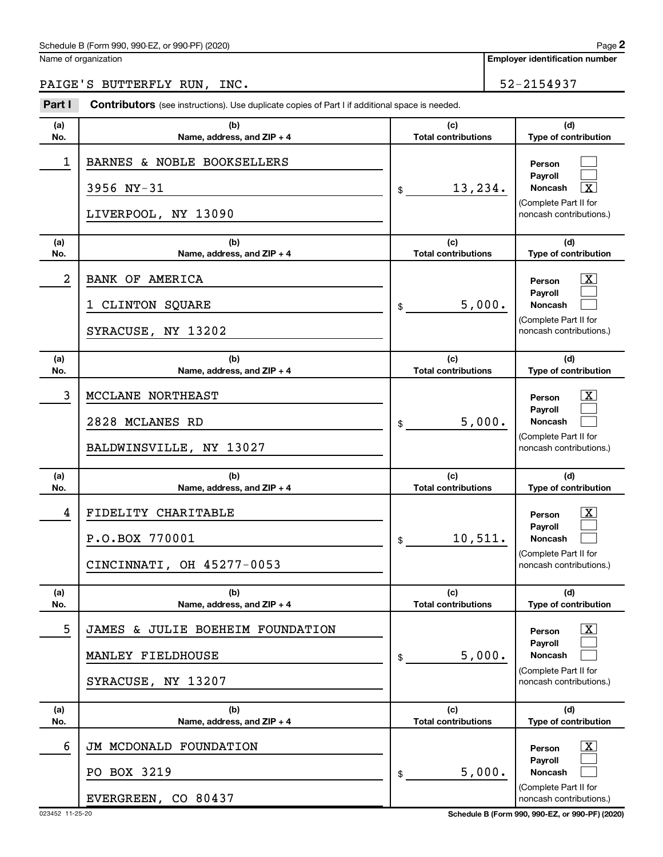#### Schedule B (Form 990, 990-EZ, or 990-PF) (2020)

Name of organization

**Employer identification number**

## PAIGE'S BUTTERFLY RUN, INC. 52-2154937

| Part I         | <b>Contributors</b> (see instructions). Use duplicate copies of Part I if additional space is needed. |                                             |                                                                                                                                 |
|----------------|-------------------------------------------------------------------------------------------------------|---------------------------------------------|---------------------------------------------------------------------------------------------------------------------------------|
| (a)<br>No.     | (b)<br>Name, address, and ZIP + 4                                                                     | (c)<br><b>Total contributions</b>           | (d)<br>Type of contribution                                                                                                     |
| 1              | BARNES & NOBLE BOOKSELLERS<br>3956 NY-31<br>LIVERPOOL, NY 13090                                       | 13,234.<br>\$                               | Person<br>Payroll<br>$\boxed{\text{X}}$<br>Noncash<br>(Complete Part II for<br>noncash contributions.)                          |
| (a)<br>No.     | (b)<br>Name, address, and ZIP + 4                                                                     | (c)<br><b>Total contributions</b>           | (d)<br>Type of contribution                                                                                                     |
| $\overline{a}$ | <b>BANK OF AMERICA</b><br>1 CLINTON SQUARE<br>SYRACUSE, NY 13202                                      | 5,000.<br>\$                                | $\mathbf{X}$<br>Person<br>Payroll<br><b>Noncash</b><br>(Complete Part II for<br>noncash contributions.)                         |
| (a)<br>No.     | (b)<br>Name, address, and ZIP + 4                                                                     | (c)<br><b>Total contributions</b>           | (d)<br>Type of contribution                                                                                                     |
| 3              | MCCLANE NORTHEAST<br>2828 MCLANES RD<br>BALDWINSVILLE, NY 13027                                       | 5,000.<br>\$                                | $\boxed{\textbf{X}}$<br>Person<br>Payroll<br><b>Noncash</b><br>(Complete Part II for<br>noncash contributions.)                 |
| (a)            | (b)                                                                                                   | (c)                                         | (d)                                                                                                                             |
| No.<br>4       | Name, address, and ZIP + 4<br>FIDELITY CHARITABLE<br>P.O.BOX 770001<br>CINCINNATI, OH 45277-0053      | <b>Total contributions</b><br>10,511.<br>\$ | Type of contribution<br>$\mathbf{X}$<br>Person<br>Payroll<br><b>Noncash</b><br>(Complete Part II for<br>noncash contributions.) |
| (a)<br>No.     | (b)<br>Name, address, and ZIP + 4                                                                     | (c)<br><b>Total contributions</b>           | (d)<br>Type of contribution                                                                                                     |
| 5              | JAMES & JULIE BOEHEIM FOUNDATION<br>MANLEY FIELDHOUSE<br>SYRACUSE, NY 13207                           | 5,000.<br>\$                                | $\boxed{\textbf{X}}$<br>Person<br><b>Payroll</b><br><b>Noncash</b><br>(Complete Part II for<br>noncash contributions.)          |
| (a)<br>No.     | (b)<br>Name, address, and ZIP + 4                                                                     | (c)<br><b>Total contributions</b>           | (d)<br>Type of contribution                                                                                                     |
| 6              | JM MCDONALD FOUNDATION<br>PO BOX 3219<br>EVERGREEN, CO 80437                                          | 5,000.<br>\$                                | $\mathbf{X}$<br>Person<br><b>Payroll</b><br>Noncash<br>(Complete Part II for<br>noncash contributions.)                         |

023452 11-25-20 **Schedule B (Form 990, 990-EZ, or 990-PF) (2020)**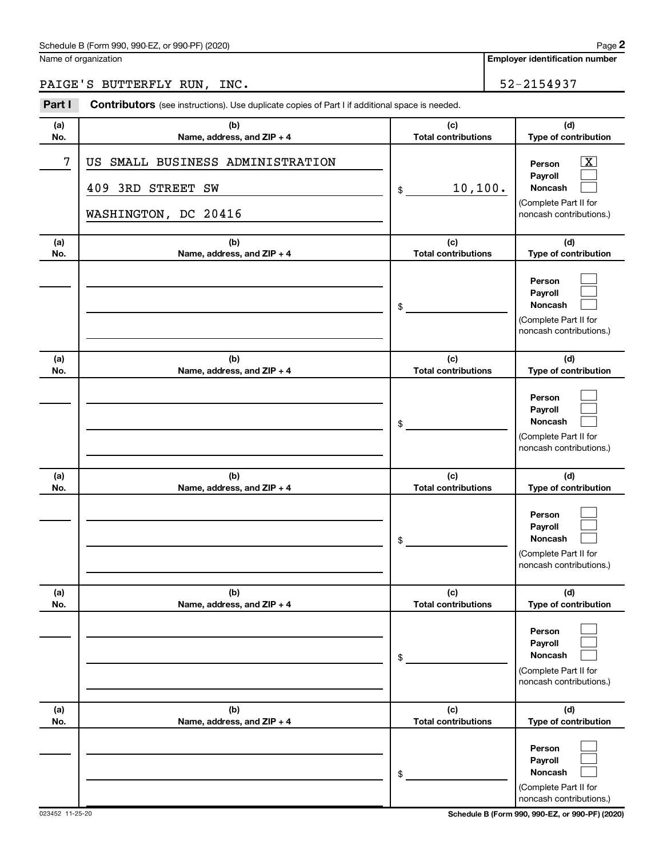Name of organization

## PAIGE'S BUTTERFLY RUN, INC. 52-2154937

| Part I     | Contributors (see instructions). Use duplicate copies of Part I if additional space is needed. |                                   |                                                                                       |
|------------|------------------------------------------------------------------------------------------------|-----------------------------------|---------------------------------------------------------------------------------------|
| (a)<br>No. | (b)<br>Name, address, and ZIP + 4                                                              | (c)<br><b>Total contributions</b> | (d)<br>Type of contribution                                                           |
| 7          | SMALL BUSINESS ADMINISTRATION<br>US<br><b>3RD STREET SW</b><br>409<br>WASHINGTON, DC 20416     | 10, 100.<br>\$                    | x<br>Person<br>Payroll<br>Noncash<br>(Complete Part II for<br>noncash contributions.) |
| (a)<br>No. | (b)<br>Name, address, and ZIP + 4                                                              | (c)<br><b>Total contributions</b> | (d)<br>Type of contribution                                                           |
|            |                                                                                                | \$                                | Person<br>Payroll<br>Noncash<br>(Complete Part II for<br>noncash contributions.)      |
| (a)<br>No. | (b)<br>Name, address, and ZIP + 4                                                              | (c)<br><b>Total contributions</b> | (d)<br>Type of contribution                                                           |
|            |                                                                                                | \$                                | Person<br>Pavroll<br>Noncash<br>(Complete Part II for<br>noncash contributions.)      |
| (a)<br>No. | (b)<br>Name, address, and ZIP + 4                                                              | (c)<br><b>Total contributions</b> | (d)<br>Type of contribution                                                           |
|            |                                                                                                | \$                                | Person<br>Payroll<br>Noncash<br>(Complete Part II for<br>noncash contributions.)      |
| (a)<br>No. | (b)<br>Name, address, and ZIP + 4                                                              | (c)<br><b>Total contributions</b> | (d)<br>Type of contribution                                                           |
|            |                                                                                                | \$                                | Person<br>Payroll<br>Noncash<br>(Complete Part II for<br>noncash contributions.)      |
| (a)<br>No. | (b)<br>Name, address, and ZIP + 4                                                              | (c)<br><b>Total contributions</b> | (d)<br>Type of contribution                                                           |
|            |                                                                                                | \$                                | Person<br>Payroll<br>Noncash<br>(Complete Part II for<br>noncash contributions.)      |

023452 11-25-20 **Schedule B (Form 990, 990-EZ, or 990-PF) (2020)**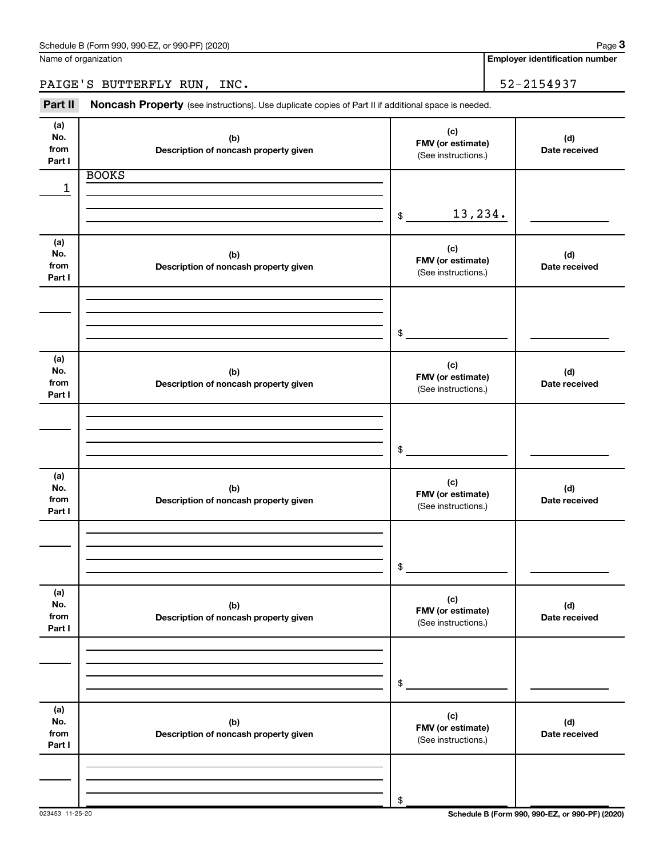PAIGE'S BUTTERFLY RUN, INC. 52-2154937

Part II Noncash Property (see instructions). Use duplicate copies of Part II if additional space is needed.

| (a)<br>(c)<br>No.<br>(b)<br>(d)<br>FMV (or estimate)<br>from<br>Description of noncash property given<br>Date received<br>(See instructions.)<br>Part I<br><b>BOOKS</b> |  |
|-------------------------------------------------------------------------------------------------------------------------------------------------------------------------|--|
|                                                                                                                                                                         |  |
|                                                                                                                                                                         |  |
| 1                                                                                                                                                                       |  |
|                                                                                                                                                                         |  |
| 13,234.<br>\$                                                                                                                                                           |  |
|                                                                                                                                                                         |  |
| (a)<br>(c)                                                                                                                                                              |  |
| No.<br>(b)<br>(d)<br>FMV (or estimate)<br>from<br>Date received                                                                                                         |  |
| Description of noncash property given<br>(See instructions.)<br>Part I                                                                                                  |  |
|                                                                                                                                                                         |  |
|                                                                                                                                                                         |  |
|                                                                                                                                                                         |  |
|                                                                                                                                                                         |  |
| $$\overbrace{\hspace{2.5cm}}$                                                                                                                                           |  |
|                                                                                                                                                                         |  |
| (a)<br>(c)                                                                                                                                                              |  |
| No.<br>(b)<br>(d)<br>FMV (or estimate)                                                                                                                                  |  |
| from<br>Description of noncash property given<br>Date received<br>(See instructions.)                                                                                   |  |
| Part I                                                                                                                                                                  |  |
|                                                                                                                                                                         |  |
|                                                                                                                                                                         |  |
|                                                                                                                                                                         |  |
| $\frac{1}{2}$                                                                                                                                                           |  |
|                                                                                                                                                                         |  |
| (a)<br>(c)                                                                                                                                                              |  |
| No.<br>(b)<br>(d)<br>FMV (or estimate)                                                                                                                                  |  |
| from<br>Description of noncash property given<br>Date received<br>(See instructions.)                                                                                   |  |
| Part I                                                                                                                                                                  |  |
|                                                                                                                                                                         |  |
|                                                                                                                                                                         |  |
|                                                                                                                                                                         |  |
| \$                                                                                                                                                                      |  |
|                                                                                                                                                                         |  |
| (a)<br>(c)<br>No.                                                                                                                                                       |  |
| (b)<br>(d)<br>FMV (or estimate)<br>from                                                                                                                                 |  |
| Description of noncash property given<br>Date received<br>(See instructions.)<br>Part I                                                                                 |  |
|                                                                                                                                                                         |  |
|                                                                                                                                                                         |  |
|                                                                                                                                                                         |  |
|                                                                                                                                                                         |  |
| \$                                                                                                                                                                      |  |
| (a)                                                                                                                                                                     |  |
| (c)<br>No.<br>(b)<br>(d)                                                                                                                                                |  |
| FMV (or estimate)<br>from<br>Description of noncash property given<br>Date received                                                                                     |  |
| (See instructions.)<br>Part I                                                                                                                                           |  |
|                                                                                                                                                                         |  |
|                                                                                                                                                                         |  |
|                                                                                                                                                                         |  |
| \$                                                                                                                                                                      |  |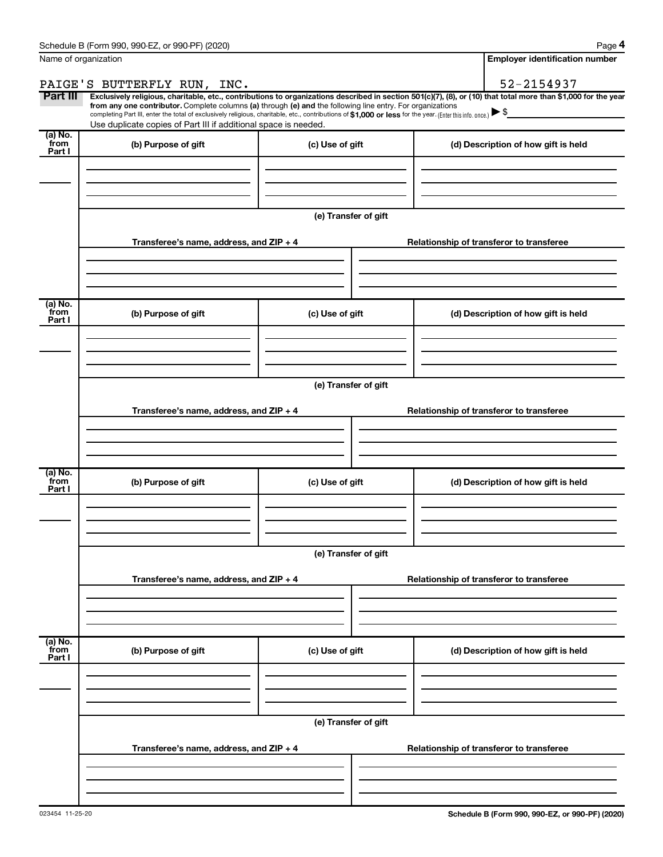| Name of organization       |                                                                                                                                                                                                                                                                                                                                                                                                                                                                                                             |                      |                                          | <b>Employer identification number</b> |
|----------------------------|-------------------------------------------------------------------------------------------------------------------------------------------------------------------------------------------------------------------------------------------------------------------------------------------------------------------------------------------------------------------------------------------------------------------------------------------------------------------------------------------------------------|----------------------|------------------------------------------|---------------------------------------|
|                            | PAIGE'S BUTTERFLY RUN, INC.                                                                                                                                                                                                                                                                                                                                                                                                                                                                                 |                      |                                          | 52-2154937                            |
| Part III                   | Exclusively religious, charitable, etc., contributions to organizations described in section 501(c)(7), (8), or (10) that total more than \$1,000 for the year<br>from any one contributor. Complete columns (a) through (e) and the following line entry. For organizations<br>completing Part III, enter the total of exclusively religious, charitable, etc., contributions of \$1,000 or less for the year. (Enter this info. once.)<br>Use duplicate copies of Part III if additional space is needed. |                      |                                          |                                       |
| (a) No.<br>`from<br>Part I | (b) Purpose of gift                                                                                                                                                                                                                                                                                                                                                                                                                                                                                         | (c) Use of gift      |                                          | (d) Description of how gift is held   |
|                            |                                                                                                                                                                                                                                                                                                                                                                                                                                                                                                             |                      |                                          |                                       |
|                            |                                                                                                                                                                                                                                                                                                                                                                                                                                                                                                             | (e) Transfer of gift |                                          |                                       |
|                            | Transferee's name, address, and ZIP + 4                                                                                                                                                                                                                                                                                                                                                                                                                                                                     |                      | Relationship of transferor to transferee |                                       |
| (a) No.<br>`from           | (b) Purpose of gift                                                                                                                                                                                                                                                                                                                                                                                                                                                                                         | (c) Use of gift      |                                          | (d) Description of how gift is held   |
| Part I                     |                                                                                                                                                                                                                                                                                                                                                                                                                                                                                                             |                      |                                          |                                       |
|                            |                                                                                                                                                                                                                                                                                                                                                                                                                                                                                                             | (e) Transfer of gift |                                          |                                       |
|                            | Transferee's name, address, and ZIP + 4                                                                                                                                                                                                                                                                                                                                                                                                                                                                     |                      | Relationship of transferor to transferee |                                       |
| (a) No.<br>`from<br>Part I | (b) Purpose of gift                                                                                                                                                                                                                                                                                                                                                                                                                                                                                         | (c) Use of gift      |                                          | (d) Description of how gift is held   |
|                            |                                                                                                                                                                                                                                                                                                                                                                                                                                                                                                             | (e) Transfer of gift |                                          |                                       |
|                            | Transferee's name, address, and ZIP + 4                                                                                                                                                                                                                                                                                                                                                                                                                                                                     |                      | Relationship of transferor to transferee |                                       |
| (a) No.<br>from<br>Part I  | (b) Purpose of gift                                                                                                                                                                                                                                                                                                                                                                                                                                                                                         | (c) Use of gift      |                                          | (d) Description of how gift is held   |
|                            |                                                                                                                                                                                                                                                                                                                                                                                                                                                                                                             |                      |                                          |                                       |
|                            |                                                                                                                                                                                                                                                                                                                                                                                                                                                                                                             | (e) Transfer of gift |                                          |                                       |
|                            | Transferee's name, address, and ZIP + 4                                                                                                                                                                                                                                                                                                                                                                                                                                                                     |                      | Relationship of transferor to transferee |                                       |
|                            |                                                                                                                                                                                                                                                                                                                                                                                                                                                                                                             |                      |                                          |                                       |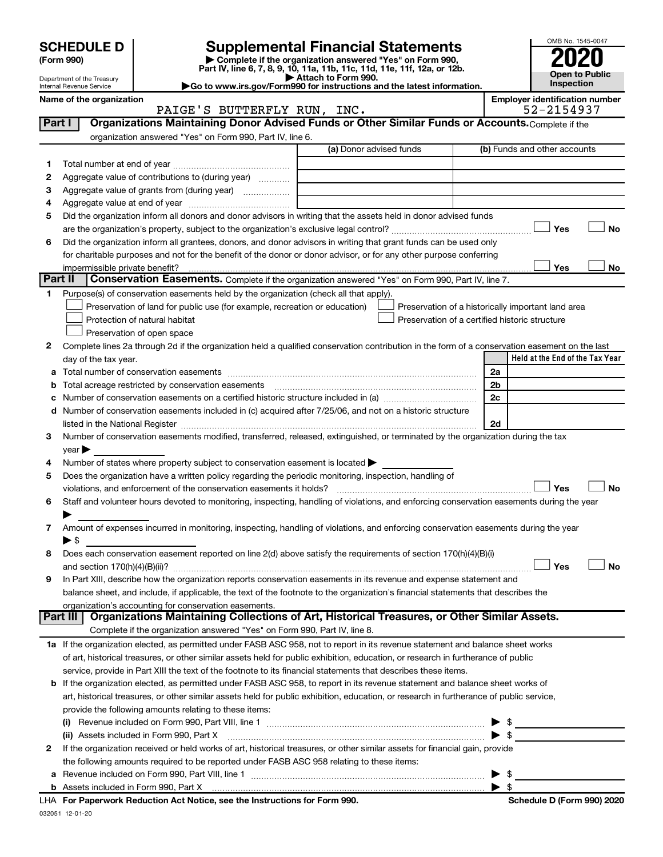|                                                                                                                                  | <b>SCHEDULE D</b>              |                                                                                                                                                                     |                         |  |                                                    |  |    |                                       |     | OMB No. 1545-0047     |
|----------------------------------------------------------------------------------------------------------------------------------|--------------------------------|---------------------------------------------------------------------------------------------------------------------------------------------------------------------|-------------------------|--|----------------------------------------------------|--|----|---------------------------------------|-----|-----------------------|
|                                                                                                                                  | (Form 990)                     | <b>Supplemental Financial Statements</b><br>Complete if the organization answered "Yes" on Form 990,                                                                |                         |  |                                                    |  |    |                                       |     |                       |
|                                                                                                                                  |                                | Part IV, line 6, 7, 8, 9, 10, 11a, 11b, 11c, 11d, 11e, 11f, 12a, or 12b.                                                                                            | Attach to Form 990.     |  |                                                    |  |    |                                       |     | <b>Open to Public</b> |
| Department of the Treasury<br>Go to www.irs.gov/Form990 for instructions and the latest information.<br>Internal Revenue Service |                                |                                                                                                                                                                     |                         |  |                                                    |  |    | Inspection                            |     |                       |
|                                                                                                                                  | Name of the organization       |                                                                                                                                                                     |                         |  |                                                    |  |    | <b>Employer identification number</b> |     |                       |
| Part I                                                                                                                           |                                | PAIGE'S BUTTERFLY RUN, INC.<br>Organizations Maintaining Donor Advised Funds or Other Similar Funds or Accounts. Complete if the                                    |                         |  |                                                    |  |    | 52-2154937                            |     |                       |
|                                                                                                                                  |                                | organization answered "Yes" on Form 990, Part IV, line 6.                                                                                                           |                         |  |                                                    |  |    |                                       |     |                       |
|                                                                                                                                  |                                |                                                                                                                                                                     | (a) Donor advised funds |  |                                                    |  |    | (b) Funds and other accounts          |     |                       |
| 1.                                                                                                                               |                                |                                                                                                                                                                     |                         |  |                                                    |  |    |                                       |     |                       |
| 2                                                                                                                                |                                | Aggregate value of contributions to (during year)                                                                                                                   |                         |  |                                                    |  |    |                                       |     |                       |
| з                                                                                                                                |                                | Aggregate value of grants from (during year)                                                                                                                        |                         |  |                                                    |  |    |                                       |     |                       |
| 4                                                                                                                                |                                |                                                                                                                                                                     |                         |  |                                                    |  |    |                                       |     |                       |
| 5                                                                                                                                |                                | Did the organization inform all donors and donor advisors in writing that the assets held in donor advised funds                                                    |                         |  |                                                    |  |    |                                       |     |                       |
|                                                                                                                                  |                                |                                                                                                                                                                     |                         |  |                                                    |  |    |                                       | Yes | <b>No</b>             |
| 6                                                                                                                                |                                | Did the organization inform all grantees, donors, and donor advisors in writing that grant funds can be used only                                                   |                         |  |                                                    |  |    |                                       |     |                       |
|                                                                                                                                  |                                | for charitable purposes and not for the benefit of the donor or donor advisor, or for any other purpose conferring                                                  |                         |  |                                                    |  |    |                                       |     |                       |
| Part II                                                                                                                          | impermissible private benefit? |                                                                                                                                                                     |                         |  |                                                    |  |    |                                       | Yes | No                    |
| 1.                                                                                                                               |                                | Conservation Easements. Complete if the organization answered "Yes" on Form 990, Part IV, line 7.                                                                   |                         |  |                                                    |  |    |                                       |     |                       |
|                                                                                                                                  |                                | Purpose(s) of conservation easements held by the organization (check all that apply).<br>Preservation of land for public use (for example, recreation or education) |                         |  | Preservation of a historically important land area |  |    |                                       |     |                       |
|                                                                                                                                  |                                | Protection of natural habitat                                                                                                                                       |                         |  | Preservation of a certified historic structure     |  |    |                                       |     |                       |
|                                                                                                                                  |                                | Preservation of open space                                                                                                                                          |                         |  |                                                    |  |    |                                       |     |                       |
| 2                                                                                                                                |                                | Complete lines 2a through 2d if the organization held a qualified conservation contribution in the form of a conservation easement on the last                      |                         |  |                                                    |  |    |                                       |     |                       |
|                                                                                                                                  | day of the tax year.           |                                                                                                                                                                     |                         |  |                                                    |  |    | Held at the End of the Tax Year       |     |                       |
| a                                                                                                                                |                                |                                                                                                                                                                     |                         |  |                                                    |  | 2a |                                       |     |                       |
| b                                                                                                                                |                                |                                                                                                                                                                     |                         |  |                                                    |  | 2b |                                       |     |                       |
| c                                                                                                                                |                                |                                                                                                                                                                     |                         |  |                                                    |  | 2c |                                       |     |                       |
| d                                                                                                                                |                                | Number of conservation easements included in (c) acquired after 7/25/06, and not on a historic structure                                                            |                         |  |                                                    |  |    |                                       |     |                       |
|                                                                                                                                  |                                |                                                                                                                                                                     |                         |  |                                                    |  | 2d |                                       |     |                       |
| 3                                                                                                                                |                                | Number of conservation easements modified, transferred, released, extinguished, or terminated by the organization during the tax                                    |                         |  |                                                    |  |    |                                       |     |                       |
|                                                                                                                                  | $year \triangleright$          |                                                                                                                                                                     |                         |  |                                                    |  |    |                                       |     |                       |
| 4                                                                                                                                |                                | Number of states where property subject to conservation easement is located >                                                                                       |                         |  |                                                    |  |    |                                       |     |                       |
| 5                                                                                                                                |                                | Does the organization have a written policy regarding the periodic monitoring, inspection, handling of                                                              |                         |  |                                                    |  |    |                                       |     |                       |
|                                                                                                                                  |                                |                                                                                                                                                                     |                         |  |                                                    |  |    |                                       | Yes | <b>No</b>             |
| 6                                                                                                                                |                                | Staff and volunteer hours devoted to monitoring, inspecting, handling of violations, and enforcing conservation easements during the year                           |                         |  |                                                    |  |    |                                       |     |                       |
| 7                                                                                                                                |                                | Amount of expenses incurred in monitoring, inspecting, handling of violations, and enforcing conservation easements during the year                                 |                         |  |                                                    |  |    |                                       |     |                       |
|                                                                                                                                  | ▶ \$                           |                                                                                                                                                                     |                         |  |                                                    |  |    |                                       |     |                       |
| 8                                                                                                                                |                                | Does each conservation easement reported on line 2(d) above satisfy the requirements of section 170(h)(4)(B)(i)                                                     |                         |  |                                                    |  |    |                                       |     |                       |
|                                                                                                                                  |                                |                                                                                                                                                                     |                         |  |                                                    |  |    |                                       | Yes | No                    |
| 9                                                                                                                                |                                | In Part XIII, describe how the organization reports conservation easements in its revenue and expense statement and                                                 |                         |  |                                                    |  |    |                                       |     |                       |
|                                                                                                                                  |                                | balance sheet, and include, if applicable, the text of the footnote to the organization's financial statements that describes the                                   |                         |  |                                                    |  |    |                                       |     |                       |
|                                                                                                                                  |                                | organization's accounting for conservation easements.                                                                                                               |                         |  |                                                    |  |    |                                       |     |                       |
|                                                                                                                                  | Part III                       | Organizations Maintaining Collections of Art, Historical Treasures, or Other Similar Assets.                                                                        |                         |  |                                                    |  |    |                                       |     |                       |
|                                                                                                                                  |                                | Complete if the organization answered "Yes" on Form 990, Part IV, line 8.                                                                                           |                         |  |                                                    |  |    |                                       |     |                       |
|                                                                                                                                  |                                | 1a If the organization elected, as permitted under FASB ASC 958, not to report in its revenue statement and balance sheet works                                     |                         |  |                                                    |  |    |                                       |     |                       |
|                                                                                                                                  |                                | of art, historical treasures, or other similar assets held for public exhibition, education, or research in furtherance of public                                   |                         |  |                                                    |  |    |                                       |     |                       |
|                                                                                                                                  |                                | service, provide in Part XIII the text of the footnote to its financial statements that describes these items.                                                      |                         |  |                                                    |  |    |                                       |     |                       |
|                                                                                                                                  |                                | b If the organization elected, as permitted under FASB ASC 958, to report in its revenue statement and balance sheet works of                                       |                         |  |                                                    |  |    |                                       |     |                       |
|                                                                                                                                  |                                | art, historical treasures, or other similar assets held for public exhibition, education, or research in furtherance of public service,                             |                         |  |                                                    |  |    |                                       |     |                       |
|                                                                                                                                  |                                | provide the following amounts relating to these items:                                                                                                              |                         |  |                                                    |  |    |                                       |     |                       |

|   | provide the following amounts relating to these items:                                                                       |      |  |
|---|------------------------------------------------------------------------------------------------------------------------------|------|--|
|   |                                                                                                                              | - \$ |  |
|   | (ii) Assets included in Form 990, Part X                                                                                     |      |  |
| 2 | If the organization received or held works of art, historical treasures, or other similar assets for financial gain, provide |      |  |
|   | the following amounts required to be reported under FASB ASC 958 relating to these items:                                    |      |  |
|   |                                                                                                                              |      |  |
|   |                                                                                                                              |      |  |

 $\overline{\phantom{0}}$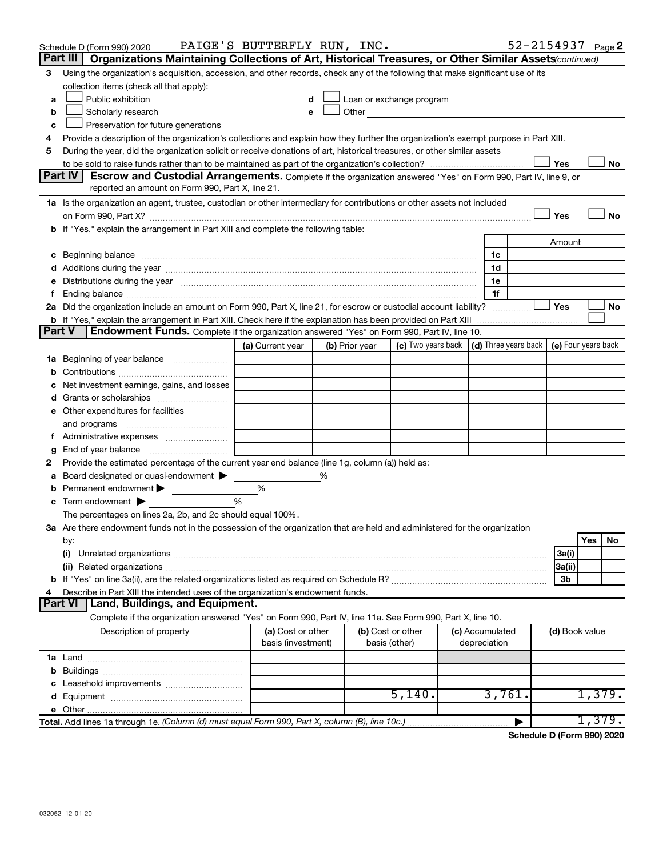|        | Schedule D (Form 990) 2020                                                                                                                                                                                                     | PAIGE'S BUTTERFLY RUN, INC.             |                |                                                                                                                                                                                                                               |                                 | 52-2154937 Page 2 |                |        |        |
|--------|--------------------------------------------------------------------------------------------------------------------------------------------------------------------------------------------------------------------------------|-----------------------------------------|----------------|-------------------------------------------------------------------------------------------------------------------------------------------------------------------------------------------------------------------------------|---------------------------------|-------------------|----------------|--------|--------|
|        | Part III   Organizations Maintaining Collections of Art, Historical Treasures, or Other Similar Assets (continued)                                                                                                             |                                         |                |                                                                                                                                                                                                                               |                                 |                   |                |        |        |
| 3      | Using the organization's acquisition, accession, and other records, check any of the following that make significant use of its                                                                                                |                                         |                |                                                                                                                                                                                                                               |                                 |                   |                |        |        |
|        | collection items (check all that apply):                                                                                                                                                                                       |                                         |                |                                                                                                                                                                                                                               |                                 |                   |                |        |        |
| a      | Public exhibition                                                                                                                                                                                                              | d                                       |                | Loan or exchange program                                                                                                                                                                                                      |                                 |                   |                |        |        |
| b      | Scholarly research                                                                                                                                                                                                             | e                                       |                | Other and the contract of the contract of the contract of the contract of the contract of the contract of the contract of the contract of the contract of the contract of the contract of the contract of the contract of the |                                 |                   |                |        |        |
| c      | Preservation for future generations                                                                                                                                                                                            |                                         |                |                                                                                                                                                                                                                               |                                 |                   |                |        |        |
| 4      | Provide a description of the organization's collections and explain how they further the organization's exempt purpose in Part XIII.                                                                                           |                                         |                |                                                                                                                                                                                                                               |                                 |                   |                |        |        |
| 5      | During the year, did the organization solicit or receive donations of art, historical treasures, or other similar assets                                                                                                       |                                         |                |                                                                                                                                                                                                                               |                                 |                   |                |        |        |
|        | Part IV<br>Escrow and Custodial Arrangements. Complete if the organization answered "Yes" on Form 990, Part IV, line 9, or                                                                                                     |                                         |                |                                                                                                                                                                                                                               |                                 |                   | Yes            |        | No     |
|        | reported an amount on Form 990, Part X, line 21.                                                                                                                                                                               |                                         |                |                                                                                                                                                                                                                               |                                 |                   |                |        |        |
|        | 1a Is the organization an agent, trustee, custodian or other intermediary for contributions or other assets not included                                                                                                       |                                         |                |                                                                                                                                                                                                                               |                                 |                   |                |        |        |
|        |                                                                                                                                                                                                                                |                                         |                |                                                                                                                                                                                                                               |                                 |                   | Yes            |        | No     |
|        | b If "Yes," explain the arrangement in Part XIII and complete the following table:                                                                                                                                             |                                         |                |                                                                                                                                                                                                                               |                                 |                   |                |        |        |
|        |                                                                                                                                                                                                                                |                                         |                |                                                                                                                                                                                                                               |                                 |                   | Amount         |        |        |
|        | c Beginning balance measurements and the contract of Beginning balance measurements are all the contract of the contract of the contract of the contract of the contract of the contract of the contract of the contract of th |                                         |                |                                                                                                                                                                                                                               | 1c                              |                   |                |        |        |
|        |                                                                                                                                                                                                                                |                                         |                |                                                                                                                                                                                                                               | 1d                              |                   |                |        |        |
|        | e Distributions during the year manufactured and continuum control of the control of the control of the state of the control of the control of the control of the control of the control of the control of the control of the  |                                         |                |                                                                                                                                                                                                                               | 1e                              |                   |                |        |        |
| f.     |                                                                                                                                                                                                                                |                                         |                |                                                                                                                                                                                                                               | 1f                              |                   |                |        |        |
|        | 2a Did the organization include an amount on Form 990, Part X, line 21, for escrow or custodial account liability?                                                                                                             |                                         |                |                                                                                                                                                                                                                               |                                 |                   | <b>Yes</b>     |        | No     |
|        |                                                                                                                                                                                                                                |                                         |                |                                                                                                                                                                                                                               |                                 |                   |                |        |        |
| Part V | Endowment Funds. Complete if the organization answered "Yes" on Form 990, Part IV, line 10.                                                                                                                                    |                                         |                |                                                                                                                                                                                                                               |                                 |                   |                |        |        |
|        |                                                                                                                                                                                                                                | (a) Current year                        | (b) Prior year | (c) Two years back $\vert$ (d) Three years back $\vert$ (e) Four years back                                                                                                                                                   |                                 |                   |                |        |        |
|        | 1a Beginning of year balance                                                                                                                                                                                                   |                                         |                |                                                                                                                                                                                                                               |                                 |                   |                |        |        |
|        |                                                                                                                                                                                                                                |                                         |                |                                                                                                                                                                                                                               |                                 |                   |                |        |        |
|        | c Net investment earnings, gains, and losses                                                                                                                                                                                   |                                         |                |                                                                                                                                                                                                                               |                                 |                   |                |        |        |
|        |                                                                                                                                                                                                                                |                                         |                |                                                                                                                                                                                                                               |                                 |                   |                |        |        |
|        | e Other expenditures for facilities                                                                                                                                                                                            |                                         |                |                                                                                                                                                                                                                               |                                 |                   |                |        |        |
|        | and programs                                                                                                                                                                                                                   |                                         |                |                                                                                                                                                                                                                               |                                 |                   |                |        |        |
|        | f Administrative expenses <i></i>                                                                                                                                                                                              |                                         |                |                                                                                                                                                                                                                               |                                 |                   |                |        |        |
| g      | End of year balance <i>manually contained</i>                                                                                                                                                                                  |                                         |                |                                                                                                                                                                                                                               |                                 |                   |                |        |        |
| 2      | Provide the estimated percentage of the current year end balance (line 1g, column (a)) held as:                                                                                                                                |                                         |                |                                                                                                                                                                                                                               |                                 |                   |                |        |        |
| а      | Board designated or quasi-endowment >                                                                                                                                                                                          |                                         | %              |                                                                                                                                                                                                                               |                                 |                   |                |        |        |
| b      | Permanent endowment                                                                                                                                                                                                            | $\%$                                    |                |                                                                                                                                                                                                                               |                                 |                   |                |        |        |
|        | <b>c</b> Term endowment $\blacktriangleright$                                                                                                                                                                                  | %                                       |                |                                                                                                                                                                                                                               |                                 |                   |                |        |        |
|        | The percentages on lines 2a, 2b, and 2c should equal 100%.                                                                                                                                                                     |                                         |                |                                                                                                                                                                                                                               |                                 |                   |                |        |        |
|        | 3a Are there endowment funds not in the possession of the organization that are held and administered for the organization                                                                                                     |                                         |                |                                                                                                                                                                                                                               |                                 |                   |                |        |        |
|        | by:                                                                                                                                                                                                                            |                                         |                |                                                                                                                                                                                                                               |                                 |                   |                | Yes    | No     |
|        | (i)                                                                                                                                                                                                                            |                                         |                |                                                                                                                                                                                                                               |                                 |                   | 3a(i)          |        |        |
|        |                                                                                                                                                                                                                                |                                         |                |                                                                                                                                                                                                                               |                                 |                   | 3a(ii)         |        |        |
|        |                                                                                                                                                                                                                                |                                         |                |                                                                                                                                                                                                                               |                                 |                   | 3b             |        |        |
| 4      | Describe in Part XIII the intended uses of the organization's endowment funds.                                                                                                                                                 |                                         |                |                                                                                                                                                                                                                               |                                 |                   |                |        |        |
|        | Land, Buildings, and Equipment.<br><b>Part VI</b>                                                                                                                                                                              |                                         |                |                                                                                                                                                                                                                               |                                 |                   |                |        |        |
|        | Complete if the organization answered "Yes" on Form 990, Part IV, line 11a. See Form 990, Part X, line 10.                                                                                                                     |                                         |                |                                                                                                                                                                                                                               |                                 |                   |                |        |        |
|        | Description of property                                                                                                                                                                                                        | (a) Cost or other<br>basis (investment) |                | (b) Cost or other<br>basis (other)                                                                                                                                                                                            | (c) Accumulated<br>depreciation |                   | (d) Book value |        |        |
|        |                                                                                                                                                                                                                                |                                         |                |                                                                                                                                                                                                                               |                                 |                   |                |        |        |
|        |                                                                                                                                                                                                                                |                                         |                |                                                                                                                                                                                                                               |                                 |                   |                |        |        |
|        |                                                                                                                                                                                                                                |                                         |                |                                                                                                                                                                                                                               |                                 |                   |                |        |        |
|        |                                                                                                                                                                                                                                |                                         |                | 5,140.                                                                                                                                                                                                                        | 3,761.                          |                   |                | 1,379. |        |
|        |                                                                                                                                                                                                                                |                                         |                |                                                                                                                                                                                                                               |                                 |                   |                |        |        |
|        | Total. Add lines 1a through 1e. (Column (d) must equal Form 990, Part X, column (B), line 10c.)                                                                                                                                |                                         |                |                                                                                                                                                                                                                               |                                 |                   |                |        | 1,379. |

**Schedule D (Form 990) 2020**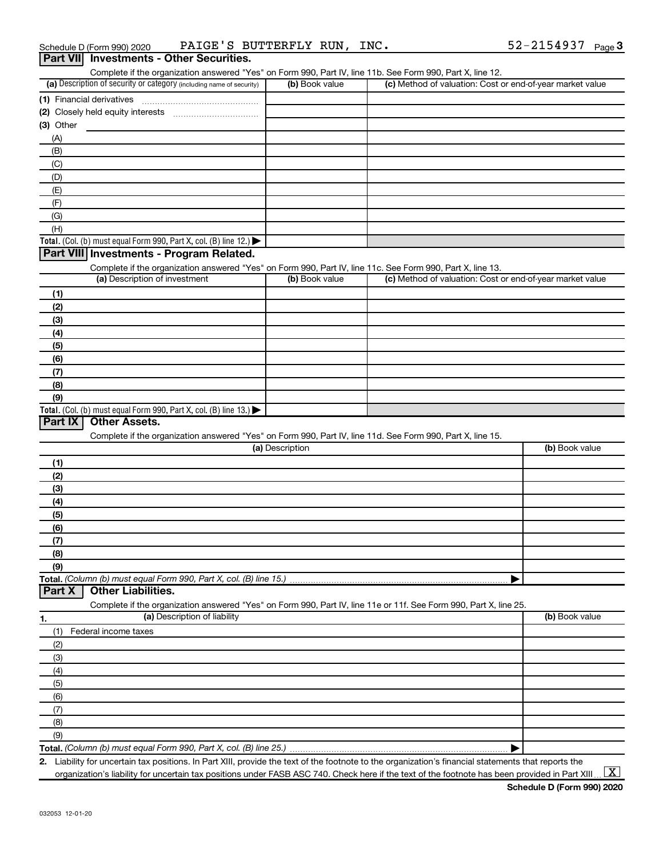| Complete if the organization answered "Yes" on Form 990, Part IV, line 11b. See Form 990, Part X, line 12.                                  |                 |                                                           |                |
|---------------------------------------------------------------------------------------------------------------------------------------------|-----------------|-----------------------------------------------------------|----------------|
| (a) Description of security or category (including name of security)                                                                        | (b) Book value  | (c) Method of valuation: Cost or end-of-year market value |                |
|                                                                                                                                             |                 |                                                           |                |
| (2) Closely held equity interests                                                                                                           |                 |                                                           |                |
| (3) Other                                                                                                                                   |                 |                                                           |                |
| (A)                                                                                                                                         |                 |                                                           |                |
| (B)                                                                                                                                         |                 |                                                           |                |
| (C)                                                                                                                                         |                 |                                                           |                |
| (D)                                                                                                                                         |                 |                                                           |                |
| (E)                                                                                                                                         |                 |                                                           |                |
| (F)                                                                                                                                         |                 |                                                           |                |
| (G)                                                                                                                                         |                 |                                                           |                |
| (H)                                                                                                                                         |                 |                                                           |                |
| Total. (Col. (b) must equal Form 990, Part X, col. (B) line 12.) $\blacktriangleright$                                                      |                 |                                                           |                |
| Part VIII Investments - Program Related.                                                                                                    |                 |                                                           |                |
|                                                                                                                                             |                 |                                                           |                |
| Complete if the organization answered "Yes" on Form 990, Part IV, line 11c. See Form 990, Part X, line 13.<br>(a) Description of investment | (b) Book value  | (c) Method of valuation: Cost or end-of-year market value |                |
|                                                                                                                                             |                 |                                                           |                |
| (1)                                                                                                                                         |                 |                                                           |                |
| (2)                                                                                                                                         |                 |                                                           |                |
| (3)                                                                                                                                         |                 |                                                           |                |
| (4)                                                                                                                                         |                 |                                                           |                |
| (5)                                                                                                                                         |                 |                                                           |                |
| (6)                                                                                                                                         |                 |                                                           |                |
| (7)                                                                                                                                         |                 |                                                           |                |
| (8)                                                                                                                                         |                 |                                                           |                |
| (9)                                                                                                                                         |                 |                                                           |                |
| Total. (Col. (b) must equal Form 990, Part X, col. (B) line 13.)                                                                            |                 |                                                           |                |
| <b>Other Assets.</b><br>Part IX                                                                                                             |                 |                                                           |                |
| Complete if the organization answered "Yes" on Form 990, Part IV, line 11d. See Form 990, Part X, line 15.                                  |                 |                                                           |                |
|                                                                                                                                             | (a) Description |                                                           | (b) Book value |
| (1)                                                                                                                                         |                 |                                                           |                |
| (2)                                                                                                                                         |                 |                                                           |                |
| (3)                                                                                                                                         |                 |                                                           |                |
|                                                                                                                                             |                 |                                                           |                |
| (4)                                                                                                                                         |                 |                                                           |                |
| (5)                                                                                                                                         |                 |                                                           |                |
| (6)                                                                                                                                         |                 |                                                           |                |
| (7)                                                                                                                                         |                 |                                                           |                |
| (8)                                                                                                                                         |                 |                                                           |                |
| (9)                                                                                                                                         |                 |                                                           |                |
|                                                                                                                                             |                 |                                                           |                |
| <b>Other Liabilities.</b><br>Part X                                                                                                         |                 |                                                           |                |
| Complete if the organization answered "Yes" on Form 990, Part IV, line 11e or 11f. See Form 990, Part X, line 25.                           |                 |                                                           |                |
| (a) Description of liability<br>1.                                                                                                          |                 |                                                           | (b) Book value |
| (1)<br>Federal income taxes                                                                                                                 |                 |                                                           |                |
| (2)                                                                                                                                         |                 |                                                           |                |
| (3)                                                                                                                                         |                 |                                                           |                |
| (4)                                                                                                                                         |                 |                                                           |                |
| (5)                                                                                                                                         |                 |                                                           |                |
|                                                                                                                                             |                 |                                                           |                |
| (6)                                                                                                                                         |                 |                                                           |                |
| (7)                                                                                                                                         |                 |                                                           |                |
| (8)                                                                                                                                         |                 |                                                           |                |
|                                                                                                                                             |                 |                                                           |                |
| (9)<br>Total. (Column (b) must equal Form 990, Part X, col. (B) line 25.)                                                                   |                 |                                                           |                |

**Total.**  *(Column (b) must equal Form 990, Part X, col. (B) line 25.)*

**2.** Liability for uncertain tax positions. In Part XIII, provide the text of the footnote to the organization's financial statements that reports the organization's liability for uncertain tax positions under FASB ASC 740. Check here if the text of the footnote has been provided in Part XIII ...  $\fbox{\bf X}$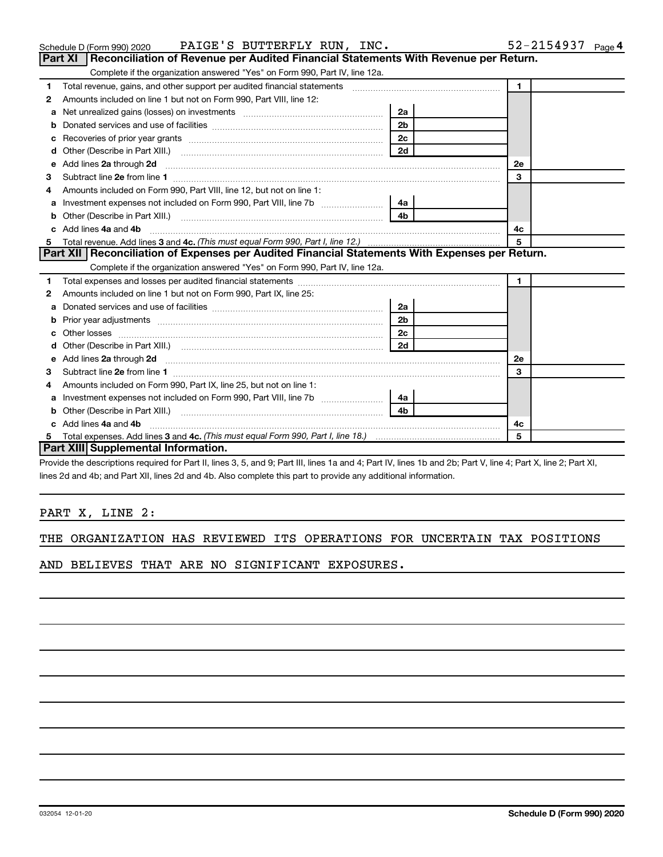|              | Part XI   Reconciliation of Revenue per Audited Financial Statements With Revenue per Return.                                                                                                                                                                                |                |              |  |
|--------------|------------------------------------------------------------------------------------------------------------------------------------------------------------------------------------------------------------------------------------------------------------------------------|----------------|--------------|--|
|              | Complete if the organization answered "Yes" on Form 990, Part IV, line 12a.                                                                                                                                                                                                  |                |              |  |
| $\mathbf{1}$ | Total revenue, gains, and other support per audited financial statements [[[[[[[[[[[[[[[[[[[[[[[]]]]]]]]]]]]]                                                                                                                                                                |                | $\mathbf{1}$ |  |
| $\mathbf{2}$ | Amounts included on line 1 but not on Form 990, Part VIII, line 12:                                                                                                                                                                                                          |                |              |  |
|              |                                                                                                                                                                                                                                                                              | 2a             |              |  |
|              |                                                                                                                                                                                                                                                                              | 2 <sub>b</sub> |              |  |
|              |                                                                                                                                                                                                                                                                              | 2c             |              |  |
| d            |                                                                                                                                                                                                                                                                              | 2d             |              |  |
|              | e Add lines 2a through 2d                                                                                                                                                                                                                                                    |                | 2e           |  |
| 3            |                                                                                                                                                                                                                                                                              |                | 3            |  |
| 4            | Amounts included on Form 990, Part VIII, line 12, but not on line 1:                                                                                                                                                                                                         |                |              |  |
| a            | Investment expenses not included on Form 990, Part VIII, line 7b   4a                                                                                                                                                                                                        |                |              |  |
|              |                                                                                                                                                                                                                                                                              | 4 <sub>b</sub> |              |  |
|              | c Add lines 4a and 4b                                                                                                                                                                                                                                                        |                | 4с           |  |
| 5            |                                                                                                                                                                                                                                                                              |                |              |  |
|              | Part XII Reconciliation of Expenses per Audited Financial Statements With Expenses per Return.                                                                                                                                                                               |                |              |  |
|              | Complete if the organization answered "Yes" on Form 990, Part IV, line 12a.                                                                                                                                                                                                  |                |              |  |
| 1.           |                                                                                                                                                                                                                                                                              |                | $\mathbf{1}$ |  |
| 2            | Amounts included on line 1 but not on Form 990, Part IX, line 25:                                                                                                                                                                                                            |                |              |  |
|              | <b>a</b> Donated services and use of facilities <b>and the set of the set of set of a</b>                                                                                                                                                                                    | 2a             |              |  |
|              |                                                                                                                                                                                                                                                                              | 2 <sub>b</sub> |              |  |
|              |                                                                                                                                                                                                                                                                              | 2 <sub>c</sub> |              |  |
| d            |                                                                                                                                                                                                                                                                              |                |              |  |
|              | e Add lines 2a through 2d <b>[10]</b> [20] <b>All and Provide 20</b> [20] <b>All and Provide 20</b> [30] <b>All and Provide 20</b> [30] <b>All and Provide 20</b> [30] <b>All and Provide 20</b> [30] <b>All and Provide 20</b> [30] <b>All and Provide 20</b> [30] <b>A</b> |                | <b>2e</b>    |  |
| 3            |                                                                                                                                                                                                                                                                              |                | 3            |  |
| 4            | Amounts included on Form 990, Part IX, line 25, but not on line 1:                                                                                                                                                                                                           |                |              |  |
|              |                                                                                                                                                                                                                                                                              | 4a             |              |  |
|              |                                                                                                                                                                                                                                                                              | 4b             |              |  |
|              | c Add lines 4a and 4b                                                                                                                                                                                                                                                        |                | 4c           |  |
|              |                                                                                                                                                                                                                                                                              |                |              |  |
|              | Part XIII Supplemental Information.                                                                                                                                                                                                                                          |                | 5            |  |

Provide the descriptions required for Part II, lines 3, 5, and 9; Part III, lines 1a and 4; Part IV, lines 1b and 2b; Part V, line 4; Part X, line 2; Part XI, lines 2d and 4b; and Part XII, lines 2d and 4b. Also complete this part to provide any additional information.

#### PART X, LINE 2:

| THE ORGANIZATION HAS REVIEWED ITS OPERATIONS FOR UNCERTAIN TAX POSITIONS |  |  |  |
|--------------------------------------------------------------------------|--|--|--|
|--------------------------------------------------------------------------|--|--|--|

AND BELIEVES THAT ARE NO SIGNIFICANT EXPOSURES.

#### Schedule D (Form 990) 2020  $\quad$  PAIGE 'S BUTTERFLY RUN, INC .  $\quad$  52-2154937  $_{\rm Page}$

| $\mathbf 1$  | Total revenue, gains, and other support per audited financial statements                                        |                |  |    |  |
|--------------|-----------------------------------------------------------------------------------------------------------------|----------------|--|----|--|
| $\mathbf{2}$ | Amounts included on line 1 but not on Form 990, Part VIII, line 12:                                             |                |  |    |  |
|              | a Net unrealized gains (losses) on investments [111][12] Net unrealized gains (losses) on investments [11] [12] | 2a             |  |    |  |
|              |                                                                                                                 | 2 <sub>b</sub> |  |    |  |
|              | 2c<br><b>c</b> Recoveries of prior year grants                                                                  |                |  |    |  |
|              |                                                                                                                 | 2d             |  |    |  |
|              |                                                                                                                 |                |  | 2е |  |
| 3            | Subtract line 2e from line 1                                                                                    |                |  | з  |  |
| 4            | Amounts included on Form 990, Part VIII, line 12, but not on line 1:                                            |                |  |    |  |
|              | a Investment expenses not included on Form 990, Part VIII, line 7h                                              |                |  |    |  |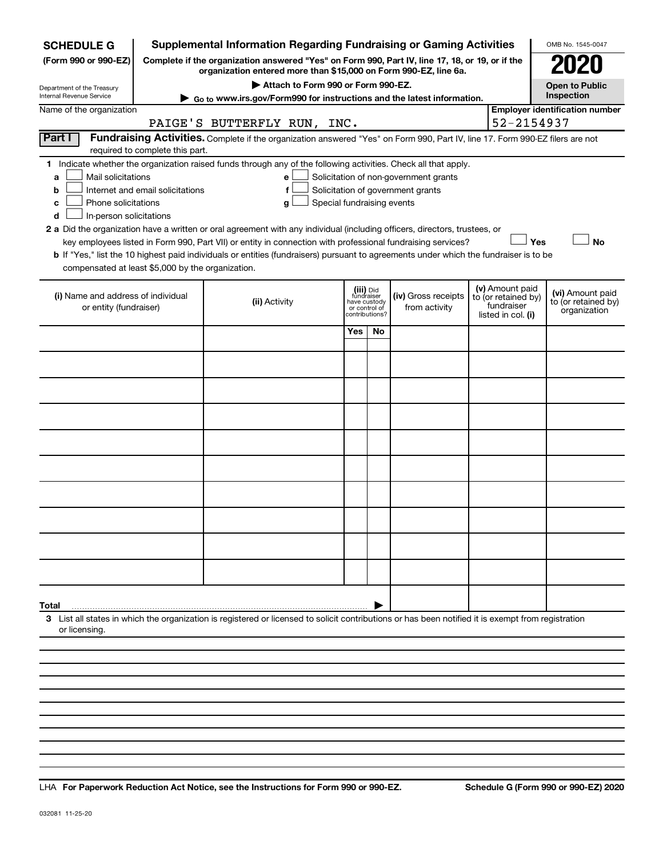| <b>SCHEDULE G</b>                                                 |                                  | <b>Supplemental Information Regarding Fundraising or Gaming Activities</b>                                                                                          |                               |                         |                                       |  |                                        | OMB No. 1545-0047                   |  |  |
|-------------------------------------------------------------------|----------------------------------|---------------------------------------------------------------------------------------------------------------------------------------------------------------------|-------------------------------|-------------------------|---------------------------------------|--|----------------------------------------|-------------------------------------|--|--|
| (Form 990 or 990-EZ)                                              |                                  | Complete if the organization answered "Yes" on Form 990, Part IV, line 17, 18, or 19, or if the<br>organization entered more than \$15,000 on Form 990-EZ, line 6a. |                               |                         |                                       |  |                                        |                                     |  |  |
| Department of the Treasury                                        |                                  | Attach to Form 990 or Form 990-EZ.                                                                                                                                  |                               |                         |                                       |  |                                        | <b>Open to Public</b>               |  |  |
| Internal Revenue Service                                          |                                  | ► Go to www.irs.gov/Form990 for instructions and the latest information.                                                                                            |                               |                         |                                       |  |                                        | Inspection                          |  |  |
| <b>Employer identification number</b><br>Name of the organization |                                  |                                                                                                                                                                     |                               |                         |                                       |  |                                        |                                     |  |  |
|                                                                   |                                  | PAIGE'S BUTTERFLY RUN, INC.                                                                                                                                         |                               |                         |                                       |  | 52-2154937                             |                                     |  |  |
| Part I                                                            | required to complete this part.  | Fundraising Activities. Complete if the organization answered "Yes" on Form 990, Part IV, line 17. Form 990-EZ filers are not                                       |                               |                         |                                       |  |                                        |                                     |  |  |
| Mail solicitations<br>a                                           |                                  | 1 Indicate whether the organization raised funds through any of the following activities. Check all that apply.<br>е                                                |                               |                         | Solicitation of non-government grants |  |                                        |                                     |  |  |
| b                                                                 | Internet and email solicitations | f                                                                                                                                                                   |                               |                         | Solicitation of government grants     |  |                                        |                                     |  |  |
| Phone solicitations<br>с<br>In-person solicitations<br>d          |                                  | Special fundraising events<br>g                                                                                                                                     |                               |                         |                                       |  |                                        |                                     |  |  |
|                                                                   |                                  | 2 a Did the organization have a written or oral agreement with any individual (including officers, directors, trustees, or                                          |                               |                         |                                       |  |                                        |                                     |  |  |
|                                                                   |                                  | key employees listed in Form 990, Part VII) or entity in connection with professional fundraising services?                                                         |                               |                         |                                       |  | Yes                                    | <b>No</b>                           |  |  |
| compensated at least \$5,000 by the organization.                 |                                  | b If "Yes," list the 10 highest paid individuals or entities (fundraisers) pursuant to agreements under which the fundraiser is to be                               |                               |                         |                                       |  |                                        |                                     |  |  |
|                                                                   |                                  |                                                                                                                                                                     |                               |                         |                                       |  |                                        |                                     |  |  |
| (i) Name and address of individual                                |                                  |                                                                                                                                                                     |                               | (iii) Did<br>fundraiser | (iv) Gross receipts                   |  | (v) Amount paid<br>to (or retained by) | (vi) Amount paid                    |  |  |
| or entity (fundraiser)                                            |                                  | (ii) Activity                                                                                                                                                       | have custody<br>or control of | contributions?          | from activity                         |  | fundraiser<br>listed in col. (i)       | to (or retained by)<br>organization |  |  |
|                                                                   |                                  |                                                                                                                                                                     | Yes                           | No.                     |                                       |  |                                        |                                     |  |  |
|                                                                   |                                  |                                                                                                                                                                     |                               |                         |                                       |  |                                        |                                     |  |  |
|                                                                   |                                  |                                                                                                                                                                     |                               |                         |                                       |  |                                        |                                     |  |  |
|                                                                   |                                  |                                                                                                                                                                     |                               |                         |                                       |  |                                        |                                     |  |  |
|                                                                   |                                  |                                                                                                                                                                     |                               |                         |                                       |  |                                        |                                     |  |  |
|                                                                   |                                  |                                                                                                                                                                     |                               |                         |                                       |  |                                        |                                     |  |  |
|                                                                   |                                  |                                                                                                                                                                     |                               |                         |                                       |  |                                        |                                     |  |  |
|                                                                   |                                  |                                                                                                                                                                     |                               |                         |                                       |  |                                        |                                     |  |  |
|                                                                   |                                  |                                                                                                                                                                     |                               |                         |                                       |  |                                        |                                     |  |  |
|                                                                   |                                  |                                                                                                                                                                     |                               |                         |                                       |  |                                        |                                     |  |  |
| Total                                                             |                                  |                                                                                                                                                                     |                               |                         |                                       |  |                                        |                                     |  |  |
| or licensing.                                                     |                                  | 3 List all states in which the organization is registered or licensed to solicit contributions or has been notified it is exempt from registration                  |                               |                         |                                       |  |                                        |                                     |  |  |
|                                                                   |                                  |                                                                                                                                                                     |                               |                         |                                       |  |                                        |                                     |  |  |
|                                                                   |                                  |                                                                                                                                                                     |                               |                         |                                       |  |                                        |                                     |  |  |
|                                                                   |                                  |                                                                                                                                                                     |                               |                         |                                       |  |                                        |                                     |  |  |

**For Paperwork Reduction Act Notice, see the Instructions for Form 990 or 990-EZ. Schedule G (Form 990 or 990-EZ) 2020** LHA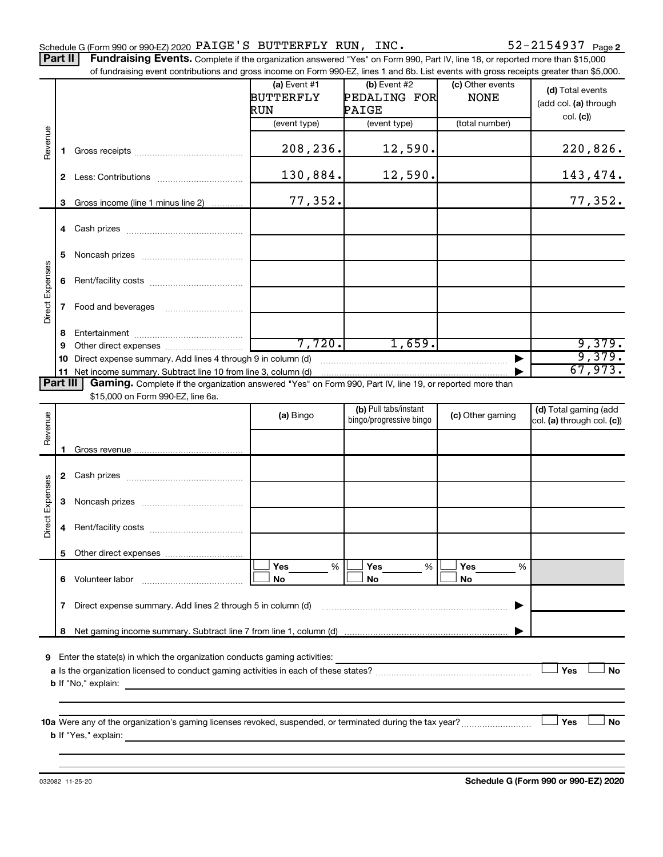Part II | Fundraising Events. Complete if the organization answered "Yes" on Form 990, Part IV, line 18, or reported more than \$15,000 of fundraising event contributions and gross income on Form 990-EZ, lines 1 and 6b. List events with gross receipts greater than \$5,000.

|                        |              | of fundraising event contributions and gross income on Form 990-EZ, lines 1 and 6b. List events with gross receipts greater than \$5,000.                                                                                                                                                                                                              |                                    |                                         |                                 |                                           |
|------------------------|--------------|--------------------------------------------------------------------------------------------------------------------------------------------------------------------------------------------------------------------------------------------------------------------------------------------------------------------------------------------------------|------------------------------------|-----------------------------------------|---------------------------------|-------------------------------------------|
|                        |              |                                                                                                                                                                                                                                                                                                                                                        | (a) Event $#1$<br>BUTTERFLY<br>RUN | $(b)$ Event #2<br>PEDALING FOR<br>PAIGE | (c) Other events<br><b>NONE</b> | (d) Total events<br>(add col. (a) through |
|                        |              |                                                                                                                                                                                                                                                                                                                                                        | (event type)                       | (event type)                            | (total number)                  | col. (c)                                  |
| Revenue                | 1.           |                                                                                                                                                                                                                                                                                                                                                        | 208,236.                           | 12,590.                                 |                                 | 220,826.                                  |
|                        |              |                                                                                                                                                                                                                                                                                                                                                        | 130,884.                           | 12,590.                                 |                                 | 143,474.                                  |
|                        | 3            | Gross income (line 1 minus line 2)                                                                                                                                                                                                                                                                                                                     | 77,352.                            |                                         |                                 | 77,352.                                   |
|                        |              |                                                                                                                                                                                                                                                                                                                                                        |                                    |                                         |                                 |                                           |
|                        | 5            |                                                                                                                                                                                                                                                                                                                                                        |                                    |                                         |                                 |                                           |
| Direct Expenses        |              |                                                                                                                                                                                                                                                                                                                                                        |                                    |                                         |                                 |                                           |
|                        | $\mathbf{7}$ |                                                                                                                                                                                                                                                                                                                                                        |                                    |                                         |                                 |                                           |
|                        | 8            |                                                                                                                                                                                                                                                                                                                                                        |                                    |                                         |                                 |                                           |
|                        | 9            |                                                                                                                                                                                                                                                                                                                                                        | 7,720.                             | 1,659.                                  |                                 | 9,379.                                    |
|                        | 10           | Direct expense summary. Add lines 4 through 9 in column (d)                                                                                                                                                                                                                                                                                            |                                    |                                         |                                 | 9,379.<br>67,973.                         |
| Part III               |              | 11 Net income summary. Subtract line 10 from line 3, column (d)<br>Gaming. Complete if the organization answered "Yes" on Form 990, Part IV, line 19, or reported more than                                                                                                                                                                            |                                    |                                         |                                 |                                           |
|                        |              | \$15,000 on Form 990-EZ, line 6a.                                                                                                                                                                                                                                                                                                                      |                                    |                                         |                                 |                                           |
|                        |              |                                                                                                                                                                                                                                                                                                                                                        |                                    | (b) Pull tabs/instant                   |                                 | (d) Total gaming (add                     |
| Revenue                |              |                                                                                                                                                                                                                                                                                                                                                        | (a) Bingo                          | bingo/progressive bingo                 | (c) Other gaming                | col. (a) through col. (c))                |
|                        |              |                                                                                                                                                                                                                                                                                                                                                        |                                    |                                         |                                 |                                           |
|                        | 1.           |                                                                                                                                                                                                                                                                                                                                                        |                                    |                                         |                                 |                                           |
|                        |              |                                                                                                                                                                                                                                                                                                                                                        |                                    |                                         |                                 |                                           |
|                        |              |                                                                                                                                                                                                                                                                                                                                                        |                                    |                                         |                                 |                                           |
| <b>Direct Expenses</b> | 3            |                                                                                                                                                                                                                                                                                                                                                        |                                    |                                         |                                 |                                           |
|                        | 4            |                                                                                                                                                                                                                                                                                                                                                        |                                    |                                         |                                 |                                           |
|                        |              | 5 Other direct expenses                                                                                                                                                                                                                                                                                                                                |                                    |                                         |                                 |                                           |
|                        |              |                                                                                                                                                                                                                                                                                                                                                        | %<br>Yes<br>No                     | Yes<br>%<br>No                          | Yes<br>%<br>No                  |                                           |
|                        | $\mathbf{7}$ | Direct expense summary. Add lines 2 through 5 in column (d)                                                                                                                                                                                                                                                                                            |                                    |                                         |                                 |                                           |
|                        | 8            |                                                                                                                                                                                                                                                                                                                                                        |                                    |                                         |                                 |                                           |
|                        |              | <b>9</b> Enter the state(s) in which the organization conducts gaming activities:<br><b>b</b> If "No," explain:                                                                                                                                                                                                                                        |                                    |                                         |                                 | Yes<br>No                                 |
|                        |              | 10a Were any of the organization's gaming licenses revoked, suspended, or terminated during the tax year?<br><b>b</b> If "Yes," explain: <u>And a set of the set of the set of the set of the set of the set of the set of the set of the set of the set of the set of the set of the set of the set of the set of the set of the set of the set o</u> |                                    |                                         |                                 | Yes<br>No                                 |

**Schedule G (Form 990 or 990-EZ) 2020**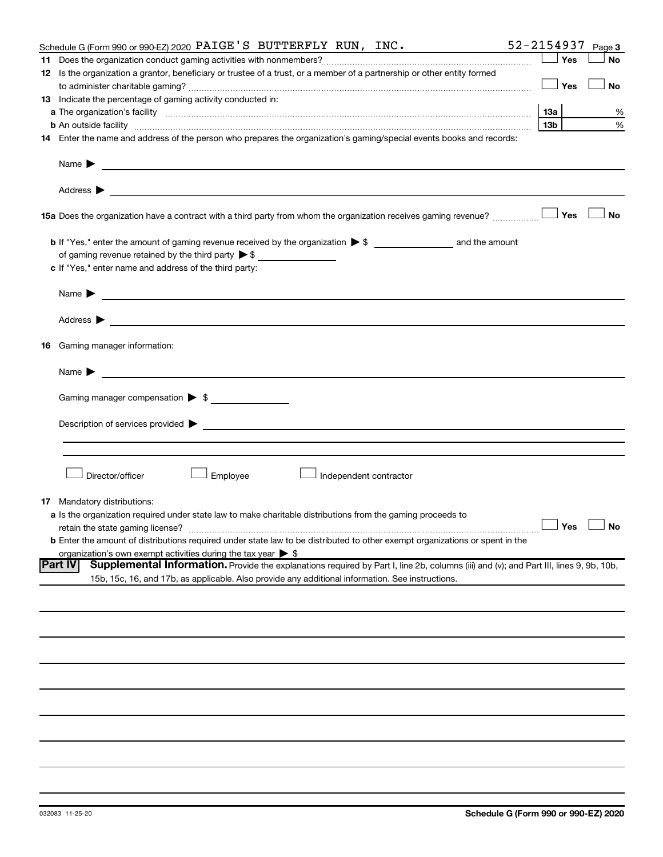|                                                                                                                                                          | 52-2154937<br>Page 3 |
|----------------------------------------------------------------------------------------------------------------------------------------------------------|----------------------|
|                                                                                                                                                          | Yes<br><b>No</b>     |
| 12 Is the organization a grantor, beneficiary or trustee of a trust, or a member of a partnership or other entity formed                                 |                      |
|                                                                                                                                                          | Yes<br>No            |
| 13 Indicate the percentage of gaming activity conducted in:                                                                                              |                      |
|                                                                                                                                                          | %                    |
| 13b<br><b>b</b> An outside facility <i>www.communicality.communicality.communicality www.communicality.communicality.communicality.com</i>               | %                    |
| 14 Enter the name and address of the person who prepares the organization's gaming/special events books and records:                                     |                      |
|                                                                                                                                                          |                      |
|                                                                                                                                                          |                      |
| 15a Does the organization have a contract with a third party from whom the organization receives gaming revenue?                                         | Yes<br><b>No</b>     |
|                                                                                                                                                          |                      |
| of gaming revenue retained by the third party $\triangleright$ \$                                                                                        |                      |
| c If "Yes," enter name and address of the third party:                                                                                                   |                      |
|                                                                                                                                                          |                      |
| Name $\blacktriangleright$<br><u> 1989 - Johann Barbara, martin amerikan basal dan berasal dan berasal dalam basal dan berasal dan berasal dan</u>       |                      |
|                                                                                                                                                          |                      |
| <b>16</b> Gaming manager information:                                                                                                                    |                      |
| <u> 1989 - Johann Barn, mars et al. (</u> † 1939)<br>Name $\blacktriangleright$                                                                          |                      |
| Gaming manager compensation > \$                                                                                                                         |                      |
|                                                                                                                                                          |                      |
|                                                                                                                                                          |                      |
|                                                                                                                                                          |                      |
|                                                                                                                                                          |                      |
| Employee<br>Director/officer<br>Independent contractor                                                                                                   |                      |
| <b>17</b> Mandatory distributions:                                                                                                                       |                      |
| <b>a</b> Is the organization required under state law to make charitable distributions from the gaming proceeds to                                       |                      |
| retain the state gaming license?                                                                                                                         | $\Box$ Yes $\Box$ No |
| <b>b</b> Enter the amount of distributions required under state law to be distributed to other exempt organizations or spent in the                      |                      |
| organization's own exempt activities during the tax year $\triangleright$ \$                                                                             |                      |
| Supplemental Information. Provide the explanations required by Part I, line 2b, columns (iii) and (v); and Part III, lines 9, 9b, 10b,<br><b>Part IV</b> |                      |
| 15b, 15c, 16, and 17b, as applicable. Also provide any additional information. See instructions.                                                         |                      |
|                                                                                                                                                          |                      |
|                                                                                                                                                          |                      |
|                                                                                                                                                          |                      |
|                                                                                                                                                          |                      |
|                                                                                                                                                          |                      |
|                                                                                                                                                          |                      |
|                                                                                                                                                          |                      |
|                                                                                                                                                          |                      |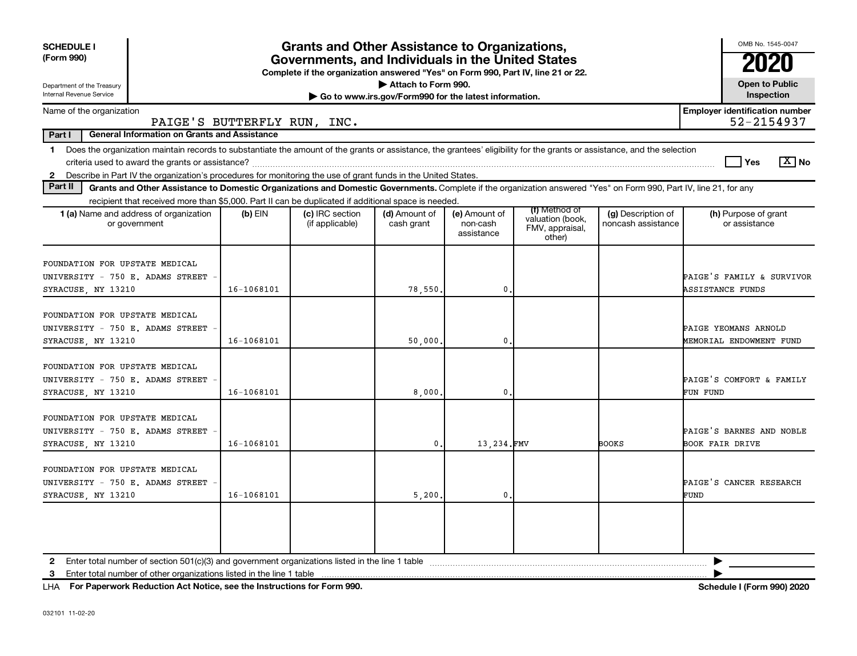| <b>SCHEDULE I</b><br>(Form 990)<br>Department of the Treasury<br>Internal Revenue Service                                                                                                                                                                                                     |            | <b>Grants and Other Assistance to Organizations,</b><br>Governments, and Individuals in the United States<br>Complete if the organization answered "Yes" on Form 990, Part IV, line 21 or 22. | Attach to Form 990.<br>Go to www.irs.gov/Form990 for the latest information. |                                         |                                                                |                                          | OMB No. 1545-0047<br>2020<br><b>Open to Public</b><br>Inspection |
|-----------------------------------------------------------------------------------------------------------------------------------------------------------------------------------------------------------------------------------------------------------------------------------------------|------------|-----------------------------------------------------------------------------------------------------------------------------------------------------------------------------------------------|------------------------------------------------------------------------------|-----------------------------------------|----------------------------------------------------------------|------------------------------------------|------------------------------------------------------------------|
| Name of the organization                                                                                                                                                                                                                                                                      |            |                                                                                                                                                                                               |                                                                              |                                         |                                                                |                                          | <b>Employer identification number</b>                            |
| PAIGE'S BUTTERFLY RUN, INC.                                                                                                                                                                                                                                                                   |            |                                                                                                                                                                                               |                                                                              |                                         |                                                                |                                          | 52-2154937                                                       |
| Part I<br><b>General Information on Grants and Assistance</b>                                                                                                                                                                                                                                 |            |                                                                                                                                                                                               |                                                                              |                                         |                                                                |                                          |                                                                  |
| 1 Does the organization maintain records to substantiate the amount of the grants or assistance, the grantees' eligibility for the grants or assistance, and the selection<br>2 Describe in Part IV the organization's procedures for monitoring the use of grant funds in the United States. |            |                                                                                                                                                                                               |                                                                              |                                         |                                                                |                                          | $\boxed{\text{X}}$ No<br>Yes                                     |
| Part II<br>Grants and Other Assistance to Domestic Organizations and Domestic Governments. Complete if the organization answered "Yes" on Form 990, Part IV, line 21, for any                                                                                                                 |            |                                                                                                                                                                                               |                                                                              |                                         |                                                                |                                          |                                                                  |
| recipient that received more than \$5,000. Part II can be duplicated if additional space is needed.                                                                                                                                                                                           |            |                                                                                                                                                                                               |                                                                              |                                         |                                                                |                                          |                                                                  |
| <b>1 (a)</b> Name and address of organization<br>or government                                                                                                                                                                                                                                | (b) EIN    | (c) IRC section<br>(if applicable)                                                                                                                                                            | (d) Amount of<br>cash grant                                                  | (e) Amount of<br>non-cash<br>assistance | (f) Method of<br>valuation (book,<br>FMV, appraisal,<br>other) | (g) Description of<br>noncash assistance | (h) Purpose of grant<br>or assistance                            |
| FOUNDATION FOR UPSTATE MEDICAL<br>UNIVERSITY - 750 E. ADAMS STREET<br>SYRACUSE, NY 13210                                                                                                                                                                                                      | 16-1068101 |                                                                                                                                                                                               | 78,550                                                                       | 0                                       |                                                                |                                          | PAIGE'S FAMILY & SURVIVOR<br><b>ASSISTANCE FUNDS</b>             |
| FOUNDATION FOR UPSTATE MEDICAL<br>UNIVERSITY - 750 E. ADAMS STREET<br>SYRACUSE, NY 13210                                                                                                                                                                                                      | 16-1068101 |                                                                                                                                                                                               | 50,000                                                                       | 0                                       |                                                                |                                          | PAIGE YEOMANS ARNOLD<br>MEMORIAL ENDOWMENT FUND                  |
| FOUNDATION FOR UPSTATE MEDICAL<br>UNIVERSITY - 750 E. ADAMS STREET<br>SYRACUSE, NY 13210                                                                                                                                                                                                      | 16-1068101 |                                                                                                                                                                                               | 8,000                                                                        | 0                                       |                                                                |                                          | PAIGE'S COMFORT & FAMILY<br>FUN FUND                             |
| FOUNDATION FOR UPSTATE MEDICAL<br>UNIVERSITY - 750 E. ADAMS STREET<br>SYRACUSE, NY 13210                                                                                                                                                                                                      | 16-1068101 |                                                                                                                                                                                               | $\mathbf 0$ .                                                                | 13,234.FMV                              |                                                                | <b>BOOKS</b>                             | PAIGE'S BARNES AND NOBLE<br><b>BOOK FAIR DRIVE</b>               |
| FOUNDATION FOR UPSTATE MEDICAL<br>UNIVERSITY - 750 E. ADAMS STREET<br>SYRACUSE, NY 13210                                                                                                                                                                                                      | 16-1068101 |                                                                                                                                                                                               | 5,200                                                                        | 0                                       |                                                                |                                          | PAIGE'S CANCER RESEARCH<br>FUND                                  |
| Enter total number of other organizations listed in the line 1 table<br>3                                                                                                                                                                                                                     |            |                                                                                                                                                                                               |                                                                              |                                         |                                                                |                                          |                                                                  |

**For Paperwork Reduction Act Notice, see the Instructions for Form 990. Schedule I (Form 990) 2020** LHA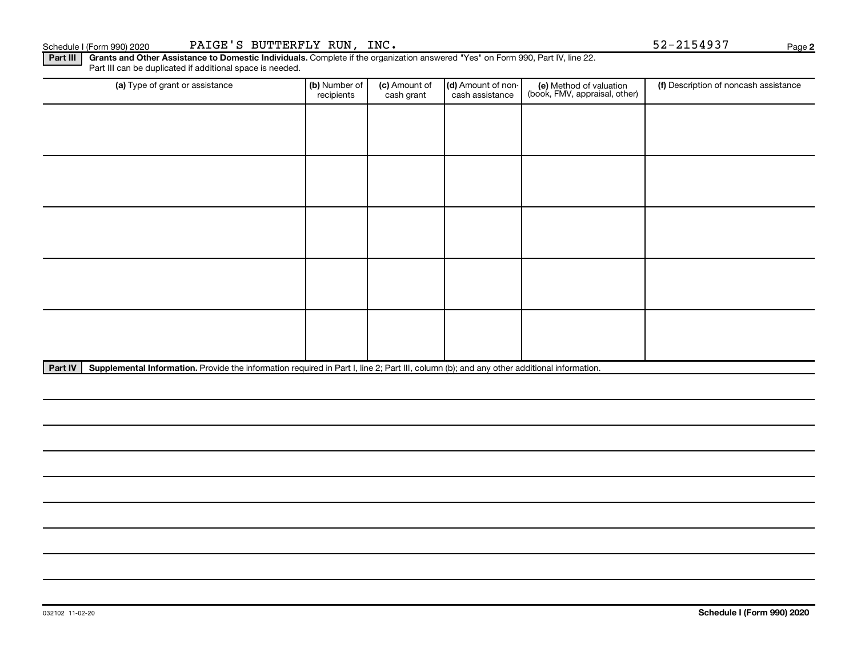### Schedule I (Form 990) 2020 PAIGE'S BUTTERFLY RUN, INC. Schedule I (Form 990) 2020 Page

Part III | Grants and Other Assistance to Domestic Individuals. Complete if the organization answered "Yes" on Form 990, Part IV, line 22. Part III can be duplicated if additional space is needed.

| (a) Type of grant or assistance | (b) Number of<br>recipients | (c) Amount of<br>cash grant | (d) Amount of non-<br>cash assistance | (e) Method of valuation<br>(book, FMV, appraisal, other) | (f) Description of noncash assistance |
|---------------------------------|-----------------------------|-----------------------------|---------------------------------------|----------------------------------------------------------|---------------------------------------|
|                                 |                             |                             |                                       |                                                          |                                       |
|                                 |                             |                             |                                       |                                                          |                                       |
|                                 |                             |                             |                                       |                                                          |                                       |
|                                 |                             |                             |                                       |                                                          |                                       |
|                                 |                             |                             |                                       |                                                          |                                       |
|                                 |                             |                             |                                       |                                                          |                                       |
|                                 |                             |                             |                                       |                                                          |                                       |
|                                 |                             |                             |                                       |                                                          |                                       |
|                                 |                             |                             |                                       |                                                          |                                       |
|                                 |                             |                             |                                       |                                                          |                                       |

Part IV | Supplemental Information. Provide the information required in Part I, line 2; Part III, column (b); and any other additional information.

**2**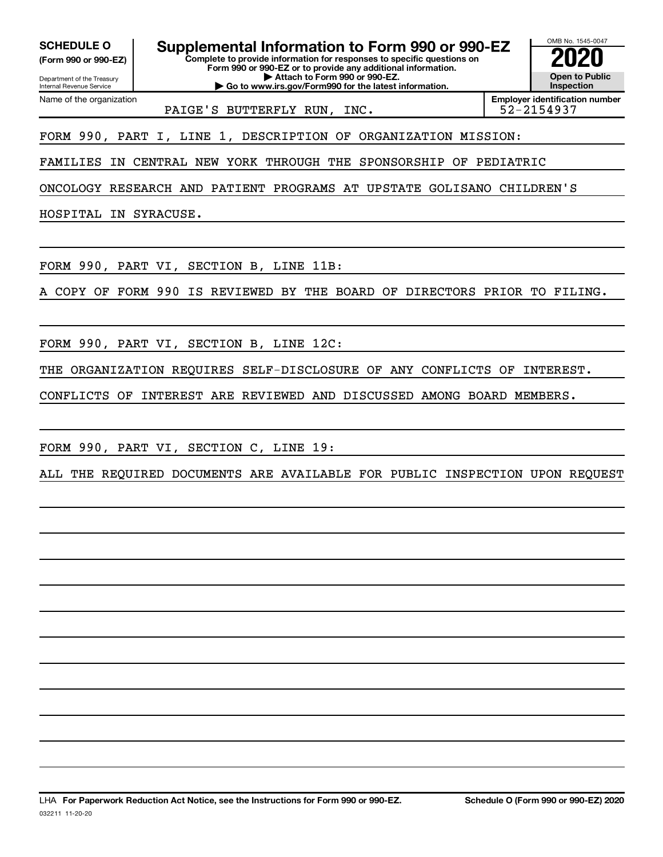**(Form 990 or 990-EZ)**

Department of the Treasury Internal Revenue Service Name of the organization

**SCHEDULE O Supplemental Information to Form 990 or 990-EZ 2020**<br>(Form 990 or 990-EZ) Complete to provide information for responses to specific questions on

**Complete to provide information for responses to specific questions on Form 990 or 990-EZ or to provide any additional information. | Attach to Form 990 or 990-EZ.**

**| Go to www.irs.gov/Form990 for the latest information.**

OMB No. 1545-0047 **Open to Public Inspection**

PAIGE'S BUTTERFLY RUN, INC.

**Employer identification number**

FORM 990, PART I, LINE 1, DESCRIPTION OF ORGANIZATION MISSION:

FAMILIES IN CENTRAL NEW YORK THROUGH THE SPONSORSHIP OF PEDIATRIC

ONCOLOGY RESEARCH AND PATIENT PROGRAMS AT UPSTATE GOLISANO CHILDREN'S

HOSPITAL IN SYRACUSE.

FORM 990, PART VI, SECTION B, LINE 11B:

A COPY OF FORM 990 IS REVIEWED BY THE BOARD OF DIRECTORS PRIOR TO FILING.

FORM 990, PART VI, SECTION B, LINE 12C:

THE ORGANIZATION REQUIRES SELF-DISCLOSURE OF ANY CONFLICTS OF INTEREST.

CONFLICTS OF INTEREST ARE REVIEWED AND DISCUSSED AMONG BOARD MEMBERS.

FORM 990, PART VI, SECTION C, LINE 19:

ALL THE REQUIRED DOCUMENTS ARE AVAILABLE FOR PUBLIC INSPECTION UPON REQUEST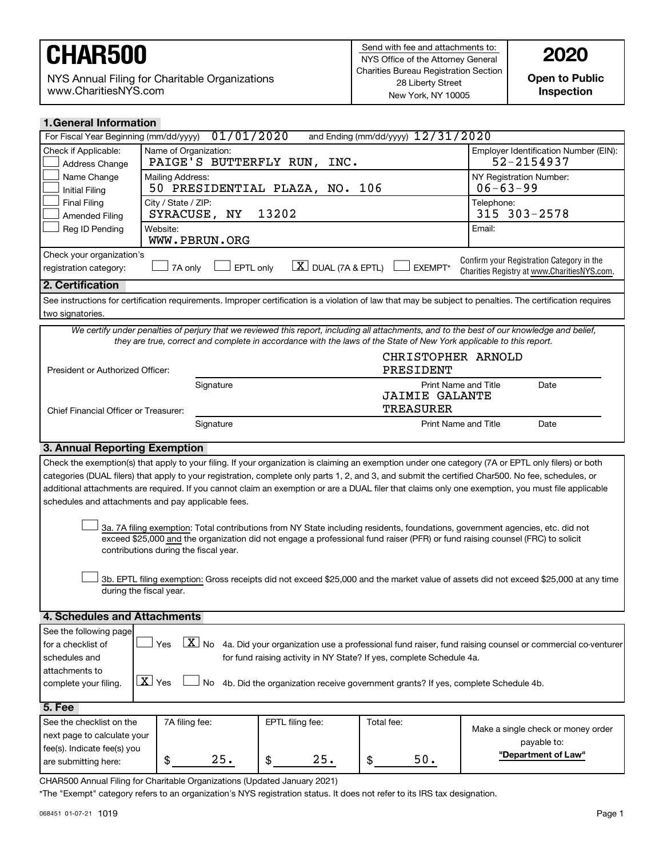NYS Annual Filing for Charitable Organizations www.CharitiesNYS.com

**Open to Public Inspection**

| <b>1. General Information</b>                                                                                             |                                                    |                                                                                                                     |                                    |                                                                                                                                                            |
|---------------------------------------------------------------------------------------------------------------------------|----------------------------------------------------|---------------------------------------------------------------------------------------------------------------------|------------------------------------|------------------------------------------------------------------------------------------------------------------------------------------------------------|
| For Fiscal Year Beginning (mm/dd/yyyy)                                                                                    |                                                    | 01/01/2020                                                                                                          | and Ending (mm/dd/yyyy) 12/31/2020 |                                                                                                                                                            |
| Check if Applicable:<br>Address Change                                                                                    | Name of Organization:<br>PAIGE'S BUTTERFLY RUN,    | INC.                                                                                                                |                                    | Employer Identification Number (EIN):<br>$52 - 2154937$                                                                                                    |
| Name Change<br><b>Initial Filing</b>                                                                                      | Mailing Address:                                   | 50 PRESIDENTIAL PLAZA, NO.                                                                                          | 106                                | NY Registration Number:<br>$06 - 63 - 99$                                                                                                                  |
| <b>Final Filing</b><br>Amended Filing                                                                                     | City / State / ZIP:<br>ΝY<br>SYRACUSE,             | 13202                                                                                                               |                                    | Telephone:<br>315 303-2578                                                                                                                                 |
| Reg ID Pending                                                                                                            | Website:<br>WWW.PBRUN.ORG                          |                                                                                                                     |                                    | Email:                                                                                                                                                     |
| Check your organization's<br>registration category:                                                                       | 7A only                                            | $\lfloor X \rfloor$ DUAL (7A & EPTL)<br>EPTL only                                                                   | EXEMPT*                            | Confirm your Registration Category in the<br>Charities Registry at www.CharitiesNYS.com.                                                                   |
| 2. Certification                                                                                                          |                                                    |                                                                                                                     |                                    |                                                                                                                                                            |
|                                                                                                                           |                                                    |                                                                                                                     |                                    | See instructions for certification requirements. Improper certification is a violation of law that may be subject to penalties. The certification requires |
| two signatories.                                                                                                          |                                                    |                                                                                                                     |                                    |                                                                                                                                                            |
|                                                                                                                           |                                                    |                                                                                                                     |                                    | We certify under penalties of perjury that we reviewed this report, including all attachments, and to the best of our knowledge and belief,                |
|                                                                                                                           |                                                    | they are true, correct and complete in accordance with the laws of the State of New York applicable to this report. |                                    |                                                                                                                                                            |
| President or Authorized Officer:                                                                                          |                                                    |                                                                                                                     | CHRISTOPHER ARNOLD<br>PRESIDENT    |                                                                                                                                                            |
|                                                                                                                           | Signature                                          |                                                                                                                     | <b>JAIMIE GALANTE</b>              | Print Name and Title<br>Date                                                                                                                               |
| Chief Financial Officer or Treasurer:                                                                                     |                                                    |                                                                                                                     | <b>TREASURER</b>                   |                                                                                                                                                            |
|                                                                                                                           | Signature                                          |                                                                                                                     |                                    | <b>Print Name and Title</b><br>Date                                                                                                                        |
| 3. Annual Reporting Exemption                                                                                             |                                                    |                                                                                                                     |                                    |                                                                                                                                                            |
|                                                                                                                           |                                                    |                                                                                                                     |                                    | Check the exemption(s) that apply to your filing. If your organization is claiming an exemption under one category (7A or EPTL only filers) or both        |
|                                                                                                                           |                                                    |                                                                                                                     |                                    | categories (DUAL filers) that apply to your registration, complete only parts 1, 2, and 3, and submit the certified Char500. No fee, schedules, or         |
|                                                                                                                           |                                                    |                                                                                                                     |                                    | additional attachments are required. If you cannot claim an exemption or are a DUAL filer that claims only one exemption, you must file applicable         |
|                                                                                                                           | schedules and attachments and pay applicable fees. |                                                                                                                     |                                    |                                                                                                                                                            |
|                                                                                                                           |                                                    |                                                                                                                     |                                    |                                                                                                                                                            |
|                                                                                                                           |                                                    |                                                                                                                     |                                    | 3a. 7A filing exemption: Total contributions from NY State including residents, foundations, government agencies, etc. did not                             |
|                                                                                                                           |                                                    |                                                                                                                     |                                    | exceed \$25,000 and the organization did not engage a professional fund raiser (PFR) or fund raising counsel (FRC) to solicit                              |
| contributions during the fiscal year.                                                                                     |                                                    |                                                                                                                     |                                    |                                                                                                                                                            |
|                                                                                                                           |                                                    |                                                                                                                     |                                    |                                                                                                                                                            |
|                                                                                                                           |                                                    |                                                                                                                     |                                    | 3b. EPTL filing exemption: Gross receipts did not exceed \$25,000 and the market value of assets did not exceed \$25,000 at any time                       |
|                                                                                                                           | during the fiscal year.                            |                                                                                                                     |                                    |                                                                                                                                                            |
|                                                                                                                           |                                                    |                                                                                                                     |                                    |                                                                                                                                                            |
| 4. Schedules and Attachments                                                                                              |                                                    |                                                                                                                     |                                    |                                                                                                                                                            |
| See the following page                                                                                                    |                                                    |                                                                                                                     |                                    |                                                                                                                                                            |
| for a checklist of                                                                                                        | Yes                                                |                                                                                                                     |                                    | $\boxed{\textbf{X}}$ No 4a. Did your organization use a professional fund raiser, fund raising counsel or commercial co-venturer                           |
| for fund raising activity in NY State? If yes, complete Schedule 4a.<br>schedules and                                     |                                                    |                                                                                                                     |                                    |                                                                                                                                                            |
| attachments to                                                                                                            |                                                    |                                                                                                                     |                                    |                                                                                                                                                            |
| X Yes<br>4b. Did the organization receive government grants? If yes, complete Schedule 4b.<br>No<br>complete your filing. |                                                    |                                                                                                                     |                                    |                                                                                                                                                            |
| 5. Fee                                                                                                                    |                                                    |                                                                                                                     |                                    |                                                                                                                                                            |
| See the checklist on the                                                                                                  | 7A filing fee:                                     | EPTL filing fee:                                                                                                    | Total fee:                         |                                                                                                                                                            |
| next page to calculate your                                                                                               |                                                    |                                                                                                                     |                                    | Make a single check or money order                                                                                                                         |
| fee(s). Indicate fee(s) you                                                                                               |                                                    |                                                                                                                     |                                    | payable to:                                                                                                                                                |
| are submitting here:                                                                                                      | 25.<br>\$                                          | 25.<br>\$                                                                                                           | $50.$<br>\$                        | "Department of Law"                                                                                                                                        |
|                                                                                                                           |                                                    |                                                                                                                     |                                    |                                                                                                                                                            |

\*The "Exempt" category refers to an organization's NYS registration status. It does not refer to its IRS tax designation.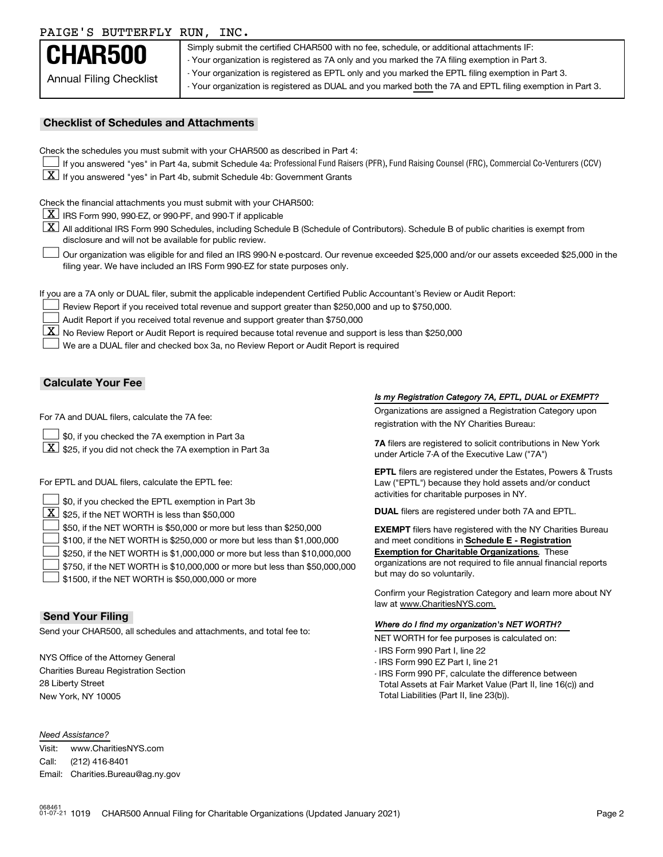### PAIGE'S BUTTERFLY RUN, INC.

| 111101 D DOITING DI RON, INC.  |                                                                                                           |
|--------------------------------|-----------------------------------------------------------------------------------------------------------|
| CHAR500                        | Simply submit the certified CHAR500 with no fee, schedule, or additional attachments IF:                  |
|                                | - Your organization is registered as 7A only and you marked the 7A filing exemption in Part 3.            |
| <b>Annual Filing Checklist</b> | - Your organization is registered as EPTL only and you marked the EPTL filing exemption in Part 3.        |
|                                | - Your organization is registered as DUAL and you marked both the 7A and EPTL filing exemption in Part 3. |
|                                |                                                                                                           |

#### **Checklist of Schedules and Attachments**

| Check the schedules you must submit with your CHAR500 as described in Part 4: |  |  |
|-------------------------------------------------------------------------------|--|--|
|                                                                               |  |  |

- If you answered "yes" in Part 4a, submit Schedule 4a: Professional Fund Raisers (PFR), Fund Raising Counsel (FRC), Commercial Co-Venturers (CCV)
- $\boxed{\textbf{X}}$  If you answered "yes" in Part 4b, submit Schedule 4b: Government Grants

Check the financial attachments you must submit with your CHAR500:

- $\boxed{\textbf{X}}$  IRS Form 990, 990-EZ, or 990-PF, and 990-T if applicable
- [X] All additional IRS Form 990 Schedules, including Schedule B (Schedule of Contributors). Schedule B of public charities is exempt from disclosure and will not be available for public review.
- Our organization was eligible for and filed an IRS 990-N e-postcard. Our revenue exceeded \$25,000 and/or our assets exceeded \$25,000 in the filing year. We have included an IRS Form 990-EZ for state purposes only.  $\Box$

If you are a 7A only or DUAL filer, submit the applicable independent Certified Public Accountant's Review or Audit Report:

- Review Report if you received total revenue and support greater than \$250,000 and up to \$750,000.  $\Box$
- Audit Report if you received total revenue and support greater than \$750,000  $\Box$
- $\boxed{\text{X}}$  No Review Report or Audit Report is required because total revenue and support is less than \$250,000

We are a DUAL filer and checked box 3a, no Review Report or Audit Report is required  $\Box$ 

#### **Calculate Your Fee**

- $\Box$
- 

For EPTL and DUAL filers, calculate the EPTL fee:

| \$0, if you checked the EPTL exemption in Part 3b                                 | activities for charitable purposes in NY.                         |
|-----------------------------------------------------------------------------------|-------------------------------------------------------------------|
| $\boxed{\textbf{X}}$ \$25, if the NET WORTH is less than \$50,000                 | <b>DUAL</b> filers are registered under both 7A and EPTL.         |
| $\Box$ \$50, if the NET WORTH is \$50,000 or more but less than \$250,000         | <b>EXEMPT</b> filers have registered with the NY Charities Bureau |
| $\Box$ \$100, if the NET WORTH is \$250,000 or more but less than \$1,000,000     | and meet conditions in Schedule E - Registration                  |
| $\Box$ \$250, if the NET WORTH is \$1,000,000 or more but less than \$10,000,000  | <b>Exemption for Charitable Organizations.</b> These              |
| $\Box$ \$750, if the NET WORTH is \$10,000,000 or more but less than \$50,000,000 | organizations are not required to file annual financial reports   |
| $\rfloor$ \$1500, if the NET WORTH is \$50,000,000 or more                        | but may do so voluntarily.                                        |

#### **Send Your Filing**

Net wour CHAR500, all schedules and attachments, and total fee to:<br>NET WORTH for fee purposes is calculated on:

NYS Office of the Attorney General Charities Bureau Registration Section 28 Liberty Street New York, NY 10005

#### *Need Assistance?*

Visit: Call: Email: Charities.Bureau@ag.ny.gov www.CharitiesNYS.com (212) 416-8401

#### *Is my Registration Category 7A, EPTL, DUAL or EXEMPT?*

Organizations are assigned a Registration Category upon For 7A and DUAL filers, calculate the 7A fee:<br>
registration with the NY Charities Bureau:

**7A** \$0, if you checked the 7A exemption in Part 3a filers are registered to solicit contributions in New York For the Safe registered to solicit contributions<br>"under Article 7-A of the Executive Law ("7A")

> **EPTL** filers are registered under the Estates, Powers & Trusts Law ("EPTL") because they hold assets and/or conduct activities for charitable purposes in NY.

Confirm your Registration Category and learn more about NY law at www.CharitiesNYS.com.

#### *Where do I find my organization's NET WORTH?*

- IRS Form 990 Part I, line 22
- IRS Form 990 EZ Part I, line 21
- IRS Form 990 PF, calculate the difference between Total Assets at Fair Market Value (Part II, line 16(c)) and Total Liabilities (Part II, line 23(b)).